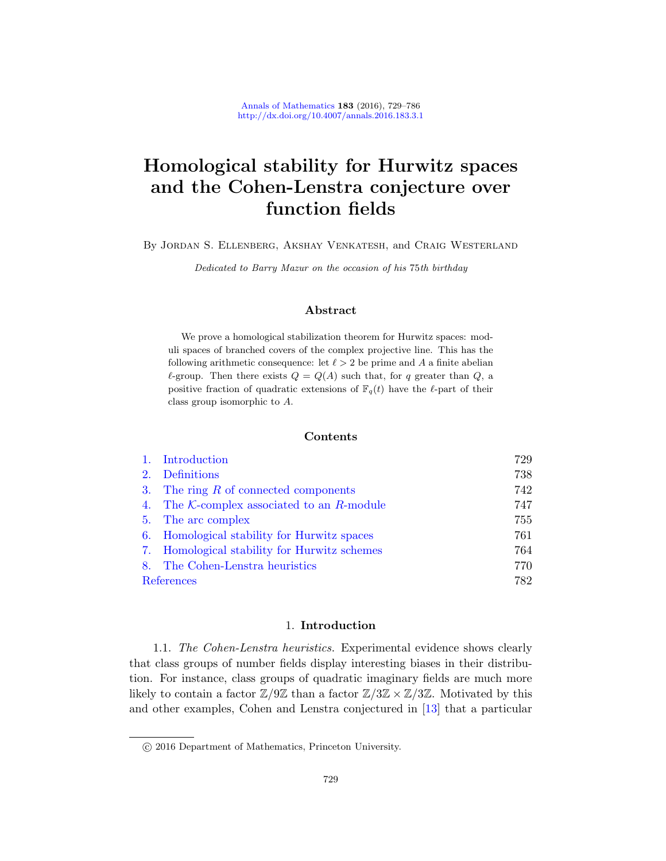# Homological stability for Hurwitz spaces and the Cohen-Lenstra conjecture over function fields

By Jordan S. Ellenberg, Akshay Venkatesh, and Craig Westerland

Dedicated to Barry Mazur on the occasion of his 75th birthday

# Abstract

We prove a homological stabilization theorem for Hurwitz spaces: moduli spaces of branched covers of the complex projective line. This has the following arithmetic consequence: let  $\ell > 2$  be prime and A a finite abelian  $\ell$ -group. Then there exists  $Q = Q(A)$  such that, for q greater than  $Q$ , a positive fraction of quadratic extensions of  $\mathbb{F}_q(t)$  have the  $\ell$ -part of their [class group isom](#page-13-0)[orphic](#page-18-0) to A.

## Contents

|                | 1. Introduction                                  | 729 |
|----------------|--------------------------------------------------|-----|
| 2 <sub>1</sub> | Definitions                                      | 738 |
|                | 3. The ring $R$ of connected components          | 742 |
|                | 4. The $K$ -complex associated to an $R$ -module | 747 |
|                | 5. The arc complex                               | 755 |
|                | 6. Homological stability for Hurwitz spaces      | 761 |
|                | 7. Homological stability for Hurwitz schemes     | 764 |
|                | 8. The Cohen-Lenstra heuristics                  | 770 |
|                | References                                       | 782 |

## 1. Introduction

1.1. The Cohen-Lenstra heuristics. Experimental evidence shows clearly that class groups of number fields display interesting biases in their distribution. For instance, class groups of quadratic imaginary fields are much more likely to contain a factor  $\mathbb{Z}/9\mathbb{Z}$  than a factor  $\mathbb{Z}/3\mathbb{Z} \times \mathbb{Z}/3\mathbb{Z}$ . Motivated by this and other examples, Cohen and Lenstra conjectured in [13] that a particular

c 2016 Department of Mathematics, Princeton University.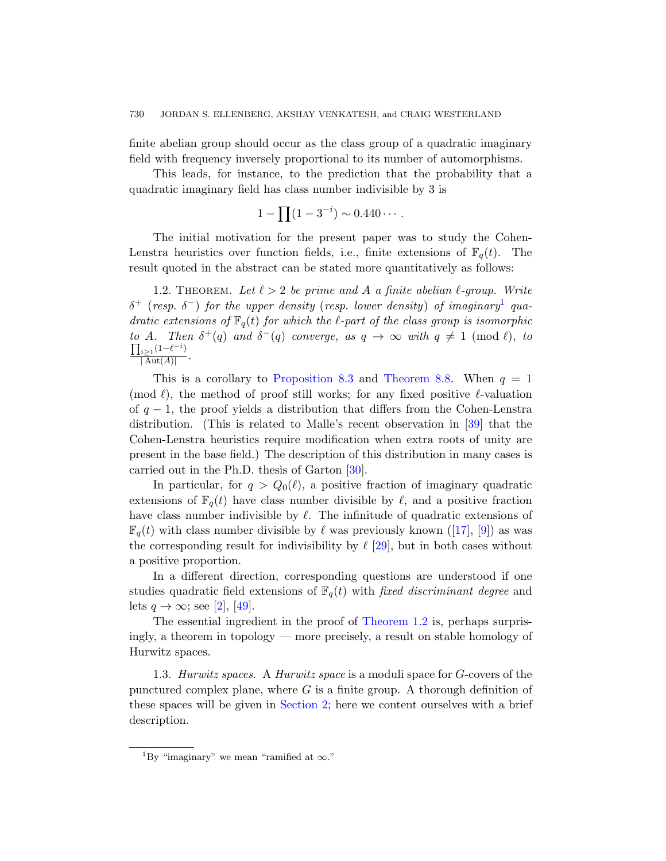finite abelian group should occur as the class group of a quadratic imaginary field with frequency inversely proportional to its number of automorphisms.

<span id="page-1-1"></span>This leads, for instance, to the prediction that the probability that a quadratic imaginary field has class number indivisible by 3 is

$$
1 - \prod (1 - 3^{-i}) \sim 0.440 \cdots.
$$

The initial motivation for the present paper was to study the Cohen-Lenstra heuristics over function fields, i.e., finite extensions of  $\mathbb{F}_q(t)$ . The result quoted in the abstract can be stated more quantitatively as follows:

1.2. THEOREM. Let  $\ell > 2$  [be prime](#page-48-0) and A a finite abelian  $\ell$ -group. Write  $\delta^+$  (resp.  $\delta^-$ ) for the upper density (resp. lower density) of imaginary<sup>1</sup> quadratic extensions of  $\mathbb{F}_q(t)$  for which the  $\ell$ -part of the class group is isomorphic to A. Then  $\delta^+(q)$  and  $\delta^-(q)$  converge, [as](#page-56-0)  $q \to \infty$  with  $q \neq 1 \pmod{l}$ , to  $\prod_{i\geq 1} (1-\ell^{-i})$  $\frac{i \geq 1}{|\operatorname{Aut}(A)|}$ .

This is a coro[llar](#page-56-1)y to Proposition 8.3 and Theorem 8.8. When  $q = 1$ (mod  $\ell$ ), the method of proof still works; for any fixed positive  $\ell$ -valuation of  $q-1$ , the proof yields a distribution that differs from the Cohen-Lenstra distribution. (This is related to Malle's recent observation in [39] that the Cohen-Lenstra heuristics require modi[fica](#page-55-0)ti[on](#page-54-0) when extra roots of unity are present in the base field[.\) T](#page-56-2)he description of this distribution in many cases is carried out in the Ph.D. thesis of Garton [30].

In particular, for  $q > Q_0(\ell)$ , a positive fraction of imaginary quadratic extensions of  $\mathbb{F}_q(t)$  have class number divisible by  $\ell$ , and a positive fraction [h](#page-57-0)ave class number indivisible by  $\ell$ . The infinitude of quadratic extensions of  $\mathbb{F}_q(t)$  with class num[ber divisible b](#page-1-1)y  $\ell$  was previously known ([17], [9]) as was the corresponding result for indivisibility by  $\ell$  [29], but in both cases without a positive proportion.

In a different direction, corresponding questions are understood if one studies quadratic field extensions of  $\mathbb{F}_q(t)$  with fixed discriminant degree and lets  $q \to \infty$ ; see [2], [49].

The essential ingredient in the proof of Theorem 1.2 is, perhaps surprisingly, a theorem in topology — more precisely, a result on stable homology of Hurwitz spaces.

<span id="page-1-0"></span>1.3. Hurwitz spaces. A Hurwitz space is a moduli space for G-covers of the punctured complex plane, where  $G$  is a finite group. A thorough definition of these spaces will be given in Section 2; here we content ourselves with a brief description.

<sup>&</sup>lt;sup>1</sup>By "imaginary" we mean "ramified at  $\infty$ ."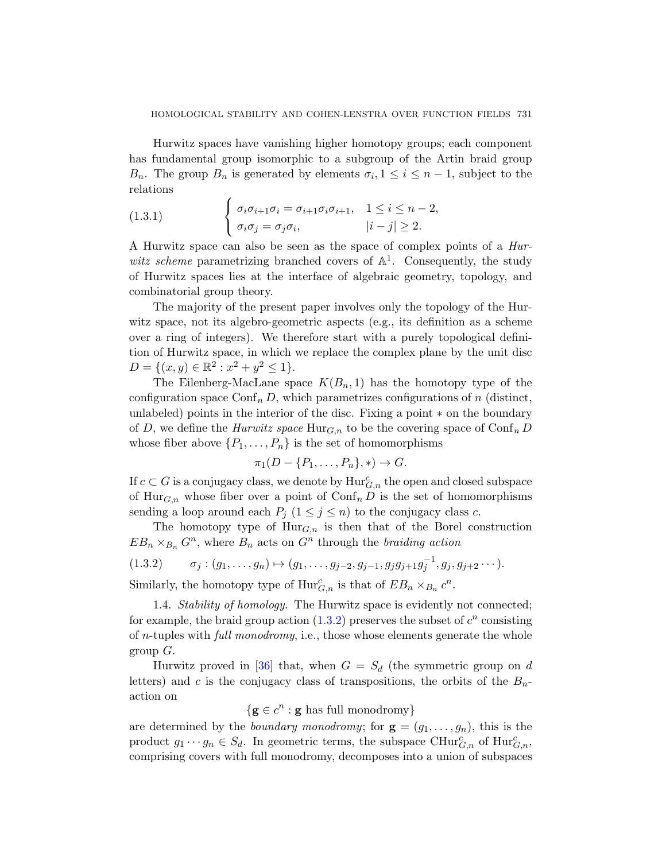<span id="page-2-1"></span>Hurwitz spaces have vanishing higher homotopy groups; each component has fundamental group isomorphic to a subgroup of the Artin braid group  $B_n$ . The group  $B_n$  is generated by elements  $\sigma_i, 1 \leq i \leq n-1$ , subject to the relations

(1.3.1) 
$$
\begin{cases} \sigma_i \sigma_{i+1} \sigma_i = \sigma_{i+1} \sigma_i \sigma_{i+1}, & 1 \leq i \leq n-2, \\ \sigma_i \sigma_j = \sigma_j \sigma_i, & |i-j| \geq 2. \end{cases}
$$

A Hurwitz space can also be seen as the space of complex points of a Hurwitz scheme parametrizing branched covers of  $\mathbb{A}^1$ . Consequently, the study of Hurwitz spaces lies at the interface of algebraic geometry, topology, and combinatorial group theory.

The majority of the present paper involves only the topology of the Hurwitz space, not its algebro-geometric aspects (e.g., its definition as a scheme over a ring of integers). We therefore start with a purely topological definition of Hurwitz space, in which we replace the complex plane by the unit disc  $D = \{(x, y) \in \mathbb{R}^2 : x^2 + y^2 \le 1\}.$ 

The Eilenberg-MacLane space  $K(B_n, 1)$  has the homotopy type of the configuration space  $\text{Conf}_n D$ , which parametrizes configurations of n (distinct, unlabeled) points in the interior of the disc. Fixing a point ∗ on the boundary of D, we define the *Hurwitz space*  $\text{Hur}_{G,n}$  to be the covering space of  $\text{Conf}_n D$ whose fiber above  $\{P_1, \ldots, P_n\}$  is the set of homomorphisms

$$
\pi_1(D - \{P_1, \ldots, P_n\}, *) \to G.
$$

<span id="page-2-0"></span>If  $c \subset G$  is a conjugacy class, we denote by  $\mathrm{Hur}_{G,n}^c$  the open and closed subspace of  $\text{Hur}_{G,n}$  whose fiber over a point of  $\text{Conf}_n D$  is the set of homomorphisms sending a loop around each  $P_j$   $(1 \leq j \leq n)$  to the conjugacy class c.

<span id="page-2-2"></span>The ho[motop](#page-2-0)y type of  $\text{Hur}_{G,n}$  is then that of the Borel construction  $EB_n \times_{B_n} G^n$ , where  $B_n$  acts on  $G^n$  through the *braiding action* 

$$
(1.3.2) \qquad \sigma_j : (g_1, \ldots, g_n) \mapsto (g_1, \ldots, g_{j-2}, g_{j-1}, g_j g_{j+1} g_j^{-1}, g_j, g_{j+2} \cdots).
$$

Similarly, the homotopy type of  $\text{Hur}_{G,n}^c$  is that of  $EB_n \times_{B_n} c^n$ .

1.4. Stability of homology. The Hurwitz space is evidently not connected; for example, the braid group action  $(1.3.2)$  preserves the subset of  $c<sup>n</sup>$  consisting of n-tuples with full monodromy, i.e., those whose elements generate the whole group  $G$ .

Hurwitz proved in [36] that, when  $G = S_d$  (the symmetric group on d letters) and c is the conjugacy class of transpositions, the orbits of the  $B_n$ action on

 ${g \in c^n : g \text{ has full monodromy}}$ 

are determined by the *boundary monodromy*; for  $\mathbf{g} = (g_1, \ldots, g_n)$ , this is the product  $g_1 \cdots g_n \in S_d$ . In geometric terms, the subspace  $\mathrm{CHur}_{G,n}^c$  of  $\mathrm{Hur}_{G,n}^c$ , comprising covers with full monodromy, decomposes into a union of subspaces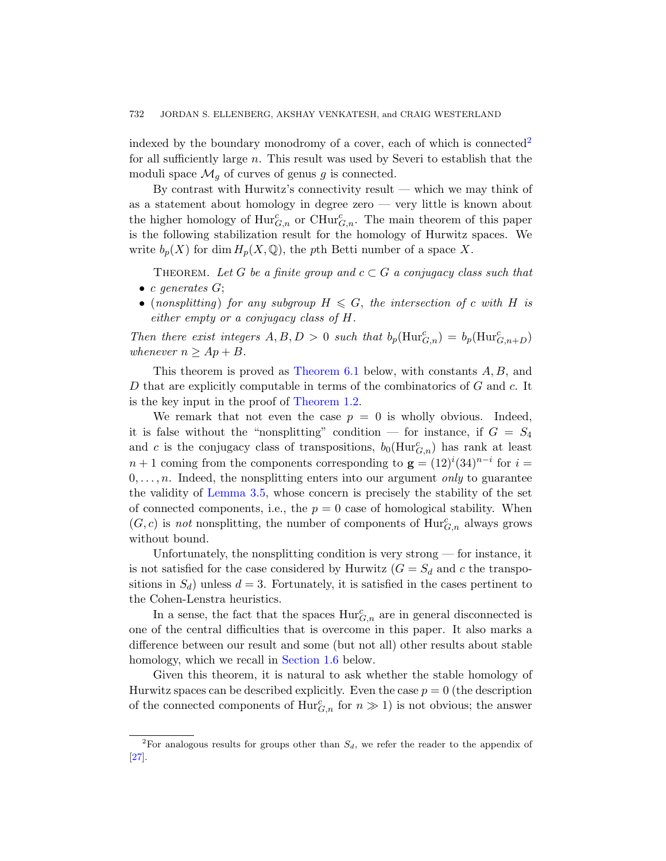indexed by the boundary monodromy of a cover, each of which is connected<sup>2</sup> for all sufficiently large n. This result was used by Severi to establish that the moduli space  $\mathcal{M}_q$  of curves of genus g is connected.

By contrast with Hurwitz's connectivity result — which we may think of as a statement about homology in degree zero — very little is known about the higher homology of  $\text{Hur}_{G,n}^c$  or  $\text{CHur}_{G,n}^c$ . The main theorem of this paper is the following stabilization result for the homology of Hurwitz spaces. We write  $b_p(X)$  for dim  $H_p(X, \mathbb{Q})$ , the pth Betti number of a space X.

THEOREM. Let G be a finite group and  $c \subset G$  a conjugacy class such that • c generates  $G$ ;

• (no[nsplitting](#page-1-1)) for any subgroup  $H \leq G$ , the intersection of c with H is either empty or a conjugacy class of H.

Then there exist integers  $A, B, D > 0$  such that  $b_p(\text{Hur}_{G,n}^c) = b_p(\text{Hur}_{G,n+D}^c)$ whenever  $n \geq Ap + B$ .

This theorem is proved as Theorem 6.1 below, with constants A, B, and D that are explicitly computable in terms of the combinatorics of G and c. It [is th](#page-16-0)e key input in the proof of Theorem 1.2.

We remark that not even the case  $p = 0$  is wholly obvious. Indeed, it is false without the "nonsplitting" condition — for instance, if  $G = S_4$ and c is the conjugacy class of transpositions,  $b_0(Hur_{G,n}^c)$  has rank at least  $n+1$  coming from the components corresponding to  $\mathbf{g} = (12)^{i}(34)^{n-i}$  for  $i =$  $0, \ldots, n$ . Indeed, the nonsplitting enters into our argument *only* to guarantee the validity of Lemma 3.5, whose concern is precisely the stability of the set of connected components, i.e., the  $p = 0$  case of homological stability. When  $(G, c)$  is not nonsplitting, the number of components of  $\text{Hur}_{G,n}^c$  always grows without bound.

Unfortunately, the nonsplitting condition is very strong  $-$  for instance, it is not [satisfied for](#page-4-0) the case considered by Hurwitz  $(G = S_d$  and c the transpositions in  $S_d$ ) unless  $d = 3$ . Fortunately, it is satisfied in the cases pertinent to the Cohen-Lenstra heuristics.

In a sense, the fact that the spaces  $\text{Hur}_{G,n}^c$  are in general disconnected is one of the central difficulties that is overcome in this paper. It also marks a difference between our result and some (but not all) other results about stable homology, which we recall in Section 1.6 below.

Given this theorem, it is natural to ask whether the stable homology of Hurwitz spaces can be described explicitly. Even the case  $p = 0$  (the description of the connected components of  $\text{Hur}_{G,n}^c$  for  $n \gg 1$ ) is not obvious; the answer

<sup>&</sup>lt;sup>2</sup>For analogous results for groups other than  $S_d$ , we refer the reader to the appendix of [27].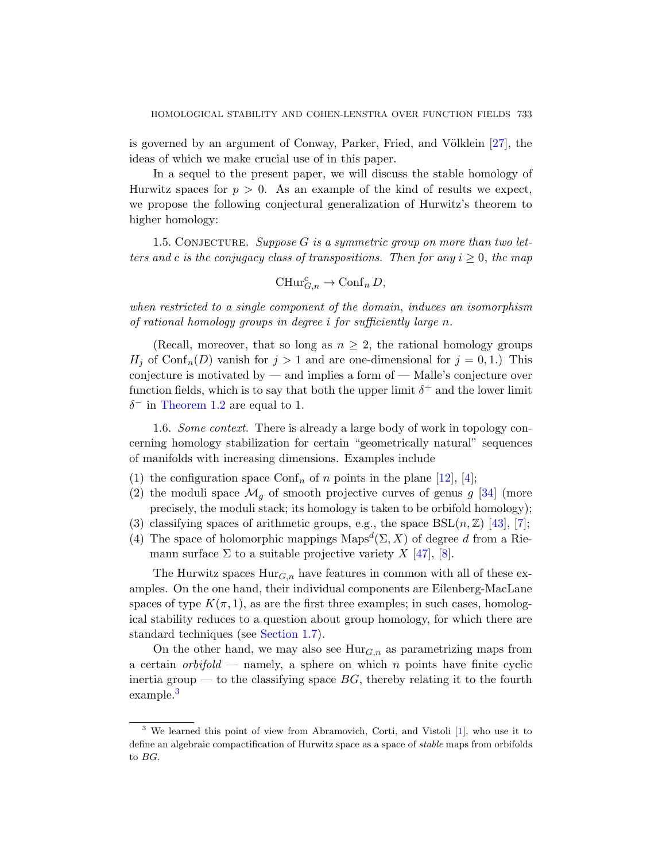<span id="page-4-1"></span>is governed by an argument of Conway, Parker, Fried, and Völklein  $[27]$ , the ideas of which we make crucial use of in this paper.

In a sequel to the present paper, we will discuss the stable homology of Hurwitz spaces for  $p > 0$ . As an example of the kind of results we expect, we propose the following conjectural generalization of Hurwitz's theorem to higher homology:

1.5. CONJECTURE. Suppose  $G$  is a symmetric group on more than two letters and c is the conjugacy class of transpositions. Then for any  $i \geq 0$ , the map

$$
\operatorname{CHur}_{G,n}^c \to \operatorname{Conf}_n D,
$$

when restricted to a single component of the domain, induces an isomorphism of rational homology groups in degree i for sufficiently large n.

<span id="page-4-0"></span>(Recall, moreover, that so long as  $n \geq 2$ , the rational homology groups  $H_i$  of Conf<sub>n</sub>(D) vanish for  $j > 1$  and are one-dimensional for  $j = 0, 1$ .) This conjecture is motivated by — and implies a form of — Malle's conjecture over function fields, which is to say that b[oth](#page-54-1)t[he](#page-54-2) [upp](#page-56-4)er limit  $\delta^+$  and the lower limit  $\delta^-$  in Theorem 1.2 are equal to 1.

1.6. Some context. There is already a larg[e b](#page-56-5)o[dy](#page-54-3) of work in topology concerning homology stabilization for certain "geometrically natural" sequences of manifolds with increasing di[men](#page-57-1)si[on](#page-54-4)s. Examples include

- (1) the configuration space  $\text{Conf}_n$  of n points in the plane [12], [4];
- (2) the moduli space  $\mathcal{M}_q$  of smooth projective curves of genus g [34] (more precisely, the moduli stack; its homology is taken to be orbifold homology);
- (3) classifying spaces of arithmetic groups, e.g., the space  $BSL(n, \mathbb{Z})$  [43], [7];
- (4) [The space](#page-5-0) of holomorphic mappings  $\text{Maps}^d(\Sigma, X)$  of degree d from a Riemann surface  $\Sigma$  to a suitable projective variety X [47], [8].

The Hurwitz spaces  $\text{Hur}_{G,n}$  have features in common with all of these examples. On the one hand, their individual components are Eilenberg-MacLane spaces of type  $K(\pi, 1)$ , as are the first three examples; in such cases, homological stability reduces to a question about group homology, for which there are standard techniques (see Section 1.7).

On the other hand, we may also see  $\text{Hur}_{G,n}$  as parametrizing maps from a certain *orbifold* — namely, a sphere on which n points have finite cyclic inertia group — to the classifying space  $BG$ , thereby relating it to the fourth example.<sup>3</sup>

<sup>3</sup> We learned this point of view from Abramovich, Corti, and Vistoli [1], who use it to define an algebraic compactification of Hurwitz space as a space of *stable* maps from orbifolds to BG.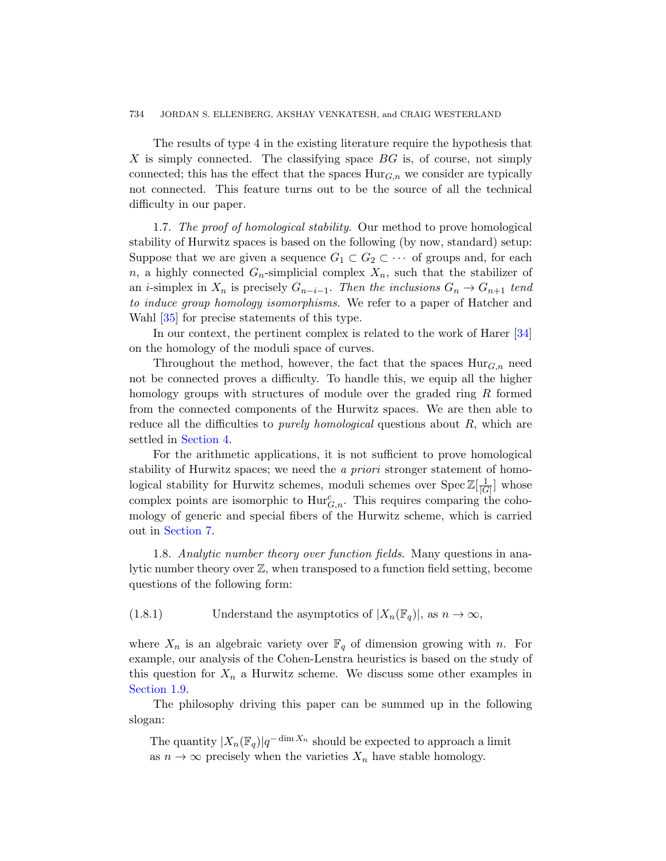<span id="page-5-0"></span>The results of type 4 in the existing literature require the hypothesis that X is simply connected. The classifying space  $BG$  is, of course, not simply connected; this has the effect that the spaces  $\text{Hur}_{G,n}$  we consider are typically not connected. This feature turns out to be the source of all the technical difficulty in our paper.

1.7. The proof of homological stability. Our method to prove homological stability of Hurwitz spaces is based on the following [\(by](#page-56-4) now, standard) setup: Suppose that we are given a sequence  $G_1 \subset G_2 \subset \cdots$  of groups and, for each n, a highly connected  $G_n$ -simplicial complex  $X_n$ , such that the stabilizer of an *i*-simplex in  $X_n$  is precisely  $G_{n-i-1}$ . Then the inclusions  $G_n \to G_{n+1}$  tend to induce group homology isomorphisms. We refer to a paper of Hatcher and Wahl [35] for precise statements of this type.

In our context, the pertinent complex is related to the work of Harer [34] on the homology of the moduli space of curves.

Throughout the method, however, the fact that the spaces  $\text{Hur}_{G,n}$  need not be connected proves a difficulty. To handle this, we equip all the higher homology groups with structures of module over the graded ring R formed from the connected components of the Hurwitz spaces. We are then able to reduce all the difficulties to *purely homological* questions about  $R$ , which are settled in Section 4.

For the arithmetic applications, it is not sufficient to prove homological stability of Hurwitz spaces; we need the *a priori* stronger statement of homological stability for Hurwitz schemes, moduli schemes over  $Spec \mathbb{Z}[\frac{1}{16}]$  $\frac{1}{|G|}$  whose complex points are isomorphic to  $\text{Hur}_{G,n}^c$ . This requires comparing the cohomology of generic and special fibers of the Hurwitz scheme, which is carried out in Section 7.

1.8. Analytic number theory over function fields. Many questions in analytic number theory over Z, when transposed to a function field setting, become questions of the following form:

(1.8.1) Understand the asymptotics of  $|X_n(\mathbb{F}_q)|$ , as  $n \to \infty$ ,

where  $X_n$  is an algebraic variety over  $\mathbb{F}_q$  of dimension growing with n. For example, our analysis of the Cohen-Lenstra heuristics is based on the study of this question for  $X_n$  a Hurwitz scheme. We discuss some other examples in Section 1.9.

The philosophy driving this paper can be summed up in the following slogan:

The quantity  $|X_n(\mathbb{F}_q)|q^{-\dim X_n}$  should be expected to approach a limit as  $n \to \infty$  precisely when the varieties  $X_n$  have stable homology.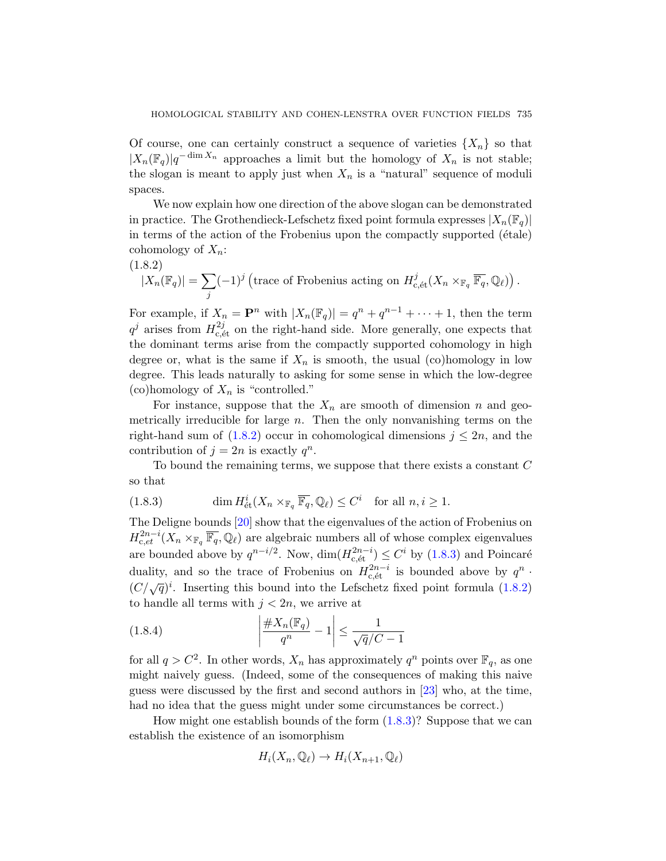Of course, one can certainly construct a sequence of varieties  $\{X_n\}$  so that  $|X_n(\mathbb{F}_q)|q^{-\dim X_n}$  approaches a limit but the homology of  $X_n$  is not stable; the slogan is meant to apply just when  $X_n$  is a "natural" sequence of moduli spaces.

<span id="page-6-0"></span>We now explain how one direction of the above slogan can be demonstrated in practice. The Grothendieck-Lefschetz fixed point formula expresses  $|X_n(\mathbb{F}_q)|$ in terms of the action of the Frobenius upon the compactly supported  $(étale)$ cohomology of  $X_n$ :

(1.8.2)

$$
|X_n(\mathbb{F}_q)| = \sum_j (-1)^j \left( \text{trace of Frobenius acting on } H_{c, \text{\'et}}^j(X_n \times_{\mathbb{F}_q} \overline{\mathbb{F}_q}, \mathbb{Q}_\ell) \right).
$$

For example, if  $X_n = \mathbf{P}^n$  with  $|X_n(\mathbb{F}_q)| = q^n + q^{n-1} + \cdots + 1$ , then the term  $q^j$  arises from  $H_{c,\'{e}t}^{2j}$  on the right-hand side. More generally, one expects that [th](#page-6-0)e dominant terms arise from the compactly supported cohomology in high degree or, what is the same if  $X_n$  is smooth, the usual (co)homology in low degree. This leads naturally to asking for some sense in which the low-degree (co)homology of  $X_n$  is "controlled."

<span id="page-6-1"></span>For instance, suppose that the  $X_n$  are smooth of dimension n and geo[m](#page-55-1)etrically irreducible for large  $n$ . Then the only nonvanishing terms on the right-hand sum of  $(1.8.2)$  occur in cohomological dimensions  $j \leq 2n$ , and the contribution of  $j = 2n$  is exactly  $q^n$ .

To bound the remaining terms[, we s](#page-6-1)uppose that there exists a constant  $C$ so that

(1.8.3) 
$$
\dim H^i_{\text{\'et}}(X_n \times_{\mathbb{F}_q} \overline{\mathbb{F}_q}, \mathbb{Q}_\ell) \leq C^i \quad \text{for all } n, i \geq 1.
$$

The Deligne bounds [20] show that the eigenvalues of the action of Frobenius on  $H^{2n-i}_{c,et}(X_n\times_{\mathbb{F}_q} \overline{\mathbb{F}_q},\mathbb{Q}_\ell)$  are algebraic numbers all of whose complex eigenvalues are bounded above by  $q^{n-i/2}$ . Now,  $\dim(H_{c,\text{\'et}}^{2n-i}) \leq C^i$  by  $(1.8.3)$  and Poincaré duality, and so the trace of Frobenius on  $H_{\text{c,\'et}}^{2n-i}$  is bounded above by  $q^n$ .  $(C/\sqrt{q})^i$ . Inserting this bound into the Lefschetz fixed point formula (1.8.2) to handle all terms with  $j < 2n$ , [we](#page-55-2) arrive at

(1.8.4) 
$$
\left| \frac{\#X_n(\mathbb{F}_q)}{q^n} - 1 \right| \leq \frac{1}{\sqrt{q}/C - 1}
$$

for all  $q > C^2$ . In other words,  $X_n$  has approximately  $q^n$  points over  $\mathbb{F}_q$ , as one might naively guess. (Indeed, some of the consequences of making this naive guess were discussed by the first and second authors in [23] who, at the time, had no idea that the guess might under some circumstances be correct.)

How might one establish bounds of the form  $(1.8.3)$ ? Suppose that we can establish the existence of an isomorphism

$$
H_i(X_n, \mathbb{Q}_\ell) \to H_i(X_{n+1}, \mathbb{Q}_\ell)
$$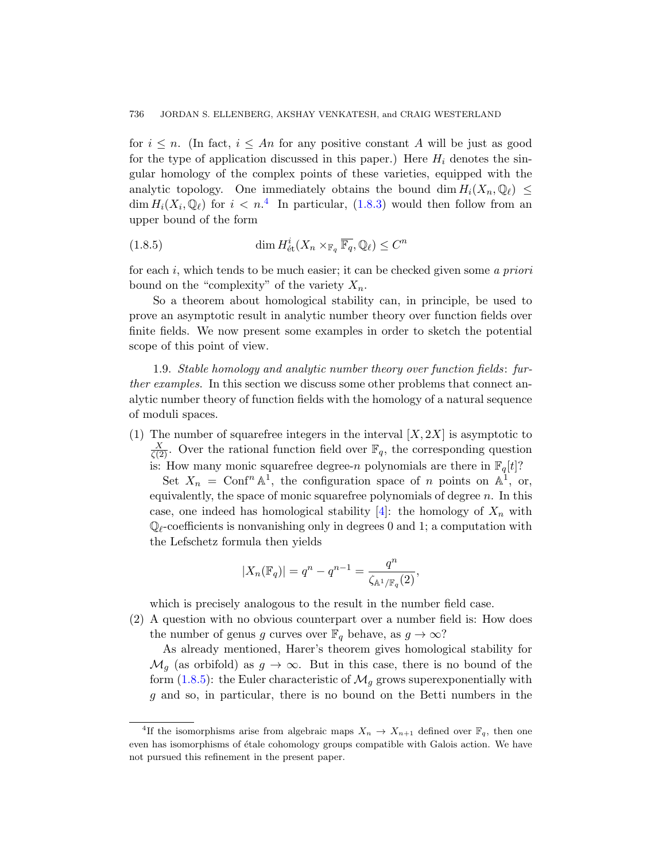for  $i \leq n$ . (In fact,  $i \leq An$  for any positive constant A will be just as good for the type of application discussed in this paper.) Here  $H_i$  denotes the singular homology of the complex points of these varieties, equipped with the analytic topology. One immediately obtains the bound dim  $H_i(X_n, \mathbb{Q}_\ell) \leq$  $\dim H_i(X_i, \mathbb{Q}_\ell)$  for  $i < n$ .<sup>4</sup> In particular, (1.8.3) would then follow from an upper bound of the form

(1.8.5) 
$$
\dim H^i_{\text{\'et}}(X_n \times_{\mathbb{F}_q} \overline{\mathbb{F}_q}, \mathbb{Q}_\ell) \leq C^n
$$

for each  $i$ , which tends to be much easier; it can be checked given some a priori bound on the "complexity" of the variety  $X_n$ .

So a theorem about homological stability can, in principle, be used to prove an asymptotic result in analytic number theory over function fields over finite fields. We now present some examples in order to sketch the potential scope of this point of view.

1.9. Stable homology and analytic number theory over function fields: further examples. In this section we discuss some other problems that connect analytic number theory of function fields with the homology of a natural sequence of moduli spaces.

(1) The number of squarefree integers in the interval  $[X, 2X]$  is asymptotic to  $\frac{X}{\zeta(2)}$ . Over the rational function field over  $\mathbb{F}_q$ , the corresponding question is: How many monic squarefree degree-n polynomials are there in  $\mathbb{F}_q[t]$ ?

Set  $X_n = \text{Conf}^n \mathbb{A}^1$ , the configuration space of n points on  $\mathbb{A}^1$ , or, equivalently, the space of monic squarefree polynomials of degree  $n$ . In this case, one indeed has homological stability  $[4]$ : the homology of  $X_n$  with  $\mathbb{Q}_\ell$ -coefficients is nonvanishing only in degrees 0 and 1; a computation with the Lefschetz formula then yields

$$
|X_n(\mathbb{F}_q)| = q^n - q^{n-1} = \frac{q^n}{\zeta_{\mathbb{A}^1/\mathbb{F}_q}(2)},
$$

which is precisely analogous to the result in the number field case.

<span id="page-7-0"></span>(2) A question with no obvious counterpart over a number field is: How does the number of genus g curves over  $\mathbb{F}_q$  behave, as  $g \to \infty$ ?

As already mentioned, Harer's theorem gives homological stability for  $\mathcal{M}_g$  (as orbifold) as  $g \to \infty$ . But in this case, there is no bound of the form  $(1.8.5)$ : the Euler characteristic of  $\mathcal{M}_g$  grows superexponentially with g and so, in particular, there is no bound on the Betti numbers in the

<sup>&</sup>lt;sup>4</sup>If the isomorphisms arise from algebraic maps  $X_n \to X_{n+1}$  defined over  $\mathbb{F}_q$ , then one even has isomorphisms of étale cohomology groups compatible with Galois action. We have not pursued this refinement in the present paper.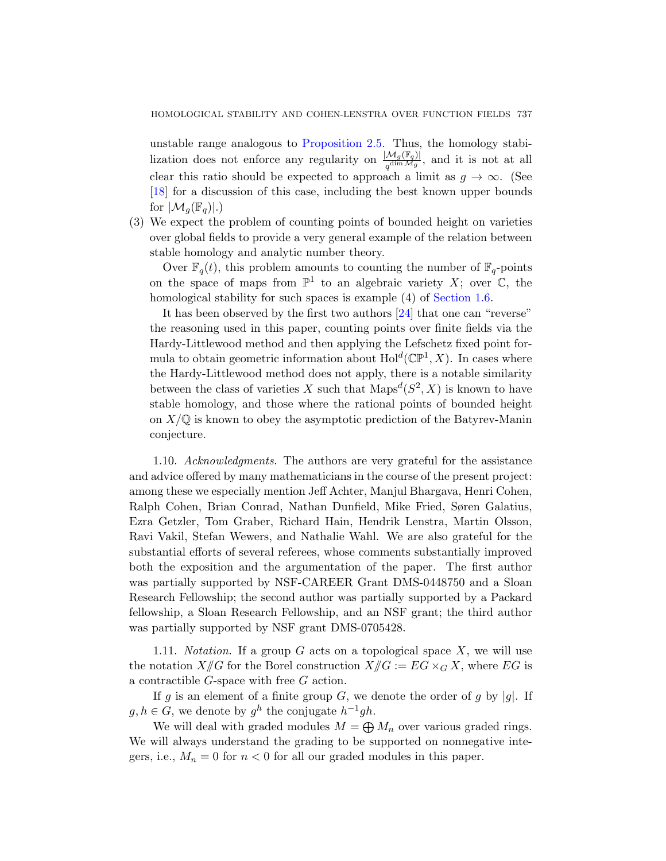unstable range analogous to Proposition 2.5. Thus, the homology stabilization does not enforce any regularity on  $\frac{|\mathcal{M}_g(\mathbb{F}_q)|}{q^{\dim \mathcal{M}_g}}$ , and it is not at all clear this ratio should be expected to approach a limit as  $q \to \infty$ . (See [18] for a discussion of this cas[e, including](#page-4-0) the best known upper bounds for  $|\mathcal{M}_g(\mathbb{F}_q)|.$ 

(3) We expect the problem [of c](#page-55-3)ounting points of bounded height on varieties over global fields to provide a very general example of the relation between stable homology and analytic number theory.

Over  $\mathbb{F}_q(t)$ , this problem amounts to counting the number of  $\mathbb{F}_q$ -points on the space of maps from  $\mathbb{P}^1$  to an algebraic variety X; over  $\mathbb{C}$ , the homological stability for such spaces is example  $(4)$  of Section 1.6.

It has been observed by the first two authors [24] that one can "reverse" the reasoning used in this paper, counting points over finite fields via the Hardy-Littlewood method and then applying the Lefschetz fixed point formula to obtain geometric information about  $\text{Hol}^d(\mathbb{CP}^1, X)$ . In cases where the Hardy-Littlewood method does not apply, there is a notable similarity between the class of varieties X such that  $Maps^{d}(S^{2}, X)$  is known to have stable homology, and those where the rational points of bounded height on  $X/\mathbb{Q}$  is known to obey the asymptotic prediction of the Batyrev-Manin conjecture.

<span id="page-8-0"></span>1.10. Acknowledgments. The authors are very grateful for the assistance and advice offered by many mathematicians in the course of the present project: among these we especially mention Jeff Achter, Manjul Bhargava, Henri Cohen, Ralph Cohen, Brian Conrad, Nathan Dunfield, Mike Fried, Søren Galatius, Ezra Getzler, Tom Graber, Richard Hain, Hendrik Lenstra, Martin Olsson, Ravi Vakil, Stefan Wewers, and Nathalie Wahl. We are also grateful for the substantial efforts of several referees, whose comments substantially improved both the exposition and the argumentation of the paper. The first author was partially supported by NSF-CAREER Grant DMS-0448750 and a Sloan Research Fellowship; the second author was partially supported by a Packard fellowship, a Sloan Research Fellowship, and an NSF grant; the third author was partially supported by NSF grant DMS-0705428.

1.11. *Notation*. If a group  $G$  acts on a topological space  $X$ , we will use the notation  $X/\!\!/ G$  for the Borel construction  $X/\!\!/ G := EG \times_G X$ , where EG is a contractible G-space with free G action.

If g is an element of a finite group G, we denote the order of g by |g|. If  $g, h \in G$ , we denote by  $g^h$  the conjugate  $h^{-1}gh$ .

We will deal with graded modules  $M = \bigoplus M_n$  over various graded rings. We will always understand the grading to be supported on nonnegative integers, i.e.,  $M_n = 0$  for  $n < 0$  for all our graded modules in this paper.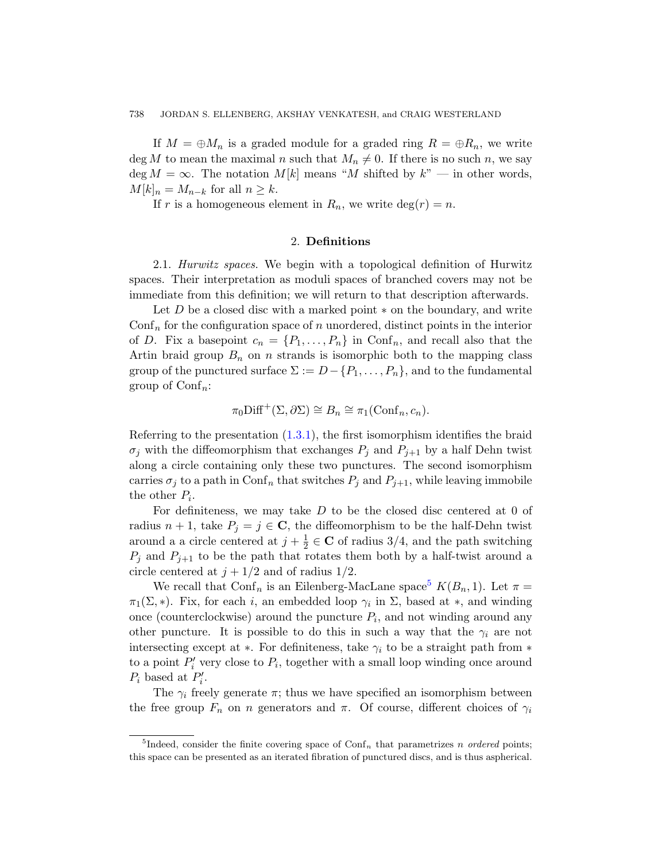<span id="page-9-2"></span><span id="page-9-0"></span>If  $M = \bigoplus M_n$  is a graded module for a graded ring  $R = \bigoplus R_n$ , we write deg M to mean the maximal n such that  $M_n \neq 0$ . If there is no such n, we say deg  $M = \infty$ . The notation  $M[k]$  means "M shifted by  $k"$  — in other words,  $M[k]_n = M_{n-k}$  for all  $n \geq k$ .

If r is a homogeneous element in  $R_n$ , we write  $\deg(r) = n$ .

# 2. Definitions

2.1. Hurwitz spaces. We begin with a topological definition of Hurwitz spaces. Their interpretation as moduli spaces of branched covers may not be immediate from this definition; we will return to that description afterwards.

Let  $D$  be a closed disc with a marked point  $*$  on the boundary, and write  $\text{Conf}_n$  for the configuration space of n unordered, distinct points in the interior of D. [Fix a](#page-2-1) basepoint  $c_n = \{P_1, \ldots, P_n\}$  in Conf<sub>n</sub>, and recall also that the Artin braid group  $B_n$  on n strands is isomorphic both to the mapping class group of the punctured surface  $\Sigma := D - \{P_1, \ldots, P_n\}$ , and to the fundamental group of  $\text{Conf}_n$ :

$$
\pi_0 \text{Diff}^+(\Sigma, \partial \Sigma) \cong B_n \cong \pi_1(\text{Conf}_n, c_n).
$$

Referring to the presentation  $(1.3.1)$ , the first isomorphism identifies the braid  $\sigma_j$  with the diffeomorphism that exchanges  $P_j$  and  $P_{j+1}$  by a half Dehn twist along a circle containing only these two punctures. The second isomorphism carries $\sigma_j$  to a path in Conf<sub>n</sub> that s[w](#page-9-1)itches  $P_j$  and  $P_{j+1}$ , while leaving immobile the other  $P_i$ .

For definiteness, we may take  $D$  to be the closed disc centered at 0 of radius  $n + 1$ , take  $P_i = j \in \mathbb{C}$ , the diffeomorphism to be the half-Dehn twist around a a circle centered at  $j+\frac{1}{2}$  $\frac{1}{2} \in \mathbf{C}$  of radius 3/4, and the path switching  $P_i$  and  $P_{i+1}$  to be the path that rotates them both by a half-twist around a circle centered at  $j + 1/2$  and of radius  $1/2$ .

We recall that Conf<sub>n</sub> is an Eilenberg-MacLane space<sup>5</sup>  $K(B_n, 1)$ . Let  $\pi =$  $\pi_1(\Sigma, *)$ . Fix, for each *i*, an embedded loop  $\gamma_i$  in  $\Sigma$ , based at \*, and winding once (counterclockwise) around the puncture  $P_i$ , and not winding around any other puncture. It is possible to do this in such a way that the  $\gamma_i$  are not intersecting except at  $*$ . For definiteness, take  $\gamma_i$  to be a straight path from  $*$ to a point  $P'_i$  very close to  $P_i$ , together with a small loop winding once around  $P_i$  based at  $P'_i$ .

<span id="page-9-1"></span>The  $\gamma_i$  freely generate  $\pi$ ; thus we have specified an isomorphism between the free group  $F_n$  on n generators and  $\pi$ . Of course, different choices of  $\gamma_i$ 

<sup>&</sup>lt;sup>5</sup>Indeed, consider the finite covering space of Conf<sub>n</sub> that parametrizes n ordered points; this space can be presented as an iterated fibration of punctured discs, and is thus aspherical.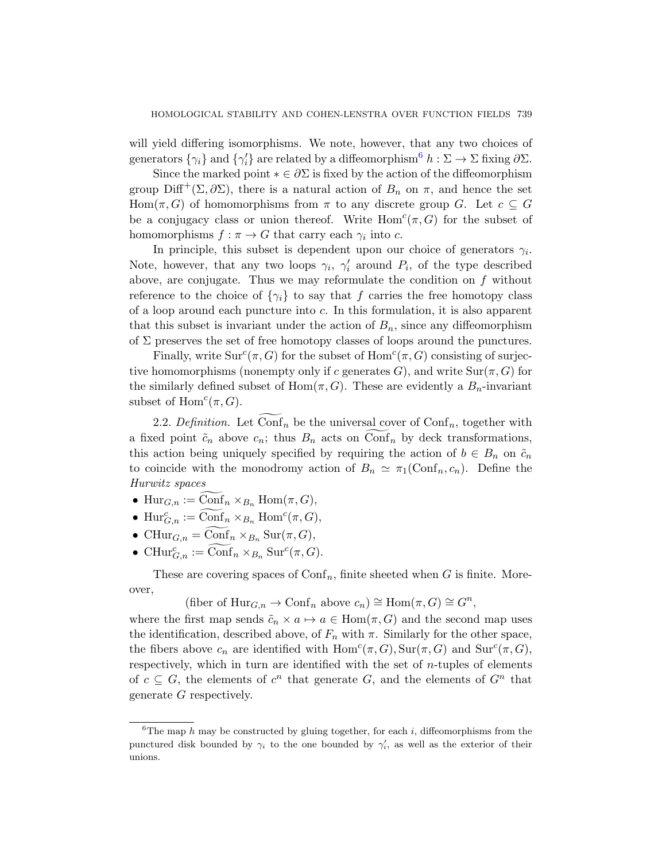will yield differing isomorphisms. We note, however, that any two choices of generators  $\{\gamma_i\}$  and  $\{\gamma'_i\}$  are related by a diffeomorphism<sup>6</sup>  $h : \Sigma \to \Sigma$  fixing  $\partial \Sigma$ .

Since the marked point  $* \in \partial \Sigma$  is fixed by the action of the diffeomorphism group Diff<sup>+</sup>( $\Sigma$ ,  $\partial \Sigma$ ), there is a natural action of  $B_n$  on  $\pi$ , and hence the set  $Hom(\pi, G)$  of homomorphisms from  $\pi$  to any discrete group G. Let  $c \subseteq G$ be a conjugacy class or union thereof. Write  $Hom<sup>c</sup>(\pi, G)$  for the subset of homomorphisms  $f : \pi \to G$  that carry each  $\gamma_i$  into c.

In principle, this subset is dependent upon our choice of generators  $\gamma_i$ . Note, however, that any two loops  $\gamma_i$ ,  $\gamma'_i$  around  $P_i$ , of the type described above, are conjugate. Thus we may reformulate the condition on  $f$  without reference to the choice of  $\{\gamma_i\}$  to say that f carries the free homotopy class of a loop around each puncture into c. In this formulation, it is also apparent that this subset is invariant under the action of  $B_n$ , since any diffeomorphism of  $\Sigma$  preserves the set of free homotopy classes of loops around the punctures.

<span id="page-10-0"></span>Finally, write  $\text{Sur}^c(\pi, G)$  for the subset of  $\text{Hom}^c(\pi, G)$  consisting of surjective homomorphisms (nonempty only if c generates G), and write  $\text{Sur}(\pi, G)$  for the similarly defined subset of  $Hom(\pi, G)$ . These are evidently a  $B_n$ -invariant subset of  $\text{Hom}^c(\pi, G)$ .

2.2. Definition. Let  $\text{Conf}_n$  be the universal cover of  $\text{Conf}_n$ , together with a fixed point  $\tilde{c}_n$  above  $c_n$ ; thus  $B_n$  acts on  $\text{Conf}_n$  by deck transformations, this action being uniquely specified by requiring the action of  $b \in B_n$  on  $\tilde{c}_n$ to coincide with the monodromy action of  $B_n \simeq \pi_1(\text{Conf}_n, c_n)$ . Define the Hurwitz spaces

- $\text{Hur}_{G,n} := \text{Conf}_n \times_{B_n} \text{Hom}(\pi, G),$
- $\text{Hur}_{G,n}^c := \widehat{\text{Conf}}_n \times_{B_n} \text{Hom}^c(\pi, G),$
- CHur $_{G,n} = \widetilde{\text{Conf}}_n \times_{B_n} \text{Sur}(\pi, G),$
- CHur ${}_{G,n}^c := \widehat{\text{Conf}}_n \times_{B_n} \text{Sur}^c(\pi, G).$

These are covering spaces of  $\text{Conf}_n$ , finite sheeted when G is finite. Moreover,

(fiber of  $\text{Hur}_{G,n} \to \text{Conf}_n$  above  $c_n) \cong \text{Hom}(\pi, G) \cong G^n$ ,

where the first map sends  $\tilde{c}_n \times a \mapsto a \in \text{Hom}(\pi, G)$  and the second map uses the identification, described above, of  $F_n$  with  $\pi$ . Similarly for the other space, the fibers above  $c_n$  are identified with  $\text{Hom}^c(\pi, G)$ ,  $\text{Sur}(\pi, G)$  and  $\text{Sur}^c(\pi, G)$ , respectively, which in turn are identified with the set of  $n$ -tuples of elements of  $c \subseteq G$ , the elements of  $c^n$  that generate G, and the elements of  $G^n$  that generate G respectively.

<sup>&</sup>lt;sup>6</sup>The map h may be constructed by gluing together, for each i, diffeomorphisms from the punctured disk bounded by  $\gamma_i$  to the one bounded by  $\gamma'_i$ , as well as the exterior of their unions.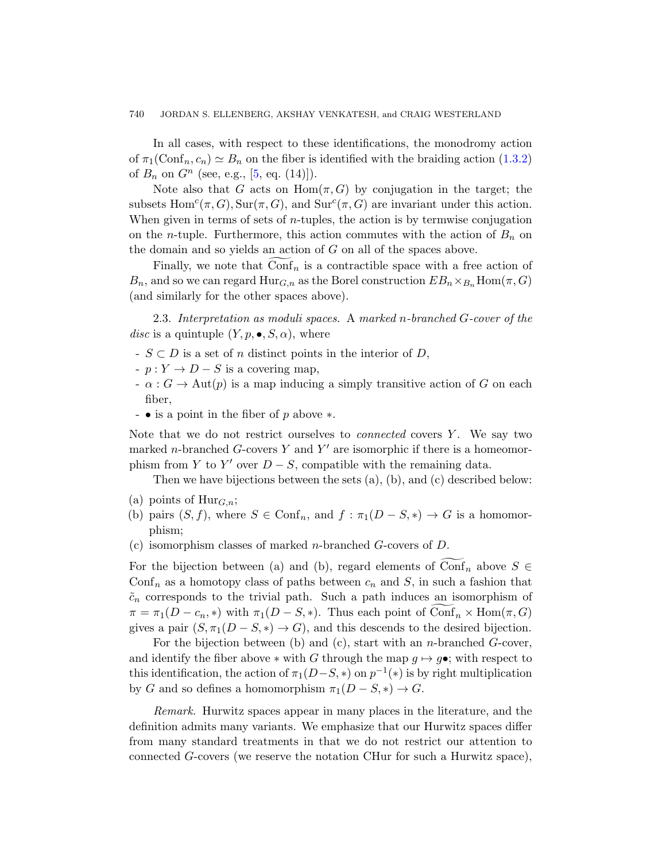#### 740 JORDAN S. ELLENBERG, AKSHAY VENKATESH, and CRAIG WESTERLAND

In all cases, with respect to these identifications, the monodromy action of  $\pi_1(\text{Conf}_n, c_n) \simeq B_n$  on the fiber is identified with the braiding action (1.3.2) of  $B_n$  on  $G^n$  (see, e.g., [5, eq. (14)]).

Note also that G acts on  $Hom(\pi, G)$  by conjugation in the target; the subsets  $Hom<sup>c</sup>(\pi, G)$ ,  $Sur(\pi, G)$ , and  $Sur<sup>c</sup>(\pi, G)$  are invariant under this action. When given in terms of sets of  $n$ -tuples, the action is by termwise conjugation on the *n*-tuple. Furthermore, this action commutes with the action of  $B_n$  on the domain and so yields an action of G on all of the spaces above.

Finally, we note that  $\text{Conf}_n$  is a contractible space with a free action of  $B_n$ , and so we can regard  $\text{Hur}_{G,n}$  as the Borel construction  $EB_n \times_{B_n} \text{Hom}(\pi, G)$ (and similarly for the other spaces above).

2.3. Interpretation as moduli spaces. A marked n-branched G-cover of the disc is a quintuple  $(Y, p, \bullet, S, \alpha)$ , where

- $S \subset D$  is a set of n distinct points in the interior of D,
- $-p: Y \to D S$  is a covering map,
- $-\alpha$ :  $G \to \text{Aut}(p)$  is a map inducing a simply transitive action of G on each fiber,
- • is a point in the fiber of p above ∗.

Note that we do not restrict ourselves to *connected* covers  $Y$ . We say two marked *n*-branched  $G$ -covers  $Y$  and  $Y'$  are isomorphic if there is a homeomorphism from Y to Y' over  $D-S$ , compatible with the remaining data.

Then we have bijections between the sets (a), (b), and (c) described below:

- (a) points of  $\text{Hur}_{G,n}$ ;
- (b) pairs  $(S, f)$ , where  $S \in \text{Conf}_n$ , and  $f : \pi_1(D S, *) \to G$  is a homomorphism;
- (c) isomorphism classes of marked n-branched G-covers of D.

For the bijection between (a) and (b), regard elements of Conf<sub>n</sub> above  $S \in$ Conf<sub>n</sub> as a homotopy class of paths between  $c_n$  and S, in such a fashion that  $\tilde{c}_n$  corresponds to the trivial path. Such a path induces an isomorphism of  $\pi = \pi_1(D - c_n, *)$  with  $\pi_1(D - S, *)$ . Thus each point of  $\widehat{\text{Conf}}_n \times \text{Hom}(\pi, G)$ gives a pair  $(S, \pi_1(D - S, *) \to G)$ , and this descends to the desired bijection.

For the bijection between (b) and (c), start with an *n*-branched  $G$ -cover, and identify the fiber above  $*$  with G through the map  $g \mapsto g \bullet$ ; with respect to this identification, the action of  $\pi_1(D-S, *)$  on  $p^{-1}(*)$  is by right multiplication by G and so defines a homomorphism  $\pi_1(D-S,*) \to G$ .

Remark. Hurwitz spaces appear in many places in the literature, and the definition admits many variants. We emphasize that our Hurwitz spaces differ from many standard treatments in that we do not restrict our attention to connected G-covers (we reserve the notation CHur for such a Hurwitz space),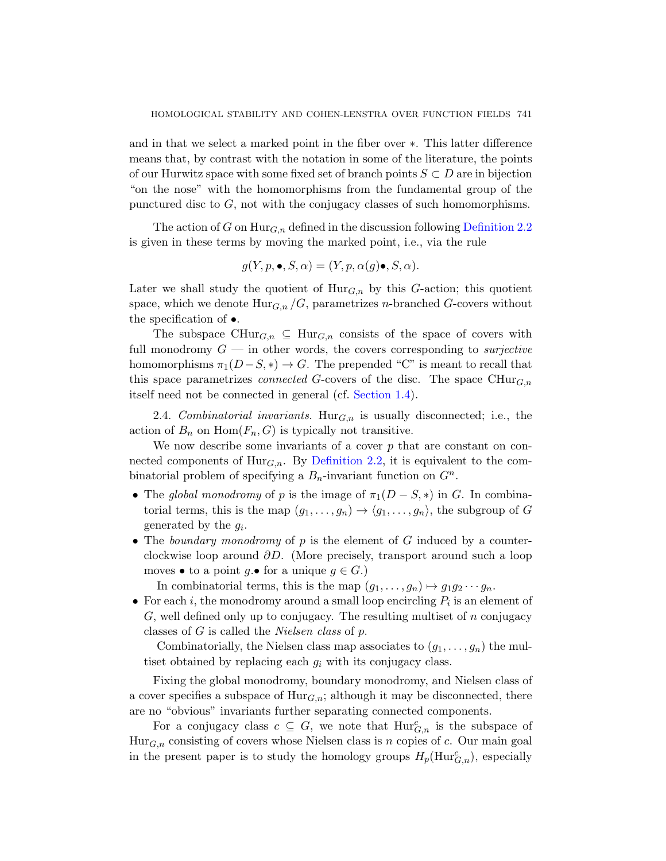and in that we select a marked point int[he fiber over](#page-10-0) ∗. This latter difference means that, by contrast with the notation in some of the literature, the points of our Hurwitz space with some fixed set of branch points  $S \subset D$  are in bijection "on the nose" with the homomorphisms from the fundamental group of the punctured disc to  $G$ , not with the conjugacy classes of such homomorphisms.

The action of G on  $\text{Hur}_{G,n}$  defined in the discussion following Definition 2.2 is given in these terms by moving the marked point, i.e., via the rule

$$
g(Y, p, \bullet, S, \alpha) = (Y, p, \alpha(g)\bullet, S, \alpha).
$$

Later we shall study the quotient of  $\text{Hur}_{G,n}$  by this G-action; this quotient space, which we denote  $\text{Hur}_{G,n}/G$ , parametrizes *n*-branched G-covers without the specification of •.

The subspace  $\text{CHur}_{G,n} \subseteq \text{Hur}_{G,n}$  consists of the space of covers with full monodromy  $G$  — in other words, the covers corresponding to *surjective* homomorph[isms](#page-10-0)  $\pi_1(D-S, *) \to G$ . The prepended "C" is meant to recall that this space parametrizes *connected* G-covers of the disc. The space  $\text{CHur}_{G,n}$ itself need not be connected in general (cf. Section 1.4).

2.4. Combinatorial invariants. Hur<sub>G,n</sub> is usually disconnected; i.e., the action of  $B_n$  on  $\text{Hom}(F_n, G)$  is typically not transitive.

We now describe some invariants of a cover  $p$  that are constant on connected components of  $\text{Hur}_{G,n}$ . By Definition 2.2, it is equivalent to the combinatorial problem of specifying a  $B_n$ -invariant function on  $G^n$ .

- The global monodromy of p is the image of  $\pi_1(D-S,*)$  in G. In combinatorial terms, this is the map  $(g_1, \ldots, g_n) \to \langle g_1, \ldots, g_n \rangle$ , the subgroup of G generated by the  $g_i$ .
- The boundary monodromy of  $p$  is the element of  $G$  induced by a counterclockwise loop around  $\partial D$ . (More precisely, transport around such a loop moves • to a point  $q.\bullet$  for a unique  $q \in G.$ )

In combinatorial terms, this is the map  $(g_1, \ldots, g_n) \mapsto g_1 g_2 \cdots g_n$ .

• For each *i*, the monodromy around a small loop encircling  $P_i$  is an element of G, well defined only up to conjugacy. The resulting multiset of n conjugacy classes of G is called the Nielsen class of p.

Combinatorially, the Nielsen class map associates to  $(g_1, \ldots, g_n)$  the multiset obtained by replacing each  $g_i$  with its conjugacy class.

Fixing the global monodromy, boundary monodromy, and Nielsen class of a cover specifies a subspace of  $\text{Hur}_{G,n}$ ; although it may be disconnected, there are no "obvious" invariants further separating connected components.

For a conjugacy class  $c \subseteq G$ , we note that  $\text{Hur}_{G,n}^c$  is the subspace of  $Hur_{G,n}$  consisting of covers whose Nielsen class is n copies of c. Our main goal in the present paper is to study the homology groups  $H_p(\text{Hur}_{{G},n}^c)$ , especially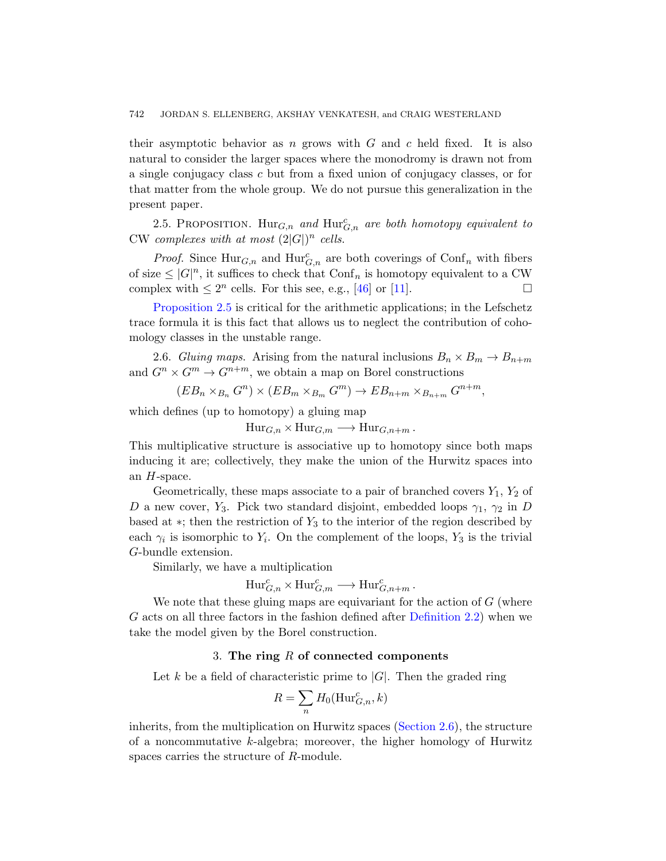<span id="page-13-2"></span>their asymptotic behavior as  $n$  grows with  $G$  and  $c$  held fixed. It is also natural to consider the larger spaces where the monodromy is drawn not from a single conjugacy class c but from a fixed union of conjugacy classes, or for that matter from th[e wh](#page-57-2)ole [gro](#page-54-5)up. We do not pursue this generalization in the present paper.

2.5. PROPOSITION.  $\text{Hur}_{G,n}$  and  $\text{Hur}_{G,n}^c$  are both homotopy equivalent to CW complexes with at most  $(2|G|)^n$  cells.

<span id="page-13-1"></span>*Proof.* Since  $\text{Hur}_{G,n}$  and  $\text{Hur}_{G,n}^c$  are both coverings of  $\text{Conf}_n$  with fibers of size  $\leq |G|^n$ , it suffices to check that  $\text{Conf}_n$  is homotopy equivalent to a CW complex with  $\leq 2^n$  cells. For this see, e.g., [46] or [11].

Proposition 2.5 is critical for the arithmetic applications; in the Lefschetz trace formula it is this fact that allows us to neglect the contribution of cohomology classes in the unstable range.

2.6. Gluing maps. Arising from the natural inclusions  $B_n \times B_m \to B_{n+m}$ and  $G^n \times G^m \to G^{n+m}$ , we obtain a map on Borel constructions

$$
(EB_n \times_{B_n} G^n) \times (EB_m \times_{B_m} G^m) \to EB_{n+m} \times_{B_{n+m}} G^{n+m},
$$

which defines (up to homotopy) a gluing map

 $\text{Hur}_{G,n} \times \text{Hur}_{G,m} \longrightarrow \text{Hur}_{G,n+m}$ .

This multiplicative structure is associative up to homotopy since both maps inducing it are; collectively, they make the union of the Hurwitz spaces into an  $H$ -space.

Geometrically, these maps associate to a pair of branched covers  $Y_1, Y_2$  of D a new cover, Y<sub>3</sub>. Pick two standard disjoint, embedded loops  $\gamma_1$ ,  $\gamma_2$  in D based at  $*$ ; then the restriction of  $Y_3$  [to the in](#page-10-0)terior of the region described by each  $\gamma_i$  is isomorphic to  $Y_i$ . On the complement of the loops,  $Y_3$  is the trivial G-bundle extension.

Similarly, we have a multiplication

$$
\text{Hur}_{G,n}^c \times \text{Hur}_{G,m}^c \longrightarrow \text{Hur}_{G,n+m}^c.
$$

<span id="page-13-0"></span>We note that these gluing maps are equivariant for the action of  $G$  (where G acts on all three factors in the fashion defined after Definition 2.2) when we take the model given by the [Borel const](#page-13-1)ruction.

## 3. The ring  $R$  of connected components

Let k be a field of characteristic prime to  $|G|$ . Then the graded ring

$$
R = \sum_{n} H_0(\mathrm{Hur}_{G,n}^c, k)
$$

inherits, from the multiplication on Hurwitz spaces (Section 2.6), the structure of a noncommutative k-algebra; moreover, the higher homology of Hurwitz spaces carries the structure of R-module.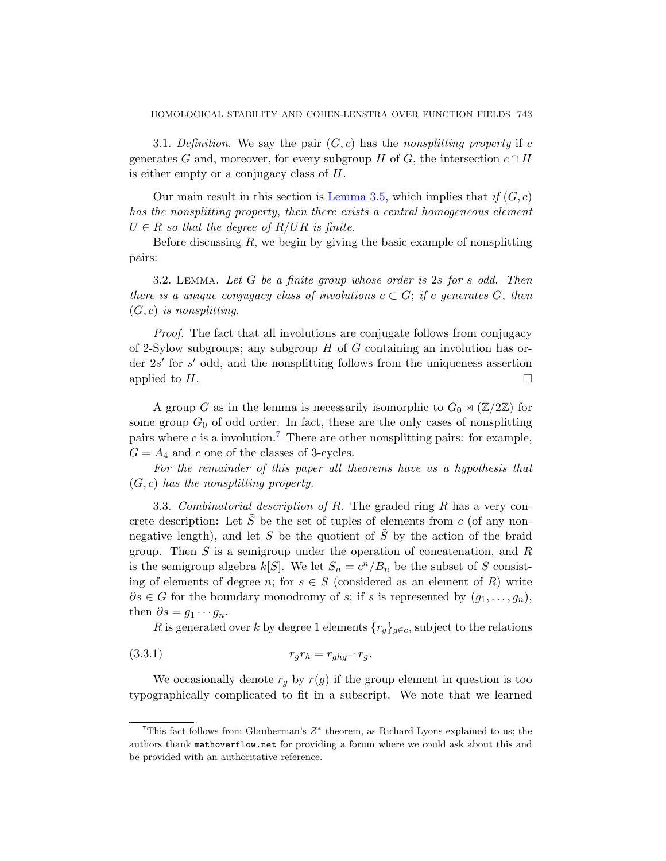3.1. Definition. We say the pair  $(G, c)$  has the nonsplitting property if c generates G and, moreover, for every subgroup H of G, the intersection  $c \cap H$ is either empty or a conjugacy class of H.

<span id="page-14-1"></span>Our main result in this section is Lemma 3.5, which implies that if  $(G, c)$ has the nonsplitting property, then there exists a central homogeneous element  $U \in R$  so that the degree of  $R/UR$  is finite.

Before discussing  $R$ , we begin by giving the basic example of nonsplitting pairs:

3.2. LEMMA. Let  $G$  be a finite group whose order is  $2s$  for s odd. Then there is a unique conjugacy class of involutions  $c \subset G$ ; if c generates G, then  $(G, c)$  is nonsplitting.

Proof. The fact that all involutions are conjugate follows from conjugacy of 2-[Sy](#page-14-0)low subgroups; any subgroup  $H$  of  $G$  containing an involution has order  $2s'$  for  $s'$  odd, and the nonsplitting follows from the uniqueness assertion applied to  $H$ .

A group G as in the lemma is necessarily isomorphic to  $G_0 \rtimes (\mathbb{Z}/2\mathbb{Z})$  for some group  $G_0$  of odd order. In fact, these are the only cases of nonsplitting pairs where c is a involution.<sup>7</sup> There are other nonsplitting pairs: for example,  $G = A_4$  and c one of the classes of 3-cycles.

For the remainder of this paper all theorems have as a hypothesis that  $(G, c)$  has the nonsplitting property.

3.3. Combinatorial description of R. The graded ring  $R$  has a very concrete description: Let  $\tilde{S}$  be the set of tuples of elements from c (of any nonnegative length), and let S be the quotient of  $\tilde{S}$  by the action of the braid group. Then  $S$  is a semigroup under the operation of concatenation, and  $R$ is the semigroup algebra  $k[S]$ . We let  $S_n = c^n/B_n$  be the subset of S consisting of elements of degree n; for  $s \in S$  (considered as an element of R) write  $\partial s \in G$  for the boundary monodromy of s; if s is represented by  $(g_1, \ldots, g_n)$ , then  $\partial s = g_1 \cdots g_n$ .

R is generated over k by degree 1 elements  ${r_q}_{q \in c}$ , subject to the relations

<span id="page-14-0"></span>
$$
(3.3.1) \t\t\t\t\t r_g r_h = r_{ghg^{-1}} r_g.
$$

We occasionally denote  $r_g$  by  $r(g)$  if the group element in question is too typographically complicated to fit in a subscript. We note that we learned

<sup>&</sup>lt;sup>7</sup>This fact follows from Glauberman's  $Z^*$  theorem, as Richard Lyons explained to us; the authors thank mathoverflow.net for providing a forum where we could ask about this and be provided with an authoritative reference.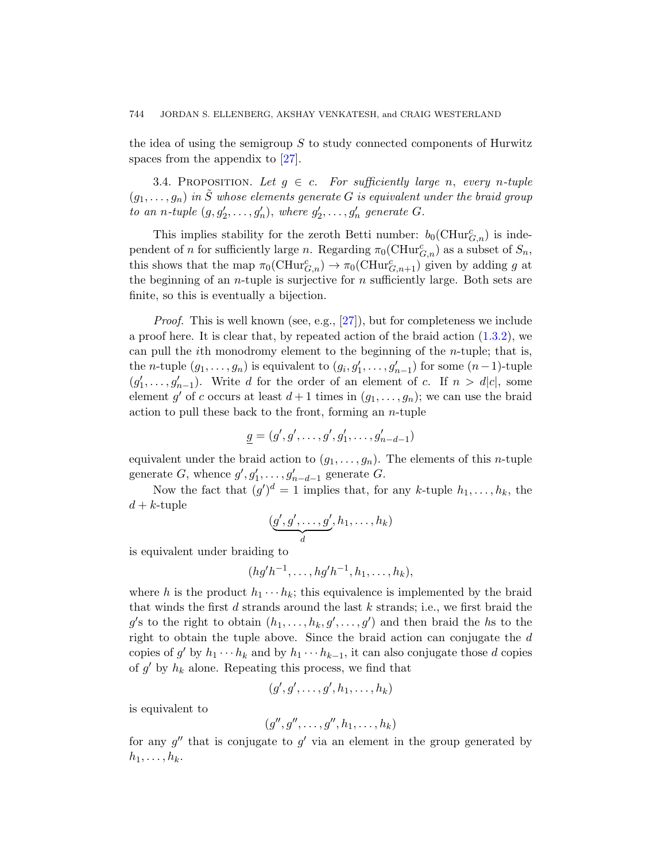<span id="page-15-0"></span>the idea of using the semigroup  $S$  to study connected components of Hurwitz spaces from the appendix to [27].

3.4. PROPOSITION. Let  $g \in c$ . For sufficiently large n, every n-tuple  $(g_1, \ldots, g_n)$  in  $\tilde{S}$  whose elements generate G is equivalent under the braid group to an n-tuple  $(g, g'_2, \ldots, g'_n)$ , where  $g'_2, \ldots, g'_n$  generate G.

This implies [sta](#page-55-4)bility for the zeroth Be[tti nu](#page-2-0)mber:  $b_0(CHur_{G,n}^c)$  is independent of n for sufficiently large n. Regarding  $\pi_0(\mathrm{CHur}_{G,n}^c)$  as a subset of  $S_n$ , this shows that the map  $\pi_0(\mathrm{CHur}_{G,n}^c) \to \pi_0(\mathrm{CHur}_{G,n+1}^c)$  given by adding g at the beginning of an *n*-tuple is surjective for  $n$  sufficiently large. Both sets are finite, so this is eventually a bijection.

Proof. This is well known (see, e.g., [27]), but for completeness we include a proof here. It is clear that, by repeated action of the braid action  $(1.3.2)$ , we can pull the *i*th monodromy element to the beginning of the *n*-tuple; that is, the *n*-tuple  $(g_1, \ldots, g_n)$  is equivalent to  $(g_i, g'_1, \ldots, g'_{n-1})$  for some  $(n-1)$ -tuple  $(g'_1, \ldots, g'_{n-1})$ . Write d for the order of an element of c. If  $n > d|c|$ , some element g' of c occurs at least  $d+1$  times in  $(g_1, \ldots, g_n)$ ; we can use the braid action to pull these back to the front, forming an  $n$ -tuple

$$
\underline{g} = (g', g', \dots, g', g'_1, \dots, g'_{n-d-1})
$$

equivalent under the braid action to  $(g_1, \ldots, g_n)$ . The elements of this *n*-tuple generate G, whence  $g', g'_1, \ldots, g'_{n-d-1}$  generate G.

Now the fact that  $(g')^d = 1$  implies that, for any k-tuple  $h_1, \ldots, h_k$ , the  $d + k$ -tuple

$$
(\underbrace{g',g',\ldots,g'}_d,h_1,\ldots,h_k)
$$

is equivalent under braiding to

$$
(hg'h^{-1},\ldots,hg'h^{-1},h_1,\ldots,h_k),
$$

where h is the product  $h_1 \cdots h_k$ ; this equivalence is implemented by the braid that winds the first  $d$  strands around the last  $k$  strands; i.e., we first braid the  $g'$ s to the right to obtain  $(h_1, \ldots, h_k, g', \ldots, g')$  and then braid the hs to the right to obtain the tuple above. Since the braid action can conjugate the  $d$ copies of g' by  $h_1 \cdots h_k$  and by  $h_1 \cdots h_{k-1}$ , it can also conjugate those d copies of  $g'$  by  $h_k$  alone. Repeating this process, we find that

$$
(g',g',\ldots,g',h_1,\ldots,h_k)
$$

is equivalent to

$$
(g'',g'',\ldots,g'',h_1,\ldots,h_k)
$$

for any  $g''$  that is conjugate to  $g'$  via an element in the group generated by  $h_1, \ldots, h_k$ .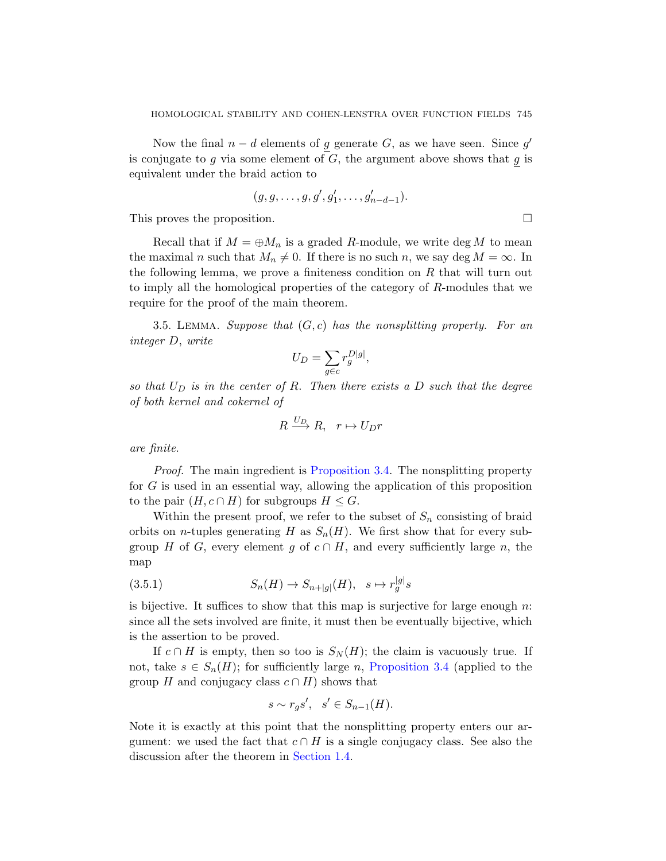Now the final  $n - d$  elements of g generate G, as we have seen. Since g' is conjugate to  $g$  via some element of  $G$ , the argument above shows that  $g$  is equivalent under the braid action to

$$
(g,g,\ldots,g,g',g_1',\ldots,g_{n-d-1}').
$$

<span id="page-16-0"></span>This proves the proposition.

Recall that if  $M = \bigoplus M_n$  is a graded R-module, we write deg M to mean the maximal n such that  $M_n \neq 0$ . If there is no such n, we say deg  $M = \infty$ . In the following lemma, we prove a finiteness condition on  $R$  that will turn out to imply all the homological properties of the category of R-modules that we require for the proof of the main theorem.

3.5. LEMMA. Suppose that  $(G, c)$  has the nonsplitting property. For an integer D, write

$$
U_D = \sum_{g \in c} r_g^{D|g|},
$$

so that  $U_D$  [is in the center](#page-15-0) of R. Then there exists a D such that the degree of both kernel and cokernel of

$$
R \xrightarrow{U_D} R, \quad r \mapsto U_D r
$$

are finite.

Proof. The main ingredient is Proposition 3.4. The nonsplitting property for G is used in an essential way, allowing the application of this proposition to the pair  $(H, c \cap H)$  for subgroups  $H \leq G$ .

Within the present proof, we refer to the subset of  $S_n$  consisting of braid orbits on *n*-tuples generating H as  $S_n(H)$ . We first show that for every subgroup H of G, every element g of  $c \cap H$ , and every sufficiently large n, the map

$$
(3.5.1) \tSn(H) \to Sn+|g|(H), \quad s \mapsto r_g^{|g|} s
$$

is bijective. It suffices to show that this map is surjective for large enough  $n$ : since all the sets involved are finite, it must then be eventually bijective, which is the assertion to be proved.

If  $c \cap H$  is empty, then so too is  $S_N(H)$ ; the claim is vacuously true. If not, take  $s \in S_n(H)$  $s \in S_n(H)$  $s \in S_n(H)$ ; for sufficiently large n, Proposition 3.4 (applied to the group H and conjugacy class  $c \cap H$ ) shows that

$$
s \sim r_g s', \quad s' \in S_{n-1}(H).
$$

Note it is exactly at this point that the nonsplitting property enters our argument: we used the fact that  $c \cap H$  is a single conjugacy class. See also the discussion after the theorem in Section 1.4.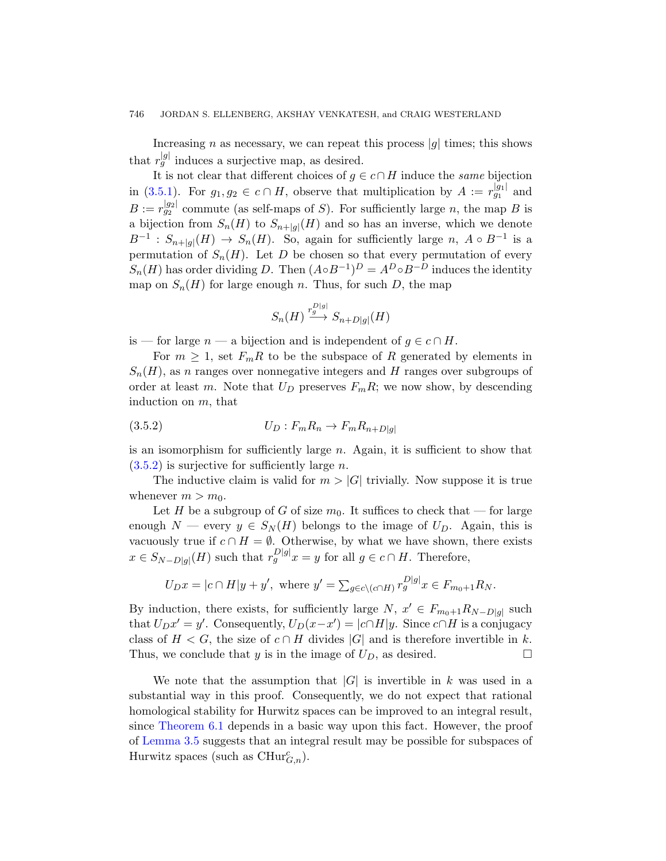Increasing n as necessary, we can repeat this process  $|g|$  times; this shows that  $r_g^{[g]}$  induces a surjective map, as desired.

It is not clear that different choices of  $g \in c \cap H$  induce the *same* bijection in (3.5.1). For  $g_1, g_2 \in c \cap H$ , observe that multiplication by  $A := r_{g_1}^{|g_1|}$  and  $B := r_{g_2}^{|g_2|}$  commute (as self-maps of S). For sufficiently large n, the map B is a bijection from  $S_n(H)$  to  $S_{n+|g|}(H)$  and so has an inverse, which we denote  $B^{-1}: S_{n+|g|}(H) \to S_n(H)$ . So, again for sufficiently large n,  $A \circ B^{-1}$  is a permutation of  $S_n(H)$ . Let D be chosen so that every permutation of every  $S_n(H)$  has order dividing D. Then  $(A \circ B^{-1})^D = A^D \circ B^{-D}$  induces the identity map on  $S_n(H)$  for large enough n. Thus, for such D, the map

$$
S_n(H) \xrightarrow{r_g^{D|g|}} S_{n+D|g|}(H)
$$

is — for large  $n - a$  bijection and is independent of  $g \in c \cap H$ .

For  $m \geq 1$ , set  $F_m R$  to be the subspace of R generated by elements in  $S_n(H)$ , as n ranges over nonnegative integers and H ranges over subgroups of order at least m. Note that  $U_D$  preserves  $F_mR$ ; we now show, by descending induction on m, that

$$
(3.5.2) \t\t\t U_D: F_m R_n \to F_m R_{n+D|g|}
$$

is an isomorphism for sufficiently large  $n$ . Again, it is sufficient to show that  $(3.5.2)$  is surjective for sufficiently large *n*.

The inductive claim is valid for  $m > |G|$  trivially. Now suppose it is true whenever  $m > m_0$ .

Let H be a subgroup of G of size  $m_0$ . It suffices to check that — for large enough  $N$  — every  $y \in S_N(H)$  belongs to the image of  $U_D$ . Again, this is vacuously true if  $c \cap H = \emptyset$ . Otherwise, by what we have shown, there exists  $x \in S_{N-D|g|}(H)$  such that  $r_g^{D|g|}x = y$  for all  $g \in c \cap H$ . Therefore,

$$
U_D x = |c \cap H|y + y', \text{ where } y' = \sum_{g \in c \setminus (c \cap H)} r_g^{|D|} x \in F_{m_0 + 1} R_N.
$$

By induction, there exists, for sufficiently large  $N, x' \in F_{m_0+1}R_{N-D|g|}$  such that  $U_D x' = y'$ . Consequently,  $U_D(x - x') = |c \cap H|y$ . Since  $c \cap H$  is a conjugacy class of  $H < G$ , the size of  $c \cap H$  divides  $|G|$  and is therefore invertible in k. Thus, we conclude that y is in the image of  $U_D$ , as desired.

We note that the assumption that  $|G|$  is invertible in k was used in a substantial way in this proof. Consequently, we do not expect that rational homological stability for Hurwitz spaces can be improved to an integral result, since Theorem 6.1 depends in a basic way upon this fact. However, the proof of Lemma 3.5 suggests that an integral result may be possible for subspaces of Hurwitz spaces (such as  $\mathrm{CHur}_{G,n}^c$ ).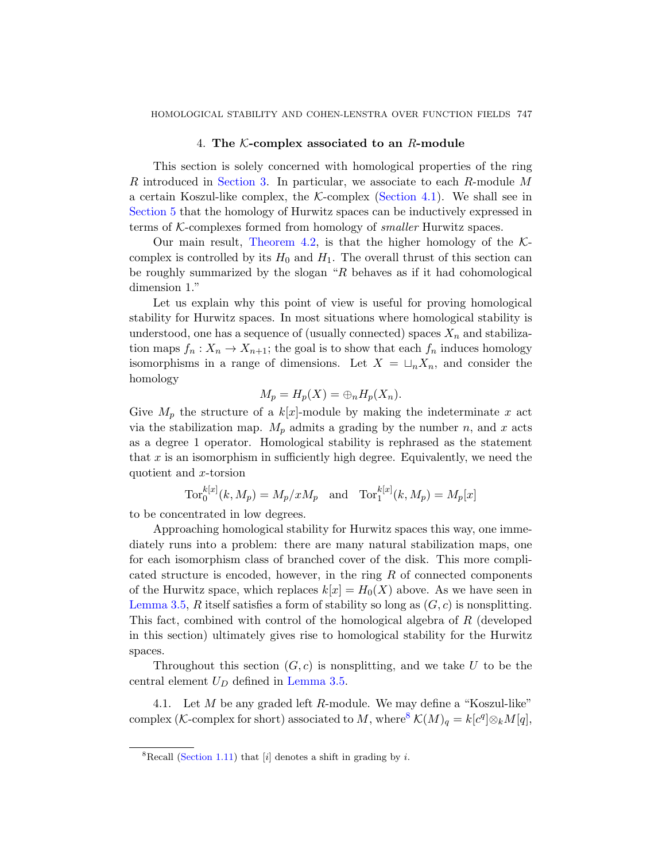# [4](#page-19-0). The  $K$ -complex associated to an  $R$ -module

<span id="page-18-0"></span>This section is solely concerned with homological properties of the ring R introduced in Section 3. In particular, we associate to each R-module M a certain Koszul-like complex, the  $K$ -complex (Section 4.1). We shall see in Section 5 that the homology of Hurwitz spaces can be inductively expressed in terms of  $K$ -complexes formed from homology of *smaller* Hurwitz spaces.

Our main result, Theorem 4.2, is that the higher homology of the  $K$ complex is controlled by its  $H_0$  and  $H_1$ . The overall thrust of this section can be roughly summarized by the slogan " $R$  behaves as if it had cohomological dimension 1."

Let us explain why this point of view is useful for proving homological stability for Hurwitz spaces. In most situations where homological stability is understood, one has a sequence of (usually connected) spaces  $X_n$  and stabilization maps  $f_n: X_n \to X_{n+1}$ ; the goal is to show that each  $f_n$  induces homology isomorphisms in a range of dimensions. Let  $X = \sqcup_n X_n$ , and consider the homology

$$
M_p = H_p(X) = \bigoplus_n H_p(X_n).
$$

Give  $M_p$  the structure of a  $k[x]$ -module by making the indeterminate x act via the stabilization map.  $M_p$  admits a grading by the number n, and x acts as a degree 1 operator. Homological stability is rephrased as the statement that  $x$  is an isomorphism in sufficiently high degree. Equivalently, we need the quotient and x-torsion

$$
\text{Tor}_0^{k[x]}(k, M_p) = M_p/xM_p \quad \text{and} \quad \text{Tor}_1^{k[x]}(k, M_p) = M_p[x]
$$

to be concentrated in low degrees.

Approaching homological stability for Hurwitz spaces this way, one immediately runs into a problem: there are many natural stabilization maps, one for each isomorphism class of branched cover of the disk. This more complicated structure is encoded, however, in the ring R of connected components of the [Hurwitz spac](#page-16-0)e, which replaces  $k[x] = H_0(X)$  above. As we have seen in Lemma 3.5, R itself satisfies a form of stability so long as  $(G, c)$  is nonsplitting. This fact, combined with con[tro](#page-18-1)l of the homological algebra of R (developed in this section) ultimately gives rise to homological stability for the Hurwitz spaces.

<span id="page-18-1"></span>Throughout this section  $(G, c)$  is nonsplitting, and we take U to be the central element  $U_D$  defined in Lemma 3.5.

4.1. Let  $M$  be any graded left  $R$ -module. We may define a "Koszul-like" complex (K-complex for short) associated to M, where  $\mathcal{K}(M)_q = k[c^q] \otimes_k M[q],$ 

<sup>&</sup>lt;sup>8</sup>Recall (Section 1.11) that [i] denotes a shift in grading by i.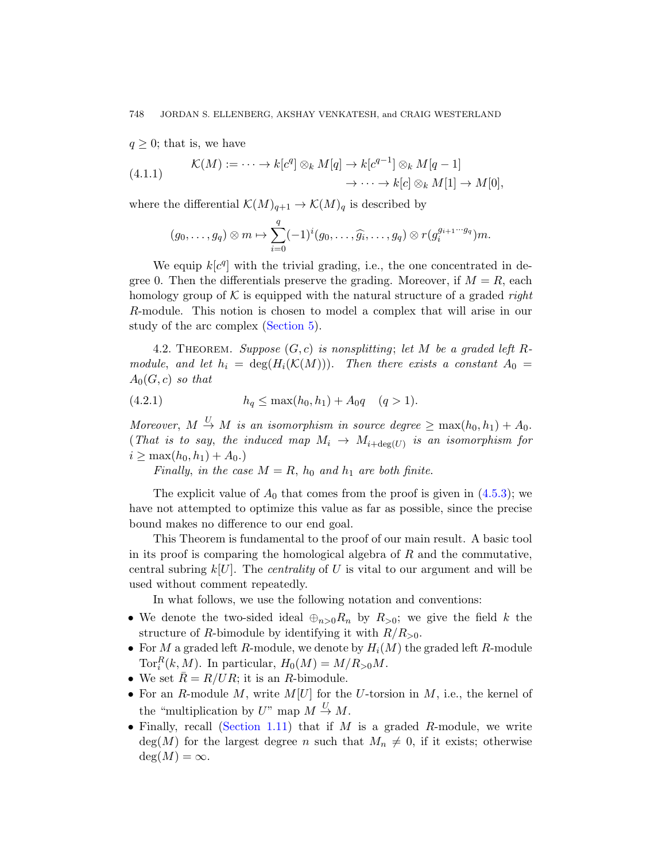$q \geq 0$ ; that is, we have

(4.1.1) 
$$
\mathcal{K}(M) := \cdots \to k[c^q] \otimes_k M[q] \to k[c^{q-1}] \otimes_k M[q-1] \to \cdots \to k[c] \otimes_k M[1] \to M[0],
$$

where the differential  $\mathcal{K}(M)_{q+1} \to \mathcal{K}(M)_q$  is described by

$$
(g_0,\ldots,g_q)\otimes m\mapsto \sum_{i=0}^q(-1)^i(g_0,\ldots,\widehat{g_i},\ldots,g_q)\otimes r(g_i^{g_{i+1}\cdots g_q})m.
$$

<span id="page-19-0"></span>We equip  $k[c^q]$  with the trivial grading, i.e., the one concentrated in degree 0. Then the differentials preserve the grading. Moreover, if  $M = R$ , each homology group of  $K$  is equipped with the natural structure of a graded right R-module. This notion is chosen to model a complex that will arise in our study of the arc complex (Section 5).

4.2. THEOREM. Suppose  $(G, c)$  is nonsplitting; let M be a graded left Rmodule, and let  $h_i = \deg(H_i(\mathcal{K}(M)))$ . Then there exists a constant  $A_0 =$  $A_0(G, c)$  so that

$$
(4.2.1) \t\t\t\t\t h_q \le \max(h_0, h_1) + A_0 q \quad (q > 1).
$$

Moreover,  $M \stackrel{U}{\rightarrow} M$  is an isomorphism in source degree  $\geq \max(h_0, h_1) + A_0$ . (That is to say, the induced map  $M_i \to M_{i+\deg(U)}$  is an isomorphism for  $i \geq \max(h_0, h_1) + A_0.$ 

Finally, in the case  $M = R$ ,  $h_0$  and  $h_1$  are both finite.

The explicit value of  $A_0$  that comes from the proof is given in  $(4.5.3)$ ; we have not attempted to optimize this value as far as possible, since the precise bound makes no difference to our end goal.

This Theorem is fundamental to the proof of our main result. A basic tool in its proof is comparing the homological algebra of  $R$  and the commutative, central subring  $k[U]$ . The *centrality* of U is vital to our argument and will be used without comment repeatedly.

In what follows, we use the following notation and conventions:

- We denote the two-sided ideal  $\oplus_{n>0}R_n$  by  $R_{>0}$ ; we give the field k the [structu](#page-8-0)re of R-bimodule by identifying it with  $R/R_{>0}$ .
- For M a graded left R-module, we denote by  $H_i(M)$  the graded left R-module Tor<sub>i</sub><sup>R</sup> $(k, M)$ . In particular,  $H_0(M) = M/R_{>0}M$ .
- We set  $\overline{R} = R/UR$ ; it is an R-bimodule.
- For an R-module M, write  $M[U]$  for the U-torsion in M, i.e., the kernel of the "multiplication by U" map  $M \stackrel{U}{\rightarrow} M$ .
- Finally, recall (Section 1.11) that if  $M$  is a graded  $R$ -module, we write  $deg(M)$  for the largest degree n such that  $M_n \neq 0$ , if it exists; otherwise  $deg(M) = \infty$ .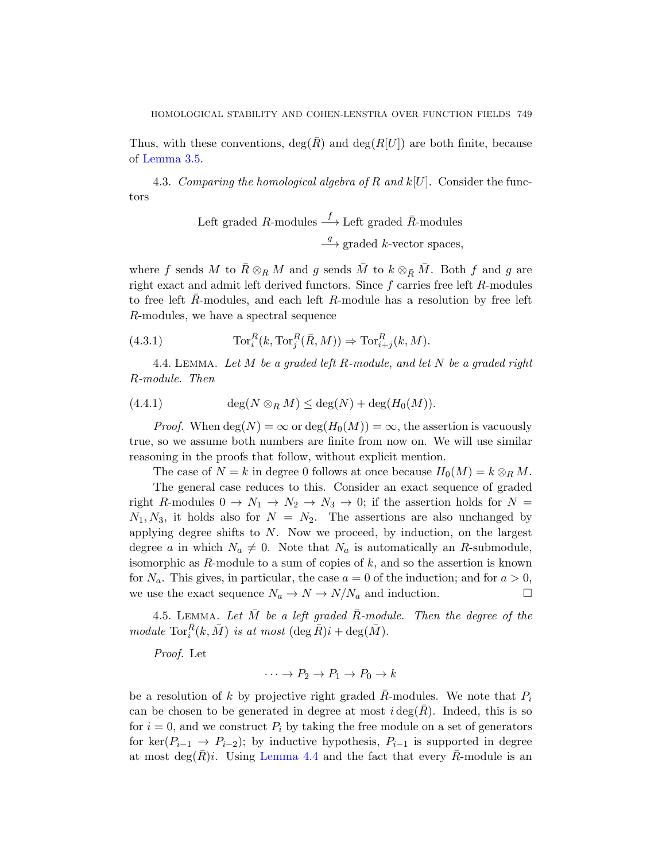Thus, with these conventions,  $deg(\overline{R})$  and  $deg(R[U])$  are both finite, because of Lemma 3.5.

4.3. Comparing the homological algebra of R and  $k[U]$ . Consider the functors

Left graded *R*-modules 
$$
\xrightarrow{f}
$$
 Left graded *R*-modules  
 $\xrightarrow{g}$  graded *k*-vector spaces,

<span id="page-20-2"></span><span id="page-20-0"></span>where f sends M to  $\bar{R} \otimes_R M$  and g sends  $\bar{M}$  to  $k \otimes_{\bar{R}} \bar{M}$ . Both f and g are right exact and admit left derived functors. Since f carries free left R-modules to free left  $R$ -modules, and each left  $R$ -module has a resolution by free left R-modules, we have a spectral sequence

(4.3.1) 
$$
\operatorname{Tor}_i^{\bar{R}}(k, \operatorname{Tor}_j^R(\bar{R}, M)) \Rightarrow \operatorname{Tor}_{i+j}^R(k, M).
$$

4.4. LEMMA. Let M be a graded left R-module, and let N be a graded right R-module. Then

$$
(4.4.1) \qquad \deg(N \otimes_R M) \le \deg(N) + \deg(H_0(M)).
$$

*Proof.* When  $deg(N) = \infty$  or  $deg(H_0(M)) = \infty$ , the assertion is vacuously true, so we assume both numbers are finite from now on. We will use similar reasoning in the proofs that follow, without explicit mention.

The case of  $N = k$  in degree 0 follows at once because  $H_0(M) = k \otimes_R M$ .

<span id="page-20-1"></span>The general case reduces to this. Consider an exact sequence of graded right R-modules  $0 \to N_1 \to N_2 \to N_3 \to 0$ ; if the assertion holds for  $N =$  $N_1, N_3$ , it holds also for  $N = N_2$ . The assertions are also unchanged by applying degree shifts to  $N$ . Now we proceed, by induction, on the largest degree a in which  $N_a \neq 0$ . Note that  $N_a$  is automatically an R-submodule, isomorphic as  $R$ -module to a sum of copies of  $k$ , and so the assertion is known for  $N_a$ . This gives, in particular, the case  $a = 0$  of the induction; and for  $a > 0$ , we use the exact sequence  $N_a \to N \to N/N_a$  and induction.

4.5. LEMMA. Let  $\overline{M}$  be a left graded  $\overline{R}$ -module. Then the degree of the module  $\text{Tor}_{i}^{\overline{R}}(k, \overline{M})$  is at most  $(\deg \overline{R})i + \deg(\overline{M})$ .

[Proof](#page-20-0). Let

 $\cdots \rightarrow P_2 \rightarrow P_1 \rightarrow P_0 \rightarrow k$ 

be a resolution of k by projective right graded  $\overline{R}$ -modules. We note that  $P_i$ can be chosen to be generated in degree at most  $i \deg(R)$ . Indeed, this is so for  $i = 0$ , and we construct  $P_i$  by taking the free module on a set of generators for ker( $P_{i-1} \rightarrow P_{i-2}$ ); by inductive hypothesis,  $P_{i-1}$  is supported in degree at most deg(R)i. Using Lemma 4.4 and the fact that every R-module is an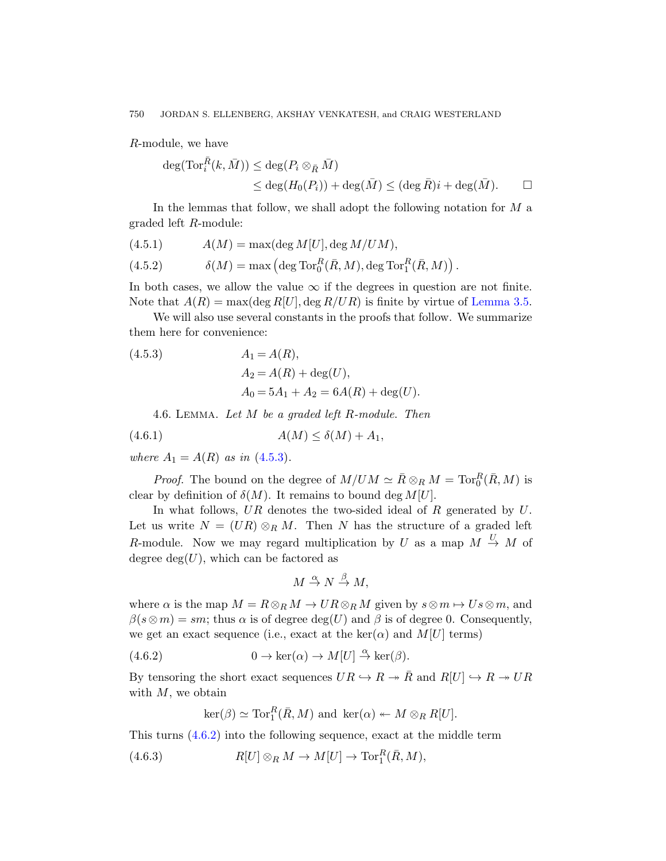<span id="page-21-0"></span>R-module, we have

$$
\deg(\operatorname{Tor}_i^{\bar{R}}(k, \bar{M})) \le \deg(P_i \otimes_{\bar{R}} \bar{M})
$$
  
\$\le \deg(H\_0(P\_i)) + \deg(\bar{M}) \le (\deg \bar{R})i + \deg(\bar{M})\$. \Box

In the lemmas that follow, we shall a[dopt the follo](#page-16-0)wing notation for  $M$  a graded left R-module:

$$
(4.5.1) \tA(M) = \max(\deg M[U], \deg M/UM),
$$

(4.5.2) 
$$
\delta(M) = \max\left(\deg \operatorname{Tor}_0^R(\bar{R}, M), \deg \operatorname{Tor}_1^R(\bar{R}, M)\right).
$$

In both cases, we allow the value  $\infty$  if the degrees in question are not finite. Note that  $A(R) = \max(\deg R[U], \deg R/UR)$  is finite by virtue of Lemma 3.5.

We will also use several constants in the proofs that follow. We summarize them here for convenience:

(4.5.3) 
$$
A_1 = A(R),
$$

$$
A_2 = A(R) + \deg(U),
$$

$$
A_0 = 5A_1 + A_2 = 6A(R) + \deg(U).
$$

4.6. LEMMA. Let  $M$  be a graded left  $R$ -module. Then

$$
(4.6.1) \t\t A(M) \le \delta(M) + A_1,
$$

where  $A_1 = A(R)$  as in (4.5.3).

*Proof.* The bound on the degree of  $M/UM \simeq \bar{R} \otimes_R M = \text{Tor}_0^R(\bar{R}, M)$  is clear by definition of  $\delta(M)$ . It remains to bound deg  $M[U]$ .

In what follows,  $UR$  denotes the two-sided ideal of  $R$  generated by  $U$ . Let us write  $N = (UR) \otimes_R M$ . Then N has the structure of a graded left R-module. Now we may regard multiplication by U as a map  $M \stackrel{U}{\rightarrow} M$  of degree  $deg(U)$ , which can be factored as

$$
M \stackrel{\alpha}{\to} N \stackrel{\beta}{\to} M,
$$

where  $\alpha$  is the map  $M = R \otimes_R M \to U R \otimes_R M$  given by  $s \otimes m \mapsto Us \otimes m$ , and  $\beta(s\otimes m)=sm$ ; thus  $\alpha$  is of degree  $\deg(U)$  and  $\beta$  is of degree 0. Consequently, we get an exact sequence (i.e., exact at the ker( $\alpha$ ) and M[U] terms)

(4.6.2) 
$$
0 \to \ker(\alpha) \to M[U] \stackrel{\alpha}{\to} \ker(\beta).
$$

By tensoring the short exact sequences  $UR \hookrightarrow R \twoheadrightarrow \overline{R}$  and  $R[U] \hookrightarrow R \twoheadrightarrow UR$ with  $M$ , we obtain

$$
\ker(\beta) \simeq \operatorname{Tor}_1^R(\bar{R}, M) \text{ and } \ker(\alpha) \leftarrow M \otimes_R R[U].
$$

This turns (4.6.2) into the following sequence, exact at the middle term

(4.6.3) 
$$
R[U] \otimes_R M \to M[U] \to \operatorname{Tor}_1^R(\bar{R}, M),
$$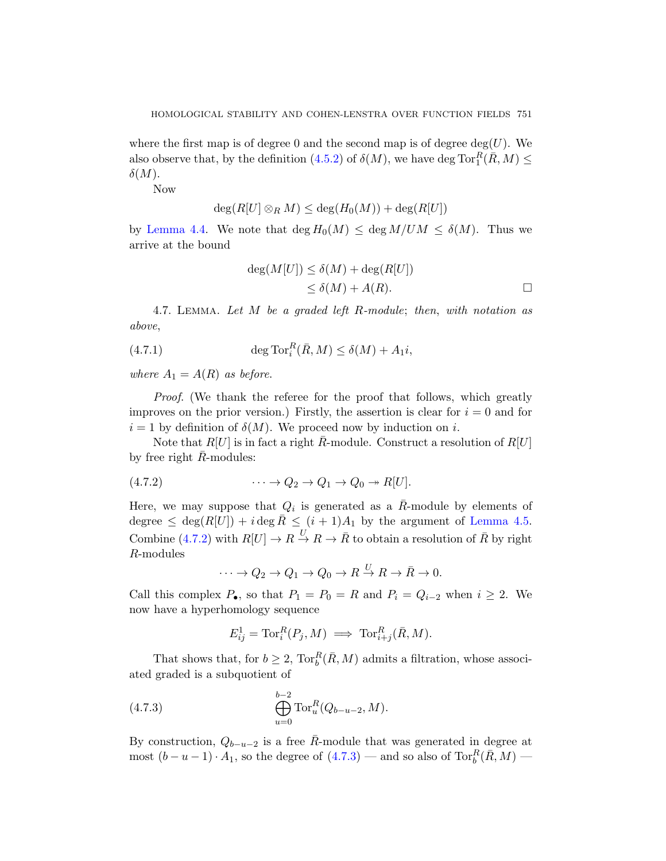where the first map is of degree 0 and the second map is of degree  $deg(U)$ . We also observe that, by the definition (4.5.2) of  $\delta(M)$ , we have deg  $\text{Tor}_{1}^{R}(\overline{R},M) \leq$  $\delta(M).$ 

Now

$$
\deg(R[U] \otimes_R M) \le \deg(H_0(M)) + \deg(R[U])
$$

<span id="page-22-1"></span>by Lemma 4.4. We note that  $\deg H_0(M) \leq \deg M/UM \leq \delta(M)$ . Thus we arrive at the bound

$$
deg(M[U]) \le \delta(M) + deg(R[U])
$$
  

$$
\le \delta(M) + A(R).
$$

4.7. Lemma. Let M be a graded left R-module; then, with notation as above,

(4.7.1) 
$$
\deg \operatorname{Tor}_i^R(\bar{R}, M) \le \delta(M) + A_1 i,
$$

where  $A_1 = A(R)$  as before.

Proof. (We thank the referee for the proof that follows, which greatly improves on the prior version.) Firstly, the assertion is clear for  $i = 0$  and for  $i = 1$  $i = 1$  $i = 1$  by definition of  $\delta(M)$ . We proceed n[ow by induc](#page-20-1)tion on i.

Note that  $R[U]$  is in fact a right  $\overline{R}$ -module. Construct a resolution of  $R[U]$ by free right  $\bar{R}$ -modules:

$$
(4.7.2) \qquad \qquad \cdots \to Q_2 \to Q_1 \to Q_0 \to R[U].
$$

Here, we may suppose that  $Q_i$  is generated as a  $\overline{R}$ -module by elements of degree  $\leq$  deg $(R[U]) + i$  deg  $\overline{R} \leq (i + 1)A_1$  by the argument of Lemma 4.5. Combine (4.7.2) with  $R[U] \to R \stackrel{U}{\to} R \to \overline{R}$  to obtain a resolution of  $\overline{R}$  by right R-modules

$$
\cdots \to Q_2 \to Q_1 \to Q_0 \to R \stackrel{U}{\to} R \to \bar{R} \to 0.
$$

<span id="page-22-0"></span>Call this complex  $P_{\bullet}$ , so that  $P_1 = P_0 = R$  and  $P_i = Q_{i-2}$  when  $i \geq 2$ . We now have a hyperhomology sequence

$$
E_{ij}^1 = \text{Tor}_i^R(P_j, M) \implies \text{Tor}_{i+j}^R(\bar{R}, M).
$$

That show[s that,](#page-22-0) for  $b \geq 2$ ,  $\operatorname{Tor}_b^R(\bar{R}, M)$  admits a filtration, whose associated graded is a subquotient of

(4.7.3) 
$$
\bigoplus_{u=0}^{b-2} \text{Tor}_u^R(Q_{b-u-2}, M).
$$

By construction,  $Q_{b-u-2}$  is a free  $\overline{R}$ -module that was generated in degree at most  $(b - u - 1) \cdot A_1$ , so the degree of  $(4.7.3)$  — and so also of  $\text{Tor}_{b}^{R}(\bar{R}, M)$  —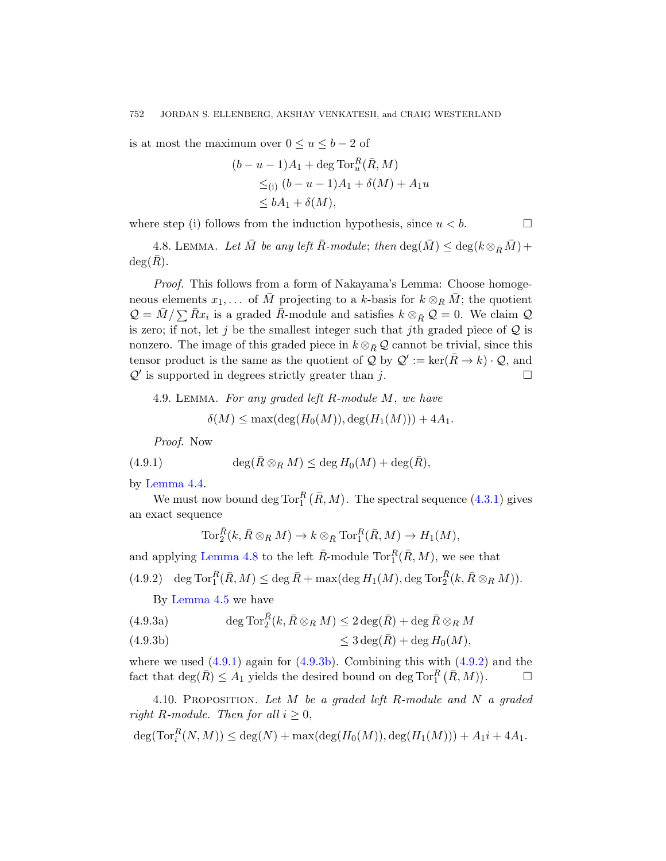<span id="page-23-0"></span>is at most the maximum over  $0 \le u \le b-2$  of

$$
(b - u - 1)A_1 + \deg \operatorname{Tor}_u^R(\bar{R}, M)
$$
  
\n
$$
\leq_{(i)} (b - u - 1)A_1 + \delta(M) + A_1 u
$$
  
\n
$$
\leq bA_1 + \delta(M),
$$

where step (i) follows from the induction hypothesis, since  $u < b$ .

4.8. LEMMA. Let  $\overline{M}$  be any left  $\overline{R}$ -module; then  $\deg(\overline{M}) \leq \deg(k \otimes_{\overline{R}} \overline{M}) +$ 

 $deg(R)$ .

<span id="page-23-3"></span>Proof. This follows from a form of Nakayama's Lemma: Choose homogeneous elements  $x_1, \ldots$  of  $\overline{M}$  projecting to a k-basis for  $k \otimes_R \overline{M}$ ; the quotient  $\mathcal{Q} = \bar{M} / \sum \bar{R} x_i$  is a graded  $\bar{R}$ -module and satisfies  $k \otimes_{\bar{R}} \mathcal{Q} = 0$ . We claim  $\mathcal{Q}$ is zero; if not, let j be the smallest integer such that jth graded piece of  $Q$  is nonzero. The image of this graded piece in  $k \otimes_{\bar{R}} \mathcal{Q}$  cannot be trivial, since this tensor product is the same as the quotient of  $\mathcal{Q}$  by  $\mathcal{Q}' := \ker(\bar{R} \to k) \cdot \mathcal{Q}$ , and  $\mathcal{Q}'$  is supported in degrees strictly greater than j.

4.9. Lemma. For any graded left R-m[odule](#page-20-2) M, we have

$$
\delta(M) \le \max(\deg(H_0(M)), \deg(H_1(M))) + 4A_1.
$$

Proof. Now

(4.9.1) 
$$
\deg(\bar{R}\otimes_R M) \leq \deg H_0(M) + \deg(\bar{R}),
$$

<span id="page-23-2"></span>by Lemma 4.4.

We must now bound deg  $\text{Tor}_{1}^{R}(\bar{R},M)$ . The spectral sequence  $(4.3.1)$  gives an exact sequence

$$
\operatorname{Tor}_2^{\bar R}(k,\bar R\otimes_R M)\to k\otimes_{\bar R}\operatorname{Tor}_1^R(\bar R,M)\to H_1(M),
$$

<span id="page-23-1"></span>and applying Lemma 4.8 to the left  $\bar{R}$ -[module](#page-23-2)  $\text{Tor}_{1}^{R}(\bar{R},M)$ , we see that

 $(4.9.2)$  deg  $\text{Tor}_{1}^{R}(\bar{R},M) \leq \text{deg }\bar{R} + \max(\text{deg } H_{1}(M),\text{deg Tor}_{2}^{\bar{R}}(k,\bar{R} \otimes_{R} M)).$ 

By Lemma 4.5 we have

(4.9.3a) 
$$
\deg \operatorname{Tor}_2^{\bar{R}}(k, \bar{R} \otimes_R M) \leq 2 \deg(\bar{R}) + \deg \bar{R} \otimes_R M
$$

≤ 3 deg(R¯ (4.9.3b) ) + deg H0(M),

where we used  $(4.9.1)$  again for  $(4.9.3b)$ . Combining this with  $(4.9.2)$  and the fact that  $\deg(\bar{R}) \leq A_1$  yields the desired bound on  $\deg \text{Tor}_1^R (\bar{R},M)$  $\Box$ 

4.10. PROPOSITION. Let  $M$  be a graded left R-module and  $N$  a graded right R-module. Then for all  $i \geq 0$ ,

$$
\deg(\text{Tor}_{i}^{R}(N,M)) \leq \deg(N) + \max(\deg(H_{0}(M)), \deg(H_{1}(M))) + A_{1}i + 4A_{1}.
$$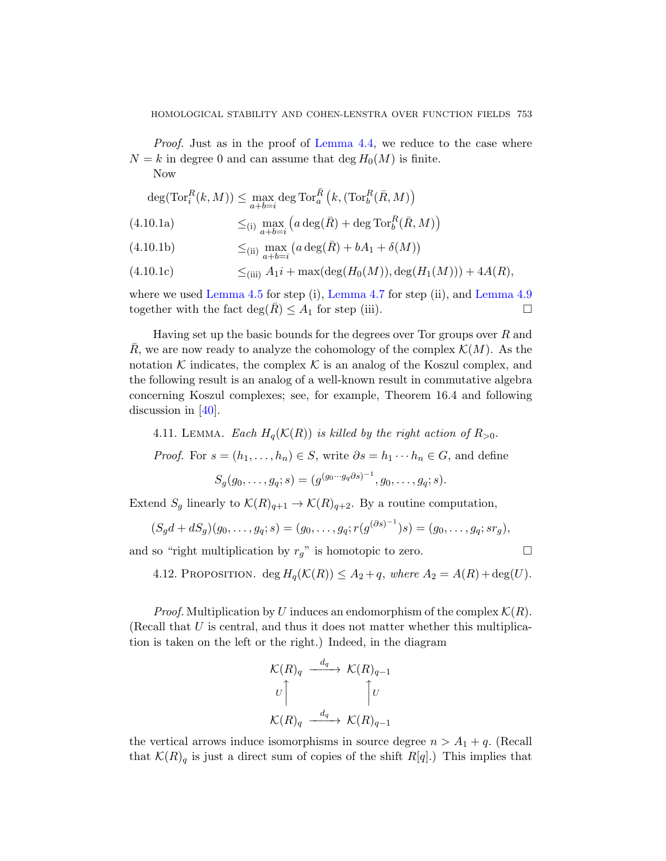Proof. Just as in the proof of Lemma 4.4, we reduce to the case where  $N = k$  in degree 0 and can assume that deg  $H_0(M)$  is finite.

Now

$$
\deg(\operatorname{Tor}_i^R(k,M)) \le \max_{a+b=i} \deg \operatorname{Tor}_a^{\bar{R}}\left(k,(\operatorname{Tor}_b^R(\bar{R},M)\right)
$$

(4.10.1a) 
$$
\leq_{(i)} \max_{a+b=i} \left( a \deg(\bar{R}) + \deg \operatorname{Tor}_b^R(\bar{R}, M) \right)
$$

 $\leq$ (ii)  $\max_{a+b=i} (a \deg(\bar{R}) + bA_1 + \delta(M))$  $(4.10.1b)$ 

(4.10.1c) 
$$
\leq_{(iii)} A_1 i + \max(\deg(H_0(M)), \deg(H_1(M))) + 4A(R),
$$

where we used Lemma 4.5 for step (i), Lemma 4.7 for step (ii), and Lemma 4.9 together with the fact  $\deg(R) \leq A_1$  for step (iii).

<span id="page-24-0"></span>Having set up the basic bounds for the degrees over Tor groups over  $R$  and R, we are now ready to analyze the cohomology of the complex  $\mathcal{K}(M)$ . As the notation  $K$  indicates, the complex  $K$  is an analog of the Koszul complex, and the following result is an analog of a well-known result in commutative algebra concerning Koszul complexes; see, for example, Theorem 16.4 and following discussion in [40].

4.11. LEMMA. Each  $H_q(\mathcal{K}(R))$  is killed by the right action of  $R_{>0}$ .

*Proof.* For  $s = (h_1, \ldots, h_n) \in S$ , write  $\partial s = h_1 \cdots h_n \in G$ , and define

$$
S_g(g_0,\ldots,g_q;s)=(g^{(g_0\cdots g_q\partial s)^{-1}},g_0,\ldots,g_q;s).
$$

Extend  $S_g$  linearly to  $\mathcal{K}(R)_{q+1} \to \mathcal{K}(R)_{q+2}$ . By a routine computation,

$$
(S_g d + dS_g)(g_0, \ldots, g_q; s) = (g_0, \ldots, g_q; r(g^{(\partial s)^{-1}})s) = (g_0, \ldots, g_q; sr_g),
$$

and so "right multiplication by  $r_g$ " is homotopic to zero.

4.12. PROPOSITION. deg  $H_q(\mathcal{K}(R)) \leq A_2 + q$ , where  $A_2 = A(R) + \text{deg}(U)$ .

*Proof.* Multiplication by U induces an endomorphism of the complex  $\mathcal{K}(R)$ . (Recall that  $U$  is central, and thus it does not matter whether this multiplication is taken on the left or the right.) Indeed, in the diagram

$$
\begin{aligned}\n\mathcal{K}(R)_q &\xrightarrow{d_q} \mathcal{K}(R)_{q-1} \\
U &\uparrow U \\
\mathcal{K}(R)_q &\xrightarrow{d_q} \mathcal{K}(R)_{q-1}\n\end{aligned}
$$

the vertical arrows induce isomorphisms in source degree  $n > A_1 + q$ . (Recall that  $\mathcal{K}(R)_q$  is just a direct sum of copies of the shift  $R[q]$ .) This implies that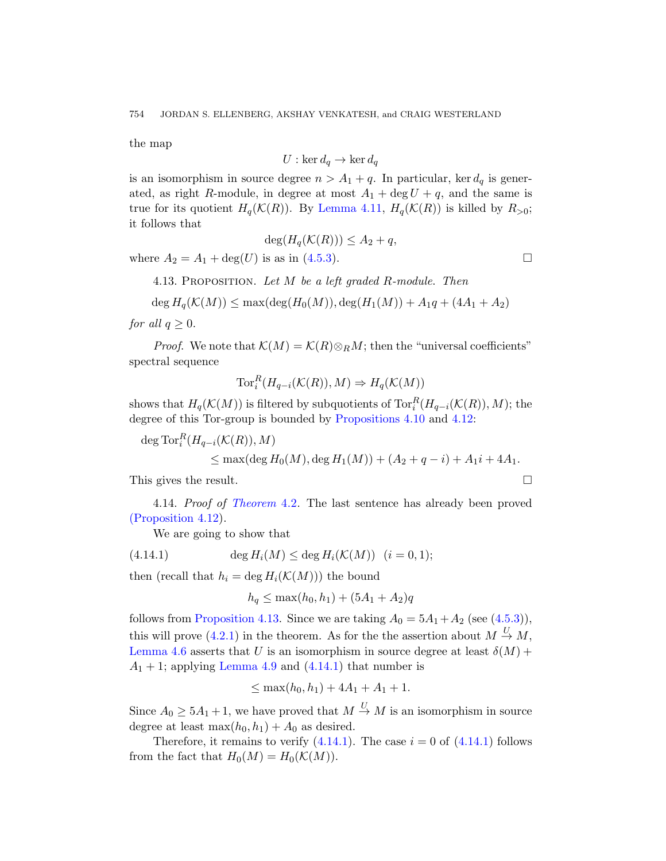the map

$$
U:\ker d_q\to \ker d_q
$$

<span id="page-25-0"></span>is an isomorphism in source degree  $n > A_1 + q$ . In particular, ker  $d_q$  is generated, as right R-module, in degree at most  $A_1 + \deg U + q$ , and the same is true for its quotient  $H_q(\mathcal{K}(R))$ . By Lemma 4.11,  $H_q(\mathcal{K}(R))$  is killed by  $R_{>0}$ ; it follows that

$$
\deg(H_q(\mathcal{K}(R))) \le A_2 + q,
$$

where  $A_2 = A_1 + \deg(U)$  is as in (4.5.3).

4.13. PROPOSITION. Let  $M$  be a left graded  $R$ -module. Then

$$
\deg H_q(\mathcal{K}(M)) \le \max(\deg(H_0(M)), \deg(H_1(M)) + A_1q + (4A_1 + A_2)
$$

for all  $q \geq 0$ .

*Proof.* We note that  $\mathcal{K}(M) = \mathcal{K}(R) \otimes_R M$ ; then the "universal coefficients" spectral sequence

$$
\operatorname{Tor}_i^R(H_{q-i}(\mathcal{K}(R)), M) \Rightarrow H_q(\mathcal{K}(M))
$$

[shows tha](#page-19-0)t  $H_q(\mathcal{K}(M))$  is filtered by subquotients of  $\mathrm{Tor}_i^R(H_{q-i}(\mathcal{K}(R)), M)$ ; the degree of this Tor-group is bounded by Propositions 4.10 and 4.12:

deg Tor $_i^R(H_{q-i}(\mathcal{K}(R)), M)$ 

$$
\leq
$$
 max( $\deg H_0(M)$ ,  $\deg H_1(M)$ ) + ( $A_2 + q - i$ ) +  $A_1i + 4A_1$ .

<span id="page-25-1"></span>This gives the result.

4.14. Proof of Theorem 4.2. The last sentence has already been proved [\(Propo](#page-25-0)sition 4.12).

We are going to show that

(4.14.1) 
$$
\deg H_i(M) \leq \deg H_i(\mathcal{K}(M)) \quad (i = 0, 1);
$$

[then \(](#page-23-3)recal[l that](#page-25-1)  $h_i = \deg H_i(\mathcal{K}(M)))$  the bound

$$
h_q \le \max(h_0, h_1) + (5A_1 + A_2)q
$$

follows from Proposition 4.13. Since we are taking  $A_0 = 5A_1 + A_2$  (see (4.5.3)), this will prove (4.2.1) in the theorem. As for the the assertion about  $M \stackrel{U}{\rightarrow} M$ , Lemma 4.6 a[sserts t](#page-25-1)hat U is an isomorp[hism in](#page-25-1) source degree at least  $\delta(M)$  +  $A_1 + 1$ ; applying Lemma 4.9 and  $(4.14.1)$  that number is

$$
\leq \max(h_0, h_1) + 4A_1 + A_1 + 1.
$$

Since  $A_0 \geq 5A_1 + 1$ , we have proved that  $M \stackrel{U}{\rightarrow} M$  is an isomorphism in source degree at least  $\max(h_0, h_1) + A_0$  as desired.

Therefore, it remains to verify  $(4.14.1)$ . The case  $i = 0$  of  $(4.14.1)$  follows from the fact that  $H_0(M) = H_0(\mathcal{K}(M)).$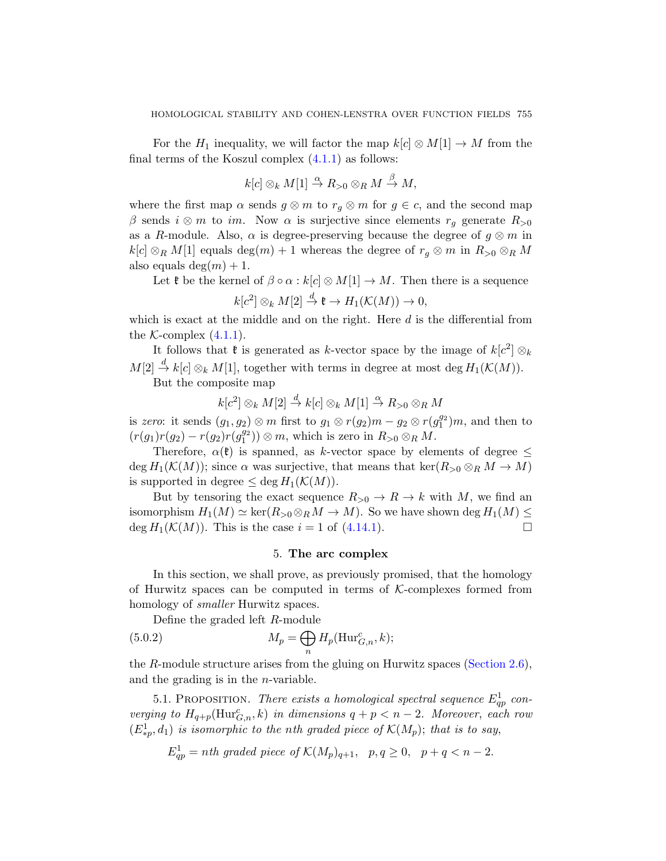For the  $H_1$  inequality, we will factor the map  $k[c] \otimes M[1] \rightarrow M$  from the final terms of the Koszul complex (4.1.1) as follows:

$$
k[c] \otimes_k M[1] \stackrel{\alpha}{\to} R_{>0} \otimes_R M \stackrel{\beta}{\to} M,
$$

where the first map  $\alpha$  sends  $g \otimes m$  to  $r_g \otimes m$  for  $g \in c$ , and the second map β sends  $i \otimes m$  to im. Now  $\alpha$  is surjective since elements  $r_q$  generate  $R_{>0}$ as a R-module. Also,  $\alpha$  is degree-preserving because the degree of  $g \otimes m$  in  $k[c] \otimes_R M[1]$  equals  $\deg(m) + 1$  whereas the degree of  $r_q \otimes m$  in  $R_{>0} \otimes_R M$ also equals deg $(m) + 1$ .

Let  $\mathfrak k$  be the kernel of  $\beta \circ \alpha : k[c] \otimes M[1] \to M$ . Then there is a sequence  $\frac{1}{\sqrt{M}}$  +  $\frac{1}{\sqrt{M}}$ 

$$
k[c^2] \otimes_k M[2] \stackrel{d}{\to} \mathfrak{k} \to H_1(\mathcal{K}(M)) \to 0,
$$

which is exact at the middle and on the right. Here  $d$  is the differential from the  $K$ -complex  $(4.1.1)$ .

It follows that  $\mathfrak k$  is generated as k-vector space by the image of  $k[c^2] \otimes_k$  $M[2] \stackrel{d}{\to} k[c] \otimes_k M[1]$ , together with terms in degree at most deg  $H_1(\mathcal{K}(M))$ .

But the composite map

$$
k[c^2] \otimes_k M[2] \stackrel{d}{\to} k[c] \otimes_k M[1] \stackrel{\alpha}{\to} R_{>0} \otimes_R M
$$

is zero: it sends  $(g_1, g_2) \otimes m$  first to  $g_1 \otimes r(g_2)m - g_2 \otimes r(g_1^{g_2})m$ , and then to  $(r(g_1)r(g_2) - r(g_2)r(g_1^{g_2})) \otimes m$  $(r(g_1)r(g_2) - r(g_2)r(g_1^{g_2})) \otimes m$  $(r(g_1)r(g_2) - r(g_2)r(g_1^{g_2})) \otimes m$ , which is zero in  $R_{>0} \otimes_R M$ .

<span id="page-26-0"></span>Therefore,  $\alpha(\mathfrak{k})$  is spanned, as k-vector space by elements of degree  $\leq$ deg  $H_1(\mathcal{K}(M))$ ; since  $\alpha$  was surjective, that means that ker( $R_{>0} \otimes_R M \to M$ ) is supported in degree  $\leq$  deg  $H_1(\mathcal{K}(M))$ .

But by tensoring the exact sequence  $R_{>0} \to R \to k$  with M, we find an isomorphism  $H_1(M) \simeq \ker(R_{>0} \otimes_R M \to M)$ . So we have shown deg  $H_1(M) \leq$ deg  $H_1(\mathcal{K}(M))$ . This is the case  $i = 1$  of (4.14.1).

# 5. The arc complex

<span id="page-26-2"></span><span id="page-26-1"></span>In this section, we shall prove, as pre[viously prom](#page-13-1)ised, that the homology of Hurwitz spaces can be computed in terms of  $K$ -complexes formed from homology of *smaller* Hurwitz spaces.

Define the graded left R-module

(5.0.2) 
$$
M_p = \bigoplus_n H_p(\operatorname{Hur}_{G,n}^c, k);
$$

the R-module structure arises from the gluing on Hurwitz spaces (Section 2.6), and the grading is in the  $n$ -variable.

5.1. PROPOSITION. There exists a homological spectral sequence  $E_{qp}^1$  converging to  $H_{q+p}(\text{Hur}_{{G},n}^c, k)$  in dimensions  $q+p < n-2$ . Moreover, each row  $(E_{*p}^1, d_1)$  is isomorphic to the nth graded piece of  $\mathcal{K}(M_p)$ ; that is to say,

$$
E_{qp}^1 = nth \ graded \ piece \ of \ \mathcal{K}(M_p)_{q+1}, \quad p, q \ge 0, \quad p+q < n-2.
$$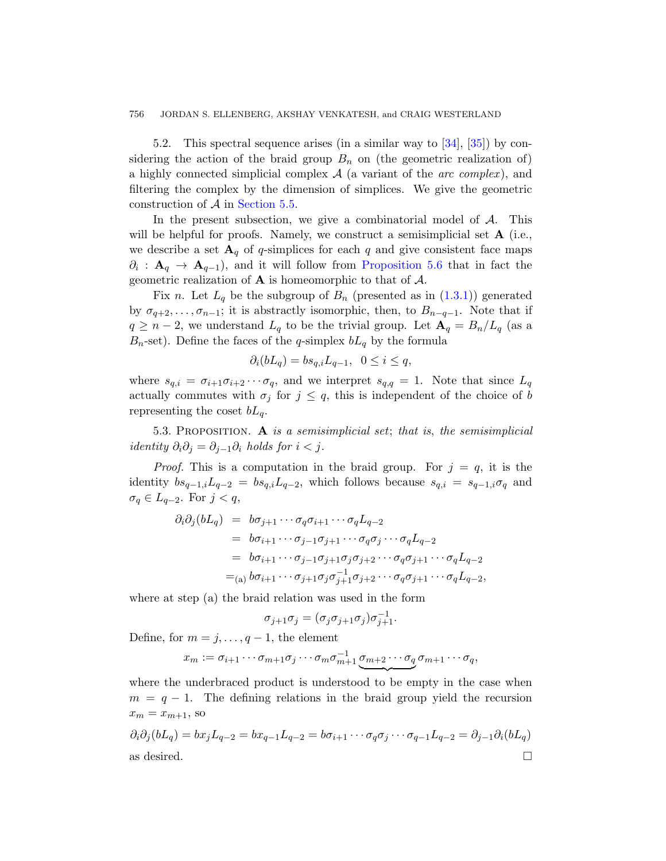5.2. This spectral sequence arises (in a similar way to [34], [35]) by considering the action of the braid group  $B_n$  on (the geometric realization of) a highly connected si[mplicial complex](#page-30-0)  $A$  (a variant of the *arc complex*), and filtering the complex by the dimensi[on of](#page-2-1) simplices. We give the geometric construction of A in Section 5.5.

In the present subsection, we give a combinatorial model of  $A$ . This will be helpful for proofs. Namely, we construct a semisimplicial set  $\bf{A}$  (i.e., we describe a set  $\mathbf{A}_q$  of q-simplices for each q and give consistent face maps  $\partial_i$ :  $\mathbf{A}_q \to \mathbf{A}_{q-1}$ , and it will follow from Proposition 5.6 that in fact the geometric realization of  $\bf{A}$  is homeomorphic to that of  $\bf{A}$ .

Fix n. Let  $L_q$  be the subgroup of  $B_n$  (presented as in  $(1.3.1)$ ) generated by  $\sigma_{q+2}, \ldots, \sigma_{n-1}$ ; it is abstractly isomorphic, then, to  $B_{n-q-1}$ . Note that if  $q \geq n-2$ , we understand  $L_q$  to be the trivial group. Let  $\mathbf{A}_q = B_n/L_q$  (as a  $B_n$ -set). Define the faces of the q-simplex  $bL_q$  by the formula

$$
\partial_i(bL_q) = bs_{q,i}L_{q-1}, \ \ 0 \le i \le q,
$$

where  $s_{q,i} = \sigma_{i+1}\sigma_{i+2}\cdots\sigma_q$ , and we interpret  $s_{q,q} = 1$ . Note that since  $L_q$ actually commutes with  $\sigma_j$  for  $j \leq q$ , this is independent of the choice of b representing the coset  $bL_q$ .

5.3. PROPOSITION. A is a semisimplicial set; that is, the semisimplicial identity  $\partial_i \partial_j = \partial_{j-1} \partial_j$  holds for  $i < j$ .

*Proof.* This is a computation in the braid group. For  $j = q$ , it is the identity  $bs_{q-1,i}L_{q-2} = bs_{q,i}L_{q-2}$ , which follows because  $s_{q,i} = s_{q-1,i}\sigma_q$  and  $\sigma_q \in L_{q-2}$ . For  $j < q$ ,

$$
\partial_i \partial_j (bL_q) = b\sigma_{j+1} \cdots \sigma_q \sigma_{i+1} \cdots \sigma_q L_{q-2}
$$
  
=  $b\sigma_{i+1} \cdots \sigma_{j-1} \sigma_{j+1} \cdots \sigma_q \sigma_j \cdots \sigma_q L_{q-2}$   
=  $b\sigma_{i+1} \cdots \sigma_{j-1} \sigma_{j+1} \sigma_j \sigma_{j+2} \cdots \sigma_q \sigma_{j+1} \cdots \sigma_q L_{q-2}$   
= $(a) b\sigma_{i+1} \cdots \sigma_{j+1} \sigma_j \sigma_{j+1}^{-1} \sigma_{j+2} \cdots \sigma_q \sigma_{j+1} \cdots \sigma_q L_{q-2},$ 

where at step (a) the braid relation was used in the form

$$
\sigma_{j+1}\sigma_j = (\sigma_j \sigma_{j+1}\sigma_j)\sigma_{j+1}^{-1}.
$$

Define, for  $m = j, \ldots, q - 1$ , the element

$$
x_m := \sigma_{i+1} \cdots \sigma_{m+1} \sigma_j \cdots \sigma_m \sigma_{m+1}^{-1} \underbrace{\sigma_{m+2} \cdots \sigma_q}_{\sim} \sigma_{m+1} \cdots \sigma_q,
$$

where the underbraced product is understood to be empty in the case when  $m = q - 1$ . The defining relations in the braid group yield the recursion  $x_m = x_{m+1}$ , so

$$
\partial_i \partial_j (bL_q) = bx_j L_{q-2} = bx_{q-1} L_{q-2} = b\sigma_{i+1} \cdots \sigma_q \sigma_j \cdots \sigma_{q-1} L_{q-2} = \partial_{j-1} \partial_i (bL_q)
$$
  
as desired.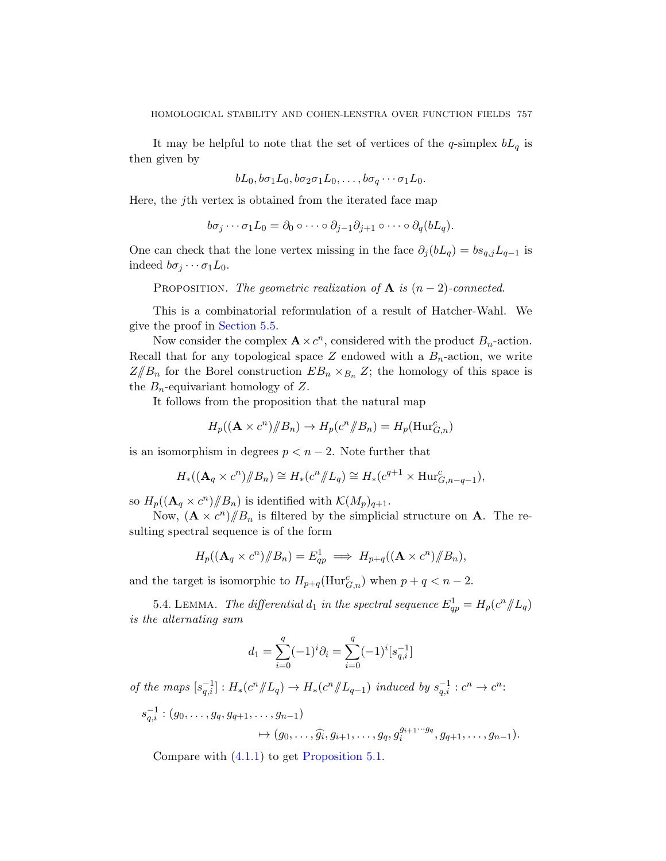It may be helpful to note that the set of vertices of the q-simplex  $bL_q$  is then given by

$$
bL_0, b\sigma_1L_0, b\sigma_2\sigma_1L_0, \ldots, b\sigma_q\cdots\sigma_1L_0.
$$

Here, the jth vertex is obtained from the iterated face map

$$
b\sigma_j\cdots\sigma_1L_0=\partial_0\circ\cdots\circ\partial_{j-1}\partial_{j+1}\circ\cdots\circ\partial_q(bL_q).
$$

One can check that the lone vertex missing in the face  $\partial_j (bL_q) = bs_{q,j}L_{q-1}$  is indeed  $b\sigma_j \cdots \sigma_1 L_0$ .

PROPOSITION. The geometric realization of  $A$  is  $(n-2)$ -connected.

This is a combinatorial reformulation of a result of Hatcher-Wahl. We give the proof in Section 5.5.

Now consider the complex  $\mathbf{A} \times c^n$ , considered with the product  $B_n$ -action. Recall that for any topological space Z endowed with a  $B_n$ -action, we write  $Z/\!\!/B_n$  for the Borel construction  $EB_n \times_{B_n} Z$ ; the homology of this space is the  $B_n$ -equivariant homology of Z.

It follows from the proposition that the natural map

$$
H_p((\mathbf{A} \times c^n) / \! / B_n) \to H_p(c^n / \! / B_n) = H_p(\text{Hur}_{G,n}^c)
$$

is an isomorphism in degrees  $p < n-2$ . Note further that

$$
H_*((\mathbf{A}_q \times c^n) / \! / B_n) \cong H_*(c^n / \! / L_q) \cong H_*(c^{q+1} \times \text{Hur}_{G,n-q-1}^c),
$$

so  $H_p((\mathbf{A}_q \times c^n)/\!\!/B_n)$  is identified with  $\mathcal{K}(M_p)_{q+1}$ .

Now,  $(\mathbf{A} \times c^n)/\!\!/B_n$  is filtered by the simplicial structure on **A**. The resulting spectral sequence is of the form

$$
H_p((\mathbf{A}_q \times c^n) / \! / B_n) = E_{qp}^1 \implies H_{p+q}((\mathbf{A} \times c^n) / \! / B_n),
$$

and the target is isomorphic to  $H_{p+q}(\text{Hur}_{G,n}^c)$  when  $p+q < n-2$ .

5.4. LEMMA. The differential  $d_1$  in the spectral sequence  $E_{qp}^1 = H_p(c^n / \vert L_q)$ is the alternating sum

$$
d_1 = \sum_{i=0}^{q} (-1)^i \partial_i = \sum_{i=0}^{q} (-1)^i [s_{q,i}^{-1}]
$$

of the maps  $[s_{q,i}^{-1}] : H_*(c^n \mathbb{Z}_q) \to H_*(c^n \mathbb{Z}_{q-1})$  induced by  $s_{q,i}^{-1} : c^n \to c^n$ :

$$
s_{q,i}^{-1}:(g_0,\ldots,g_q,g_{q+1},\ldots,g_{n-1})\to (g_0,\ldots,\widehat{g_i},g_{i+1},\ldots,g_q,g_i^{g_{i+1}\cdots g_q},g_{q+1},\ldots,g_{n-1}).
$$

Compare with (4.1.1) to get Proposition 5.1.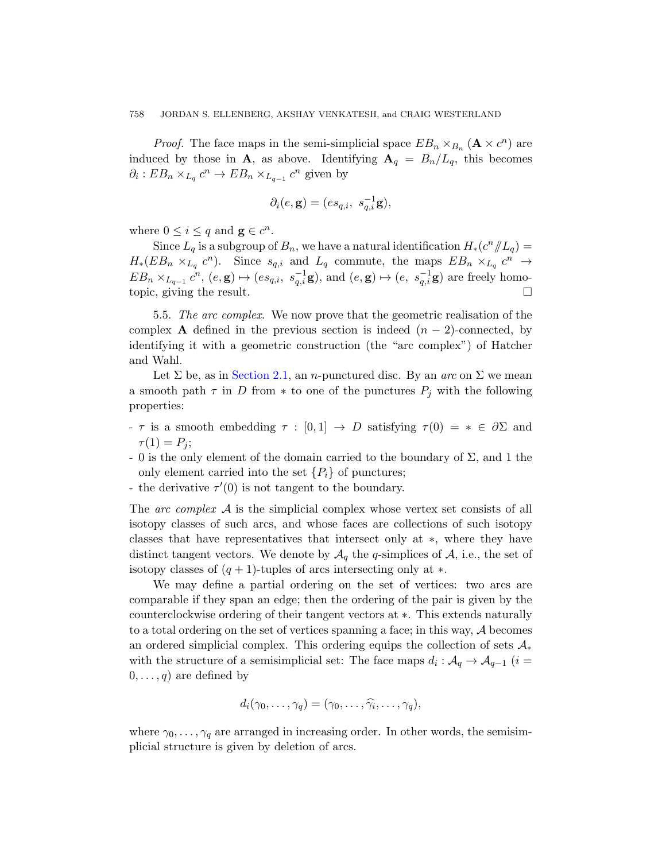*Proof.* The face maps in the semi-simplicial space  $EB_n \times_{B_n} (\mathbf{A} \times c^n)$  are induced by those in **A**, as above. Identifying  $A_q = B_n/L_q$ , this becomes  $\partial_i : EB_n \times_{L_q} c^n \to EB_n \times_{L_{q-1}} c^n$  given by

$$
\partial_i(e, \mathbf{g}) = (es_{q,i}, \ s_{q,i}^{-1} \mathbf{g}),
$$

<span id="page-29-0"></span>where  $0 \leq i \leq q$  and  $\mathbf{g} \in c^n$ .

Since  $L_q$  is a subgroup of  $B_n$ , we have a natural identification  $H_*(c^n/\!\!/L_q)$  =  $H_*(EB_n \times_{L_q} c^n)$ . Since  $s_{q,i}$  and  $L_q$  commute, the maps  $EB_n \times_{L_q} c^n \rightarrow$  $EB_n \times_{L_{q-1}} c^n$  $EB_n \times_{L_{q-1}} c^n$ ,  $(e, g) \mapsto (es_{q,i}, s_{q,i}^{-1}g)$ , and  $(e, g) \mapsto (e, s_{q,i}^{-1}g)$  are freely homotopic, giving the result.

5.5. The arc complex. We now prove that the geometric realisation of the complex **A** defined in the previous section is indeed  $(n-2)$ -connected, by identifying it with a geometric construction (the "arc complex") of Hatcher and Wahl.

Let  $\Sigma$  be, as in Section 2.1, an *n*-punctured disc. By an *arc* on  $\Sigma$  we mean a smooth path  $\tau$  in D from  $*$  to one of the punctures  $P_j$  with the following properties:

- τ is a smooth embedding  $τ : [0,1]$  → D satisfying  $τ(0) = * ∈ ∂Σ$  and  $\tau(1) = P_j;$
- 0 is the only element of the domain carried to the boundary of  $\Sigma$ , and 1 the only element carried into the set  $\{P_i\}$  of punctures;
- the derivative  $\tau'(0)$  is not tangent to the boundary.

The arc complex  $\mathcal A$  is the simplicial complex whose vertex set consists of all isotopy classes of such arcs, and whose faces are collections of such isotopy classes that have representatives that intersect only at ∗, where they have distinct tangent vectors. We denote by  $\mathcal{A}_q$  the q-simplices of  $\mathcal{A}$ , i.e., the set of isotopy classes of  $(q + 1)$ -tuples of arcs intersecting only at  $\ast$ .

We may define a partial ordering on the set of vertices: two arcs are comparable if they span an edge; then the ordering of the pair is given by the counterclockwise ordering of their tangent vectors at ∗. This extends naturally to a total ordering on the set of vertices spanning a face; in this way, A becomes an ordered simplicial complex. This ordering equips the collection of sets  $\mathcal{A}_{*}$ with the structure of a semisimplicial set: The face maps  $d_i: \mathcal{A}_q \to \mathcal{A}_{q-1}$  ( $i =$  $0, \ldots, q$  are defined by

$$
d_i(\gamma_0,\ldots,\gamma_q)=(\gamma_0,\ldots,\widehat{\gamma_i},\ldots,\gamma_q),
$$

where  $\gamma_0, \ldots, \gamma_q$  are arranged in increasing order. In other words, the semisimplicial structure is given by deletion of arcs.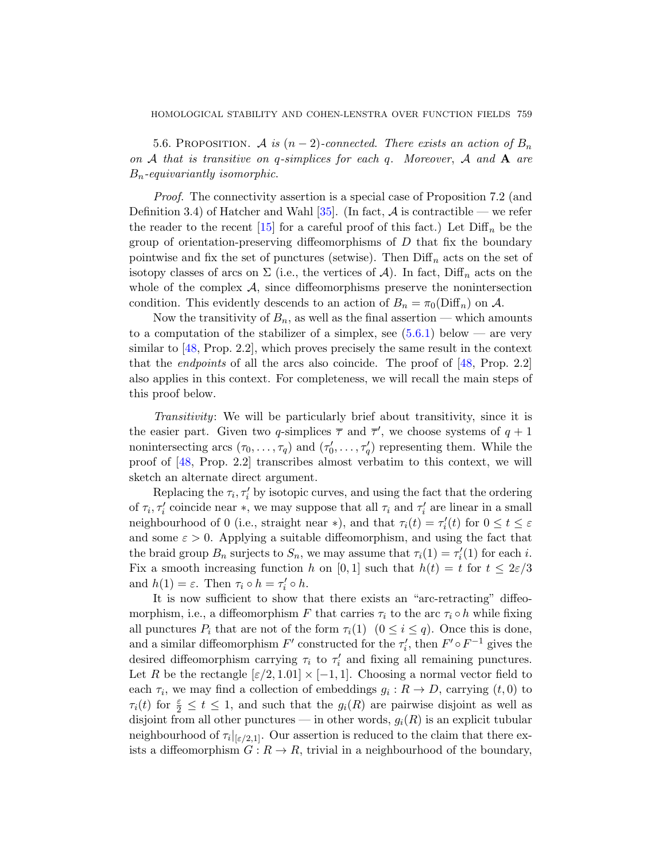<span id="page-30-0"></span>5.6. PROPOSITION. A is  $(n-2)$ -connected. There exists an action of  $B_n$ on A that is transitive on q-simplices for each q. Moreover, A and A are  $B_n$ -equivariantly isomorphic.

Proof. The connectivity assertion is a special case of Proposition 7.2 (and Definition 3.4) of Hatcher and Wahl  $[35]$ . (In fact, A is contractible — we refer the reader to the recent [15] for a careful proof of this fact.) Let  $\text{Diff}_n$  be the group of orientation-preservi[ng diff](#page-31-0)eomorphisms of  $D$  that fix the boundary pointwise and fix the set of punctures (setwise). Then  $\text{Diff}_n$  acts on the set of isotopy classes of arcs on  $\Sigma$  (i.e., the ver[tice](#page-57-3)s of A). In fact, Diff<sub>n</sub> acts on the whole of the complex  $A$ , since diffeomorphisms preserve the nonintersection condition. This evidently descends to an action of  $B_n = \pi_0(\text{Diff}_n)$  on A.

Now the transitivity of  $B_n$ , as well as the final assertion — which amounts to a computation of the stabilizer of a simplex, see  $(5.6.1)$  below — are very similar to [48, Prop. 2.2], which proves precisely the same result in the context that the *endpoints* of all the arcs also coincide. The proof of  $[48, Prop. 2.2]$ also applies in this context. For completeness, we will recall the main steps of this proof below.

Transitivity: We will be particularly brief about transitivity, since it is the easier part. Given two q-simplices  $\bar{\tau}$  and  $\bar{\tau}'$ , we choose systems of  $q+1$ nonintersecting arcs  $(\tau_0, \ldots, \tau_q)$  and  $(\tau'_0, \ldots, \tau'_q)$  representing them. While the proof of [48, Prop. 2.2] transcribes almost verbatim to this context, we will sketch an alternate direct argument.

Replacing the  $\tau_i, \tau'_i$  by isotopic curves, and using the fact that the ordering of  $\tau_i$ ,  $\tau'_i$  coincide near  $*$ , we may suppose that all  $\tau_i$  and  $\tau'_i$  are linear in a small neighbourhood of 0 (i.e., straight near \*), and that  $\tau_i(t) = \tau'_i(t)$  for  $0 \le t \le \varepsilon$ and some  $\varepsilon > 0$ . Applying a suitable diffeomorphism, and using the fact that the braid group  $B_n$  surjects to  $S_n$ , we may assume that  $\tau_i(1) = \tau'_i(1)$  for each *i*. Fix a smooth increasing function h on [0, 1] such that  $h(t) = t$  for  $t \leq 2\varepsilon/3$ and  $h(1) = \varepsilon$ . Then  $\tau_i \circ h = \tau'_i \circ h$ .

It is now sufficient to show that there exists an "arc-retracting" diffeomorphism, i.e., a diffeomorphism F that carries  $\tau_i$  to the arc  $\tau_i \circ h$  while fixing all punctures  $P_i$  that are not of the form  $\tau_i(1)$   $(0 \leq i \leq q)$ . Once this is done, and a similar diffeomorphism  $F'$  constructed for the  $\tau'_i$ , then  $F' \circ F^{-1}$  gives the desired diffeomorphism carrying  $\tau_i$  to  $\tau'_i$  and fixing all remaining punctures. Let R be the rectangle  $[\varepsilon/2, 1.01] \times [-1, 1]$ . Choosing a normal vector field to each  $\tau_i$ , we may find a collection of embeddings  $g_i: R \to D$ , carrying  $(t, 0)$  to  $\tau_i(t)$  for  $\frac{\varepsilon}{2} \leq t \leq 1$ , and such that the  $g_i(R)$  are pairwise disjoint as well as disjoint from all other punctures — in other words,  $g_i(R)$  is an explicit tubular neighbourhood of  $\tau_i|_{\lbrack \varepsilon/2,1]}$ . Our assertion is reduced to the claim that there exists a diffeomorphism  $G: R \to R$ , trivial in a neighbourhood of the boundary,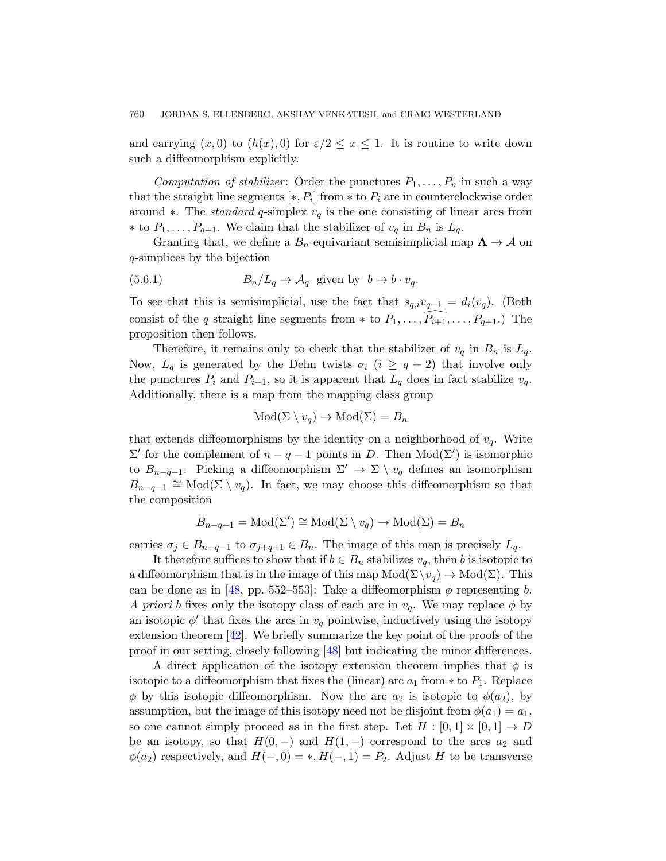and carrying  $(x, 0)$  to  $(h(x), 0)$  for  $\varepsilon/2 \leq x \leq 1$ . It is routine to write down such a diffeomorphism explicitly.

<span id="page-31-0"></span>Computation of stabilizer: Order the punctures  $P_1, \ldots, P_n$  in such a way that the straight line segments  $[*, P_i]$  from  $*$  to  $P_i$  are in counterclockwise order around ∗. The *standard* q-simplex  $v_q$  is the one consisting of linear arcs from ∗ to  $P_1, \ldots, P_{q+1}$ . We claim that the stabilizer of  $v_q$  in  $B_n$  is  $L_q$ .

Granting that, we define a  $B_n$ -equivariant semisimplicial map  $A \to A$  on q-simplices by the bijection

(5.6.1) 
$$
B_n/L_q \to \mathcal{A}_q \text{ given by } b \mapsto b \cdot v_q.
$$

To see that this is semisimplicial, use the fact that  $s_{q,i}v_{q-1} = d_i(v_q)$ . (Both consist of the q straight line segments from  $*$  to  $P_1, \ldots, P_{i+1}, \ldots, P_{q+1}$ .) The proposition then follows.

Therefore, it remains only to check that the stabilizer of  $v_q$  in  $B_n$  is  $L_q$ . Now,  $L_q$  is generated by the Dehn twists  $\sigma_i$   $(i \geq q+2)$  that involve only the punctures  $P_i$  and  $P_{i+1}$ , so it is apparent that  $L_q$  does in fact stabilize  $v_q$ . Additionally, there is a map from the mapping class group

$$
Mod(\Sigma \setminus v_q) \to Mod(\Sigma) = B_n
$$

that extends diffeomorphisms by the identity on a neighborhood of  $v_q$ . Write  $\Sigma'$  for the complement of  $n - q - 1$  points in D. Then Mod( $\Sigma'$ ) is isomorphic to  $B_{n-q-1}$ . Picking a diffeomorphism  $\Sigma' \to \Sigma \setminus v_q$  defines an isomorphism  $B_{n-q-1} \cong \text{Mod}(\Sigma \setminus v_q)$ . In fact, we may choose this diffeomorphism so that the composition

$$
B_{n-q-1} = \text{Mod}(\Sigma') \cong \text{Mod}(\Sigma \setminus v_q) \to \text{Mod}(\Sigma) = B_n
$$

carries  $\sigma_j \in B_{n-q-1}$  to  $\sigma_{j+q+1} \in B_n$ . The image of this map is precisely  $L_q$ .

It therefor[e su](#page-57-3)ffices to show that if  $b \in B_n$  stabilizes  $v_q$ , then b is isotopic to a diffeomorphism that is in the image of this map  $Mod(\Sigma \setminus v_q) \to Mod(\Sigma)$ . This can be done as in [48, pp. 552–553]: Take a diffeomorphism  $\phi$  representing b. A priori b fixes only the isotopy class of each arc in  $v_q$ . We may replace  $\phi$  by an isotopic  $\phi'$  that fixes the arcs in  $v_q$  pointwise, inductively using the isotopy extension theorem [42]. We briefly summarize the key point of the proofs of the proof in our setting, closely following [48] but indicating the minor differences.

A direct application of the isotopy extension theorem implies that  $\phi$  is isotopic to a diffeomorphism that fixes the (linear) arc  $a_1$  from  $*$  to  $P_1$ . Replace  $\phi$  by this isotopic diffeomorphism. Now the arc  $a_2$  is isotopic to  $\phi(a_2)$ , by assumption, but the image of this isotopy need not be disjoint from  $\phi(a_1) = a_1$ , so one cannot simply proceed as in the first step. Let  $H : [0,1] \times [0,1] \rightarrow D$ be an isotopy, so that  $H(0, -)$  and  $H(1, -)$  correspond to the arcs  $a_2$  and  $\phi(a_2)$  respectively, and  $H(-,0) = *, H(-,1) = P_2$ . Adjust H to be transverse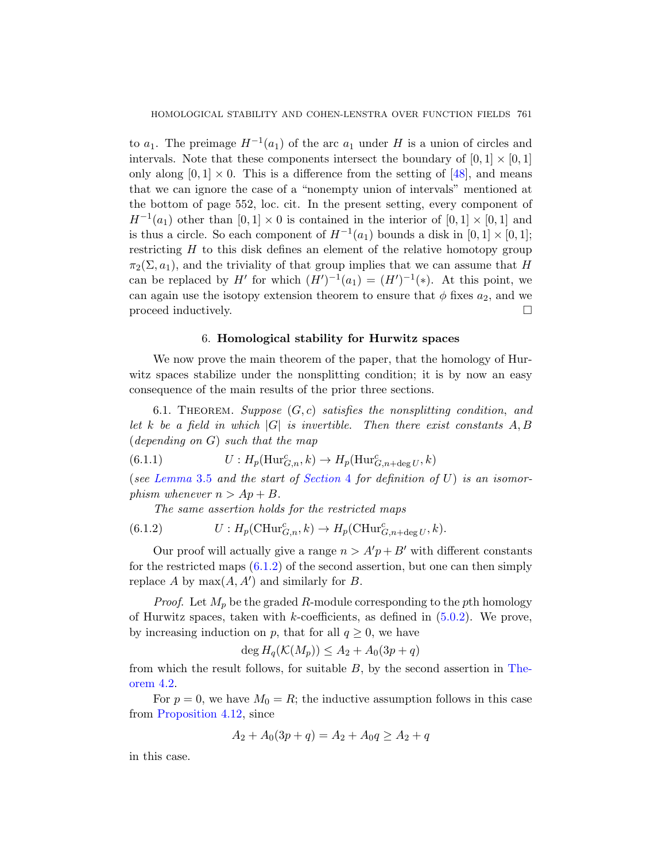to  $a_1$ . The preimage  $H^{-1}(a_1)$  of the arc  $a_1$  under H is a union of circles and intervals. Note that these components intersect the boundary of  $[0, 1] \times [0, 1]$ only along  $[0, 1] \times 0$ . This is a difference from the setting of [48], and means that we can ignore the case of a "nonempty union of intervals" mentioned at the bottom of page 552, loc. cit. In the present setting, every component of  $H^{-1}(a_1)$  other than  $[0,1] \times 0$  is contained in the interior of  $[0,1] \times [0,1]$  and is thus a circle. So each component of  $H^{-1}(a_1)$  bounds a disk in  $[0,1] \times [0,1]$ ; restricting  $H$  to this disk defines an element of the relative homotopy group  $\pi_2(\Sigma, a_1)$ , and the triviality of that group implies that we can assume that H can be replaced by H' for which  $(H')^{-1}(a_1) = (H')^{-1}(*)$ . At this point, we can again use the isotopy extension theorem to ensure that  $\phi$  fixes  $a_2$ , and we proceed inductively.  $\Box$ 

## 6. Homological stability for Hurwitz spaces

<span id="page-32-0"></span>We now prove the main theorem of the paper, that the homology of Hurwitz spaces stabilize under the nonsplitting condition; it is by now an easy consequen[ce of the m](#page-18-0)ain results of the prior three sections.

<span id="page-32-1"></span>6.1. THEOREM. Suppose  $(G, c)$  satisfies the nonsplitting condition, and let k be a field in which  $|G|$  is invertible. Then there exist constants  $A, B$ (depending on G) such that the map

(6.1.1) 
$$
U: H_p(\mathrm{Hur}_{G,n}^c, k) \to H_p(\mathrm{Hur}_{G,n+\deg U}^c, k)
$$

([see](#page-32-1) Lemma 3.5 and the start of Section 4 for definition of  $U$ ) is an isomorphism whenever  $n > Ap + B$ .

The same assertion holds for the restricted maps

(6.1.2) 
$$
U: H_p(\mathrm{CHur}_{G,n}^c, k) \to H_p(\mathrm{CHur}_{G,n+\deg U}^c, k).
$$

Our proof will actually give a range  $n > A'p + B'$  with different constants for the restricted maps  $(6.1.2)$  of the second assert[ion, b](#page-19-0)ut one can then simply replace A by  $max(A, A')$  and similarly for B.

*Proof.* Let  $M_p$  be the graded R-module corresponding to the pth homology of Hurwitz spaces, taken with k-coefficients, as defined in  $(5.0.2)$ . We prove, by increasing induction on p, that for all  $q \geq 0$ , we have

$$
\deg H_q(\mathcal{K}(M_p)) \le A_2 + A_0(3p + q)
$$

from which the result follows, for suitable  $B$ , by the second assertion in Theorem 4.2.

For  $p = 0$ , we have  $M_0 = R$ ; the inductive assumption follows in this case from Proposition 4.12, since

$$
A_2 + A_0(3p + q) = A_2 + A_0q \ge A_2 + q
$$

in this case.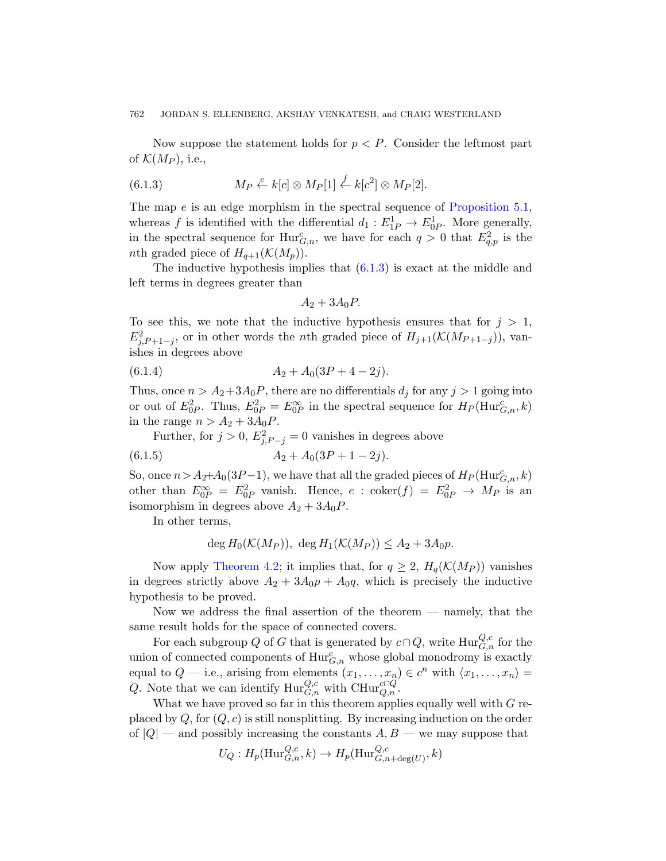<span id="page-33-0"></span>Now suppose the statement holds for  $p < P$ . Consider the leftmost part of  $\mathcal{K}(M_P)$ , i.e.,

(6.1.3) 
$$
M_P \stackrel{e}{\leftarrow} k[c] \otimes M_P[1] \stackrel{f}{\leftarrow} k[c^2] \otimes M_P[2].
$$

The map  $e$  is an edge morphism in the spectral sequence of Proposition 5.1, whereas f is identified with the differential  $d_1 : E_{1P}^1 \to E_{0P}^1$ . More generally, in the spectral sequence for  $\text{Hur}_{G,n}^c$ , we have for each  $q>0$  that  $E_{q,p}^2$  is the *nth* graded piece of  $H_{q+1}(\mathcal{K}(M_p)).$ 

The inductive hypothesis implies that  $(6.1.3)$  is exact at the middle and left terms in degrees greater than

$$
A_2 + 3A_0 P.
$$

To see this, we note that the inductive hypothesis ensures that for  $j > 1$ ,  $E_{j,P+1-j}^2$ , or in other words the *n*th graded piece of  $H_{j+1}(\mathcal{K}(M_{P+1-j}))$ , vanishes in degrees above

$$
(6.1.4) \t\t A2 + A0(3P + 4 - 2j).
$$

Thus, once  $n > A_2 + 3A_0P$ , there are no differentials  $d_i$  for any  $j > 1$  going into or out of  $E_{0P}^2$ . Thus,  $E_{0P}^2 = E_{0P}^{\infty}$  in the spectral sequence for  $H_P(\text{Hur}_{G,n}^c, k)$ in the range  $n > A_2 + 3A_0P$ .

Further, for  $j > 0$ ,  $E_{j,P-j}^2 = 0$  vanishes in degrees above

$$
(6.1.5) \t\t A2 + A0(3P + 1 - 2j).
$$

[So, onc](#page-19-0)e  $n > A_2+A_0(3P-1)$ , we have that all the graded pieces of  $H_P(\text{Hur}_{{G},n}^c, k)$ other than  $E_{0P}^{\infty} = E_{0P}^2$  vanish. Hence,  $e$  : coker $(f) = E_{0P}^2 \rightarrow M_P$  is an isomorphism in degrees above  $A_2 + 3A_0P$ .

In other terms,

$$
\deg H_0(\mathcal{K}(M_P)), \; \deg H_1(\mathcal{K}(M_P)) \le A_2 + 3A_0p.
$$

Now apply Theorem 4.2; it implies that, for  $q \geq 2$ ,  $H_q(\mathcal{K}(M_P))$  vanishes in degrees strictly above  $A_2 + 3A_0p + A_0q$ , which is precisely the inductive hypothesis to be proved.

Now we address the final assertion of the theorem — namely, that the same result holds for the space of connected covers.

For each subgroup Q of G that is generated by  $c \cap Q$ , write  $\text{Hur}_{G,n}^{Q,c}$  for the union of connected components of  $\text{Hur}_{G,n}^c$  whose global monodromy is exactly equal to  $Q$  — i.e., arising from elements  $(x_1, \ldots, x_n) \in c^n$  with  $\langle x_1, \ldots, x_n \rangle =$ Q. Note that we can identify  $\text{Hur}_{G,n}^{Q,c}$  with  $\text{CHur}_{Q,n}^{c\cap Q}$ .

What we have proved so far in this theorem applies equally well with  $G$  replaced by  $Q$ , for  $(Q, c)$  is still nonsplitting. By increasing induction on the order of  $|Q|$  — and possibly increasing the constants  $A, B$  — we may suppose that

$$
U_Q: H_p(\mathrm{Hur}_{G,n}^{Q,c},k) \to H_p(\mathrm{Hur}_{G,n+\deg(U)}^{Q,c},k)
$$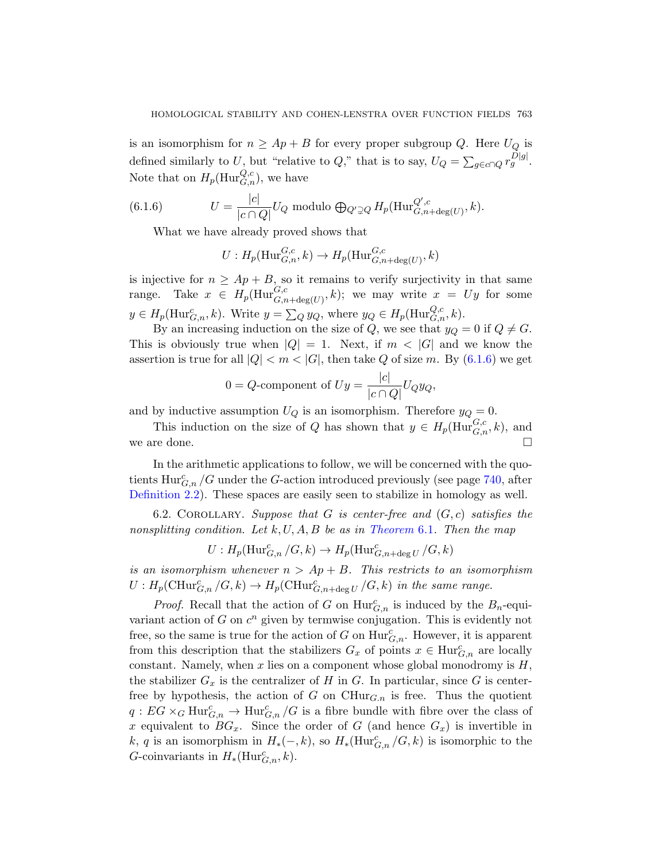<span id="page-34-0"></span>is an isomorphism for  $n \geq Ap + B$  for every proper subgroup Q. Here  $U_Q$  is defined similarly to U, but "relative to Q," that is to say,  $U_Q = \sum_{g \in c \cap Q} r_g^{D|g|}$ . Note that on  $H_p(\mathrm{Hur}_{G,n}^{Q,c})$ , we have

(6.1.6) 
$$
U = \frac{|c|}{|c \cap Q|} U_Q \text{ modulo } \bigoplus_{Q' \supsetneq Q} H_p(\text{Hur}_{G,n+\text{deg}(U)}^{Q',c}, k).
$$

What we have already proved shows that

$$
U: H_p(\mathrm{Hur}_{G,n}^{G,c}, k) \to H_p(\mathrm{Hur}_{G,n+\deg(U)}^{G,c}, k)
$$

is injective for  $n \geq Ap + B$ , so it remains to verify surjectivity in that same range. Take  $x \in H_p(\text{Hur}_{G,n+\text{deg}(U)}^{G,c},k)$ ; we may write  $x = Uy$  for some  $y \in H_p(\text{Hur}_{G,n}^c, k)$ . Write  $y = \sum_{Q} y_Q$ , where  $y_Q \in H_p(\text{Hur}_{G,n}^{Q,c}, k)$ .

By an increasing induction on the size of Q, we see that  $y_Q = 0$  if  $Q \neq G$ . This is obviously true when  $|Q| = 1$ . Next, if  $m < |G|$  and we know the assertion is true for all  $|Q| < m < |G|$ , then take Q of size m. By (6.1.6) we get

$$
0 = Q\text{-component of } Uy = \frac{|c|}{|c \cap Q|}U_Qy_Q,
$$

<span id="page-34-1"></span>and by inductive assumption  $U_Q$  is an isomorphism. Therefore  $y_Q = 0$ .

This induction on [the size of](#page-32-0) Q has shown that  $y \in H_p(\text{Hur}_{G,n}^{G,c}, k)$ , and we are done.  $\Box$ 

In the arithmetic applications to follow, we will be concerned with the quotients  $\text{Hur}_{G,n}^c/G$  under the G-action introduced previously (see page 740, after Definition 2.2). These spaces are easily seen to stabilize in homology as well.

6.2. COROLLARY. Suppose that G is center-free and  $(G, c)$  satisfies the nonsplitting condition. Let  $k, U, A, B$  be as in Theorem 6.1. Then the map

$$
U: H_p(\mathrm{Hur}_{G,n}^c/G, k) \to H_p(\mathrm{Hur}_{G,n+\deg U}^c/G, k)
$$

is an isomorphism whenever  $n > Ap + B$ . This restricts to an isomorphism  $U: H_p(\mathrm{CHur}_{G,n}^c/G, k) \to H_p(\mathrm{CHur}_{G,n+\deg U}^c/G, k)$  in the same range.

*Proof.* Recall that the action of G on  $\text{Hur}_{G,n}^c$  is induced by the  $B_n$ -equivariant action of  $G$  on  $c^n$  given by termwise conjugation. This is evidently not free, so the same is true for the action of G on  $\text{Hur}_{G,n}^c$ . However, it is apparent from this description that the stabilizers  $G_x$  of points  $x \in \text{Hur}_{G,n}^c$  are locally constant. Namely, when x lies on a component whose global monodromy is  $H$ , the stabilizer  $G_x$  is the centralizer of H in G. In particular, since G is centerfree by hypothesis, the action of G on  $\mathrm{CHur}_{G,n}$  is free. Thus the quotient  $q: EG \times_G \text{Hur}_{G,n}^c \to \text{Hur}_{G,n}^c/G$  is a fibre bundle with fibre over the class of x equivalent to  $BG_x$ . Since the order of G (and hence  $G_x$ ) is invertible in k, q is an isomorphism in  $H_*(-,k)$ , so  $H_*(\text{Hur}_{G,n}^c/G, k)$  is isomorphic to the G-coinvariants in  $H_*(\text{Hur}_{G,n}^c, k)$ .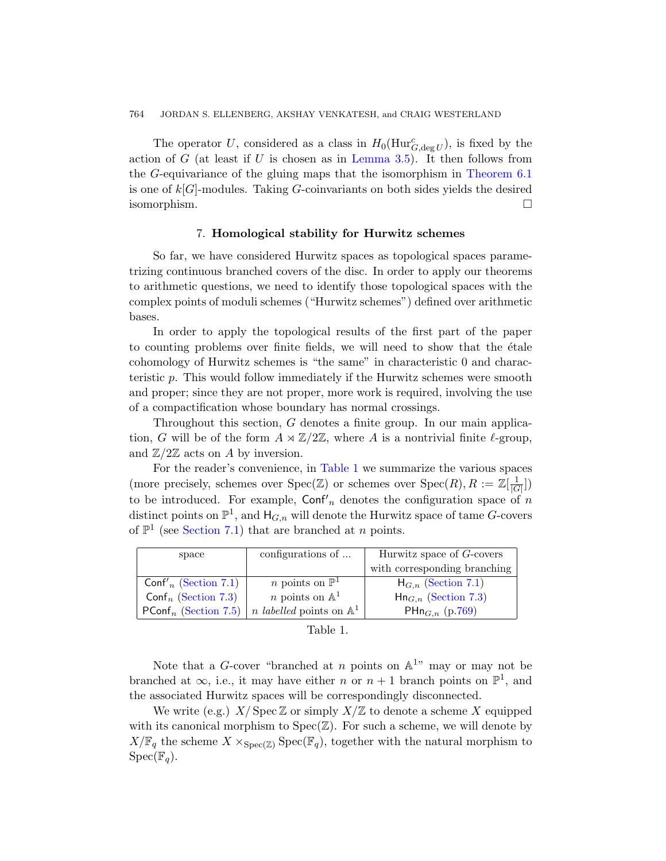<span id="page-35-0"></span>The operator U, considered as a class in  $H_0(\text{Hur}_{G,\text{deg }U}^c)$ , is fixed by the action of G (at least if U is chosen as in Lemma 3.5). It then follows from the G-equivariance of the gluing maps that the isomorphism in Theorem 6.1 is one of  $k[G]$ -modules. Taking G-coinvariants on both sides yields the desired isomorphism.

# 7. Homological stability for Hurwitz schemes

So far, we have considered Hurwitz spaces as topological spaces parametrizing continuous branched covers of the disc. In order to apply our theorems to arithmetic questions, we need to identify those topological spaces with the complex points of moduli schemes ("Hurwitz schemes") defined over arithmetic bases.

In order to apply the topological results of the first part of the paper to counting problems over finite fields, we will need to show that the  $\acute{e}t$  ale cohomology of Hurwitz schemes is "the same" in characteristic 0 and characteristic p. Th[is would](#page-35-1) follow immediately if the Hurwitz schemes were smooth and proper; since they are not proper, more work is required, involving the use of a compactification whose boundary has normal crossings.

Throughout this section, G denotes a finite group. In our main application, G will be of the form  $A \rtimes \mathbb{Z}/2\mathbb{Z}$ , where A is a nontrivial finite  $\ell$ -group, and  $\mathbb{Z}/2\mathbb{Z}$  acts on A by inversion.

For the reader's convenience, in Table 1 we summarize the various spaces (more precisely, schemes over  $Spec(\mathbb{Z})$  or schemes over  $Spec(R), R := \mathbb{Z}[\frac{1}{|C|}]$  $\frac{1}{|G|}$ to be introduced. For example,  $\text{Conf}'_n$  [denot](#page-37-0)es the configuration space of n distinct points on  $\mathbb{P}^1$ , and  $\mathsf{H}_{G,n}$  will den[ote t](#page-40-0)he Hurwitz space of tame G-covers of  $\mathbb{P}^1$  (see Section 7.1) that are branched at *n* points.

<span id="page-35-1"></span>

| space                            | configurations of                          | Hurwitz space of G-covers       |  |
|----------------------------------|--------------------------------------------|---------------------------------|--|
|                                  |                                            | with corresponding branching    |  |
| Conf' <sub>n</sub> (Section 7.1) | <i>n</i> points on $\mathbb{P}^1$          | $H_{G,n}$ (Section 7.1)         |  |
| Conf <sub>n</sub> (Section 7.3)  | <i>n</i> points on $\mathbb{A}^1$          | $\text{Hn}_{G,n}$ (Section 7.3) |  |
| $PConf_n$ (Section 7.5)          | <i>n labelled</i> points on $\mathbb{A}^1$ | PHn <sub>G,n</sub> (p.769)      |  |

| Table |  |
|-------|--|
|       |  |

Note that a G-cover "branched at n points on  $\mathbb{A}^{1}$ " may or may not be branched at  $\infty$ , i.e., it may have either *n* or  $n + 1$  branch points on  $\mathbb{P}^1$ , and the associated Hurwitz spaces will be correspondingly disconnected.

We write (e.g.)  $X/\operatorname{Spec} \mathbb{Z}$  or simply  $X/\mathbb{Z}$  to denote a scheme X equipped with its canonical morphism to  $Spec(\mathbb{Z})$ . For such a scheme, we will denote by  $X/\mathbb{F}_q$  the scheme  $X \times_{\text{Spec}(\mathbb{Z})} \text{Spec}(\mathbb{F}_q)$ , together with the natural morphism to  $Spec(\mathbb{F}_q)$ .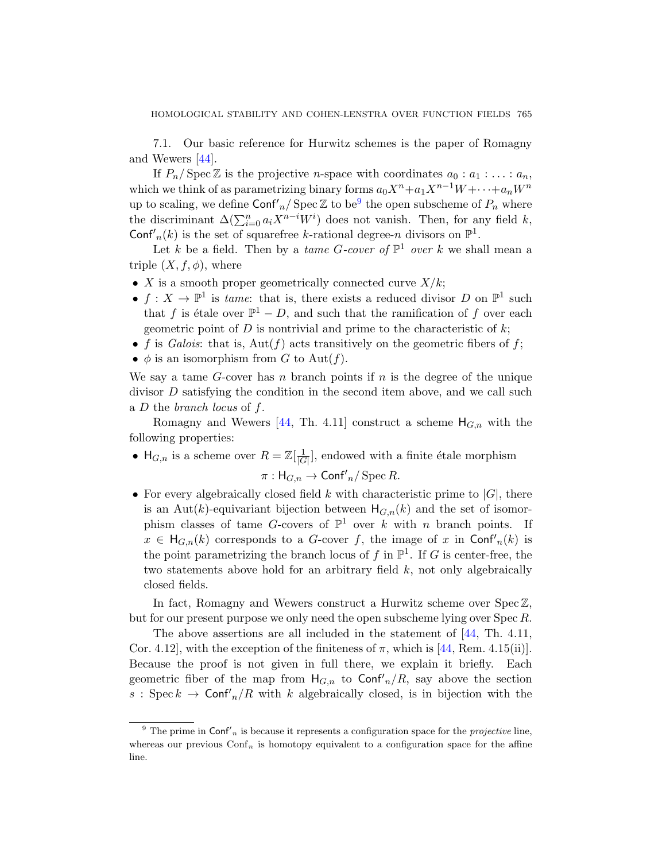<span id="page-36-0"></span>7.1. Our basic reference for Hurwitz schemes is the paper of Romagny and Wewers [44].

If  $P_n$ / Spec Z is the projective *n*-space with coordinates  $a_0 : a_1 : \ldots : a_n$ , which we think of as parametrizing binary forms  $a_0X^n+a_1X^{n-1}W + \cdots + a_nW^n$ up to scaling, we define  $\textsf{Conf}'_n / \textsf{Spec} \mathbb{Z}$  to be<sup>9</sup> the open subscheme of  $P_n$  where the discriminant  $\Delta(\sum_{i=0}^n a_i X^{n-i} W^i)$  does not vanish. Then, for any field k, Conf'<sub>n</sub>(k) is the set of squarefree k-rational degree-n divisors on  $\mathbb{P}^1$ .

Let k be a field. Then by a *tame G-cover of*  $\mathbb{P}^1$  *over* k we shall mean a triple  $(X, f, \phi)$ , where

- X is a smooth proper geometrically connected curve  $X/k$ ;
- $f: X \to \mathbb{P}^1$  is tame: that is, there exists a reduced divisor D on  $\mathbb{P}^1$  such that f is étale over  $\mathbb{P}^1 - D$ , and such that the ramification of f over each ge[ome](#page-57-4)tric point of  $D$  is nontrivial and prime to the characteristic of  $k$ ;
- f is Galois: that is,  $Aut(f)$  acts transitively on the geometric fibers of f;
- $\phi$  is an isomorphism from G to Aut(f).

We say a tame  $G$ -cover has n branch points if  $n$  is the degree of the unique divisor  $D$  satisfying the condition in the second item above, and we call such a  $D$  the *branch locus* of  $f$ .

Romagny and Wewers [44, Th. 4.11] construct a scheme  $H_{G,n}$  with the following properties:

- $H_{G,n}$  is a scheme over  $R = \mathbb{Z}[\frac{1}{G}]$  $\frac{1}{|G|}$ , endowed with a finite étale morphism  $\pi: \mathsf{H}_{G,n} \to \mathsf{Conf'}_n / \operatorname{Spec} R$ .
- For every algebraically closed field k with characteristic prime to  $|G|$ , there is an Aut(k)-equivariant bijection between  $H_{G,n}(k)$  and the set of isomorphism classes of tame G-covers of  $\mathbb{P}^1$  over k with n branch points. If  $x \in H_{G,n}(k)$  corresponds to a G-cov[er](#page-57-4) f, the image of x in Conf'<sub>n</sub>(k) is the point parametrizing the branc[h lo](#page-57-4)cus of f in  $\mathbb{P}^1$ . If G is center-free, the two statements above hold for an arbitrary field  $k$ , not only algebraically closed fields.

In fact, Romagny and Wewers construct a Hurwitz scheme over Spec  $\mathbb{Z}$ , but for our present purpose we only need the open subscheme lying over Spec R.

<span id="page-36-1"></span>The above assertions are all included in the statement of [44, Th. 4.11, Cor. 4.12, with the exception of the finiteness of  $\pi$ , which is [44, Rem. 4.15(ii)]. Because the proof is not given in full there, we explain it briefly. Each geometric fiber of the map from  $H_{G,n}$  to  $\text{Conf}'_n/R$ , say above the section  $s: \operatorname{Spec} k \to \operatorname{Conf}'_n/R$  with k algebraically closed, is in bijection with the

<sup>&</sup>lt;sup>9</sup> The prime in Conf'<sub>n</sub> is because it represents a configuration space for the *projective* line, whereas our previous  $\text{Conf}_n$  is homotopy equivalent to a configuration space for the affine line.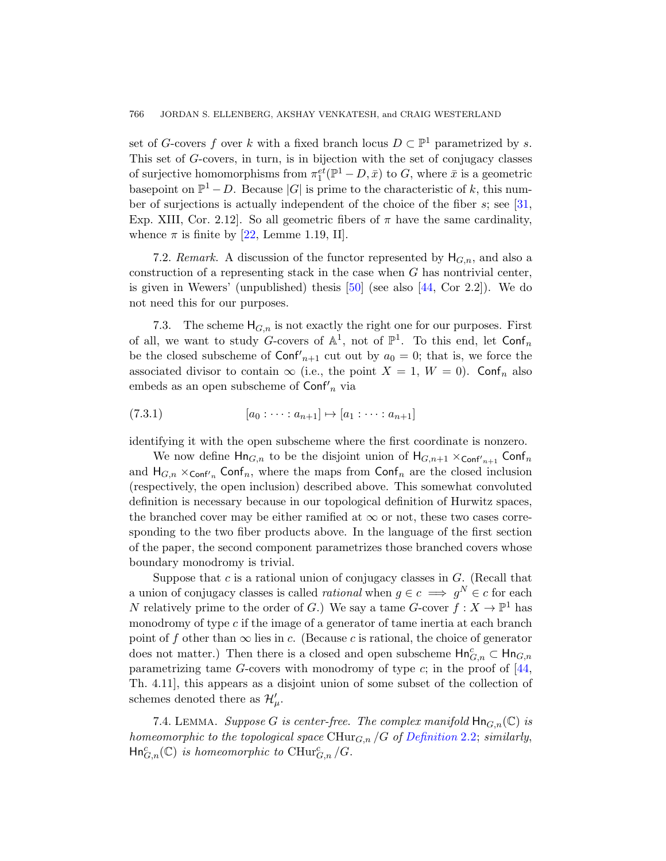[se](#page-55-5)t of G-covers f over k with a fixed branch locus  $D \subset \mathbb{P}^1$  parametrized by s. This set of G-covers, in turn, is in bijection with the set of conjugacy classes of surjective homomorphisms from  $\pi_1^{et}(\mathbb{P}^1 - D, \bar{x})$  to G, where  $\bar{x}$  is a geometric basepoint on  $\mathbb{P}^1 - D$ [. B](#page-57-5)ecause |G| [is](#page-57-4) prime to the characteristic of k, this number of surjections is actually independent of the choice of the fiber  $s$ ; see [31, Exp. XIII, Cor. 2.12. So all geometric fibers of  $\pi$  have the same cardinality, whence  $\pi$  is finite by [22, Lemme 1.19, II].

<span id="page-37-0"></span>7.2. Remark. A discussion of the functor represented by  $H_{G,n}$ , and also a construction of a representing stack in the case when  $G$  has nontrivial center, is given in Wewers' (unpublished) thesis  $[50]$  (see also  $[44, \text{Cor } 2.2]$ ). We do not need this for our purposes.

7.3. The scheme  $H_{G,n}$  is not exactly the right one for our purposes. First of all, we want to study G-covers of  $\mathbb{A}^1$ , not of  $\mathbb{P}^1$ . To this end, let  $\mathsf{Conf}_n$ be the closed subscheme of  $\text{Conf}'_{n+1}$  cut out by  $a_0 = 0$ ; that is, we force the associated divisor to contain  $\infty$  (i.e., the point  $X = 1$ ,  $W = 0$ ). Conf<sub>n</sub> also embeds as an open subscheme of  $\text{Conf}'_n$  via

$$
(7.3.1) \t\t [a_0 : \cdots : a_{n+1}] \mapsto [a_1 : \cdots : a_{n+1}]
$$

identifying it with the open subscheme where the first coordinate is nonzero.

We now define  $\mathsf{Hn}_{G,n}$  to be the disjoint union of  $\mathsf{H}_{G,n+1} \times_{\mathsf{Conf}'_{n+1}} \mathsf{Conf}_n$ and  $H_{G,n} \times_{\text{Conf}'_n} \text{Conf}_n$ , where the maps from  $\text{Conf}_n$  are the closed inclusion (respectively, the open inclusion) described above. This somewhat convoluted definition is necessary because in our topological definition of Hurwitz spaces, the branched cover may be either ramified at  $\infty$  or not, these two cases corresponding to the two fiber products above. In the language of the first section of the paper, the second component parametrizes those branched covers whose boundary monodromy is trivial.

Suppose that  $c$  is a rational union of conjugac[y cla](#page-57-4)sses in  $G$ . (Recall that a union of conjugacy classes is called *rational* when  $g \in c \implies g^N \in c$  for each N relatively prime to the order of G.) We say a tame G-cover  $f: X \to \mathbb{P}^1$  has monodromy of type  $c$  if the image of a generator of tame inertia at each branch point of f other than  $\infty$  lies in c[. \(Because](#page-10-0) c is rational, the choice of generator does not matter.) Then there is a closed and open subscheme  $\textsf{Hn}^c_{G,n} \subset \textsf{Hn}_{G,n}$ parametrizing tame G-covers with monodromy of type  $c$ ; in the proof of  $[44,$ Th. 4.11], this appears as a disjoint union of some subset of the collection of schemes denoted there as  $\mathcal{H}'_{\mu}$ .

7.4. LEMMA. Suppose G is center-free. The complex manifold  $\text{Hn}_{G,n}(\mathbb{C})$  is homeomorphic to the topological space  $\mathrm{CHur}_{G,n}/G$  of Definition 2.2; similarly,  $\mathsf{Hn}^c_{G,n}(\mathbb{C})$  is homeomorphic to  $\mathrm{CHur}^c_{G,n}/G$ .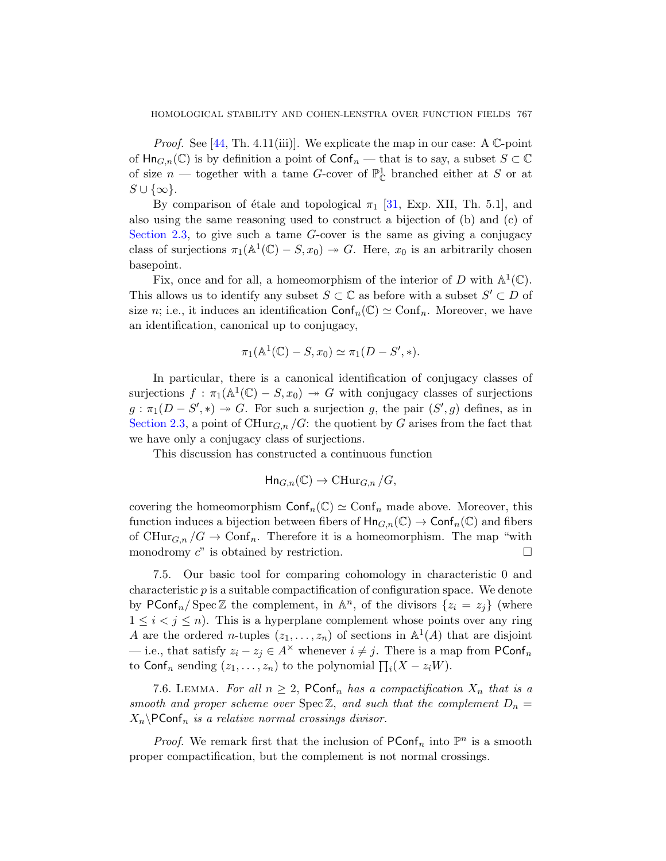*Proof.* See [44, Th. 4.11(iii)]. We explicate the map in our case: A  $\mathbb{C}$ -point of  $\text{Hn}_{G,n}(\mathbb{C})$  is by definition a point of  $\text{Conf}_n$  — that is to say, a subset  $S \subset \mathbb{C}$ of size  $n$  — together with a tame G-cover of  $\mathbb{P}^1_{\mathbb{C}}$  branched either at S or at  $S \cup \{\infty\}.$ 

By comparison of étale and topological  $\pi_1$  [31, Exp. XII, Th. 5.1], and also using the same reasoning used to construct a bijection of (b) and (c) of Section 2.3, to give such a tame G-cover is the same as giving a conjugacy class of surjections  $\pi_1(\mathbb{A}^1(\mathbb{C}) - S, x_0) \to G$ . Here,  $x_0$  is an arbitrarily chosen basepoint.

Fix, once and for all, a homeomorphism of the interior of D with  $\mathbb{A}^1(\mathbb{C})$ . This allows us to identify any subset  $S \subset \mathbb{C}$  as before with a subset  $S' \subset D$  of size n; i.e., it induces an identification  $\text{Conf}_n(\mathbb{C}) \simeq \text{Conf}_n$ . Moreover, we have an identification, canonical up to conjugacy,

$$
\pi_1(\mathbb{A}^1(\mathbb{C}) - S, x_0) \simeq \pi_1(D - S', *).
$$

In particular, there is a canonical identification of conjugacy classes of surjections  $f : \pi_1(\mathbb{A}^1(\mathbb{C}) - S, x_0) \to G$  with conjugacy classes of surjections  $g : \pi_1(D - S', *) \rightarrow G$ . For such a surjection g, the pair  $(S', g)$  defines, as in Section 2.3, a point of  $CHur_{G,n}/G$ : the quotient by G arises from the fact that we have only a conjugacy class of surjections.

This discussion has constructed a continuous function

$$
\text{Hn}_{G,n}(\mathbb{C}) \to \text{CHur}_{G,n}/G,
$$

covering the homeomorphism  $\textsf{Conf}_n(\mathbb{C}) \simeq \textsf{Conf}_n$  made above. Moreover, this function induces a bijection between fibers of  $\text{Hn}_{G,n}(\mathbb{C}) \to \text{Conf}_n(\mathbb{C})$  and fibers of CHur<sub>G,n</sub>  $/G \to \text{Conf}_n$ . Therefore it is a homeomorphism. The map "with monodromy  $c^{\prime\prime}$  is obtained by restriction.

7.5. Our basic tool for comparing cohomology in characteristic 0 and characteristic  $p$  is a suitable compactification of configuration space. We denote by PConf<sub>n</sub>/Spec Z the complement, in  $\mathbb{A}^n$ , of the divisors  $\{z_i = z_j\}$  (where  $1 \leq i < j \leq n$ ). This is a hyperplane complement whose points over any ring A are the ordered *n*-tuples  $(z_1, \ldots, z_n)$  of sections in  $\mathbb{A}^1(A)$  that are disjoint — i.e., that satisfy  $z_i - z_j \in A^\times$  whenever  $i \neq j$ . There is a map from PConf<sub>n</sub> to Conf<sub>n</sub> sending  $(z_1, \ldots, z_n)$  to the polynomial  $\prod_i (X - z_i W)$ .

7.6. LEMMA. For all  $n \geq 2$ , PConf<sub>n</sub> has a compactification  $X_n$  that is a smooth and proper scheme over  $Spec\mathbb{Z}$ , and such that the complement  $D_n =$  $X_n \backslash \textsf{PConf}_n$  is a relative normal crossings divisor.

*Proof.* We remark first that the inclusion of  $PConf_n$  into  $\mathbb{P}^n$  is a smooth proper compactification, but the complement is not normal crossings.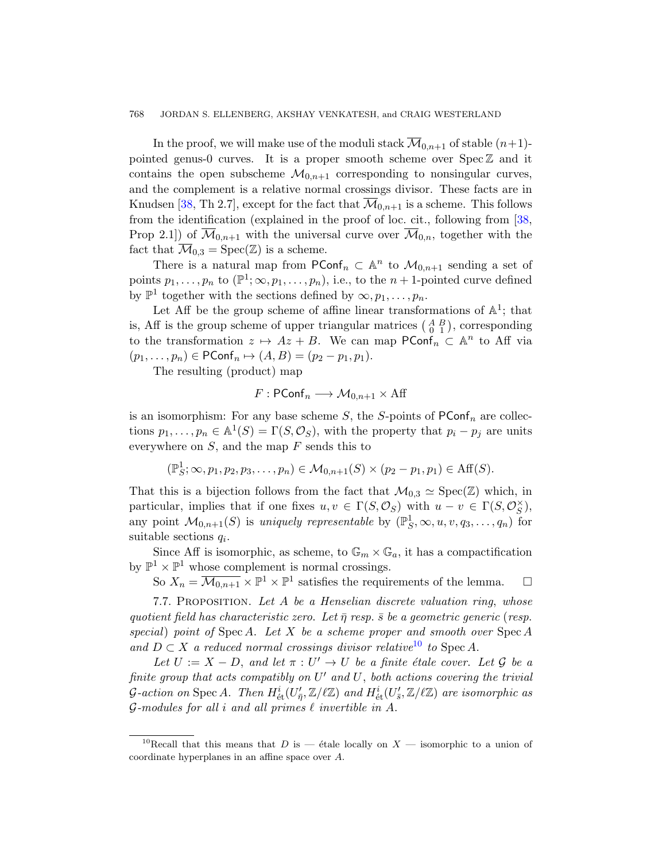In the proof, we will make use of the moduli stack  $\overline{\mathcal{M}}_{0,n+1}$  of stable  $(n+1)$ pointed genus-0 curves. It is a proper smooth scheme over  $\text{Spec } \mathbb{Z}$  and it contains the open subscheme  $\mathcal{M}_{0,n+1}$  corresponding to nonsingular curves, and the complement is a relative normal crossings divisor. These facts are in Knudsen [38, Th 2.7], except for the fact that  $\mathcal{M}_{0,n+1}$  is a scheme. This follows from the identification (explained in the proof of loc. cit., following from [38, Prop 2.1) of  $\overline{\mathcal{M}}_{0,n+1}$  with the universal curve over  $\overline{\mathcal{M}}_{0,n}$ , together with the fact that  $\overline{\mathcal{M}}_{0,3} = \text{Spec}(\mathbb{Z})$  is a scheme.

There is a natural map from  $PConf_n \subset \mathbb{A}^n$  to  $\mathcal{M}_{0,n+1}$  sending a set of points  $p_1, \ldots, p_n$  to  $(\mathbb{P}^1; \infty, p_1, \ldots, p_n)$ , i.e., to the  $n+1$ -pointed curve defined by  $\mathbb{P}^1$  together with the sections defined by  $\infty, p_1, \ldots, p_n$ .

Let Aff be the group scheme of affine linear transformations of  $\mathbb{A}^1$ ; that is, Aff is the group scheme of upper triangular matrices  $\begin{pmatrix} A & B \\ 0 & 1 \end{pmatrix}$ , corresponding to the transformation  $z \mapsto Az + B$ . We can map  $\mathsf{PConf}_n \subset \mathbb{A}^n$  to Aff via  $(p_1, \ldots, p_n) \in \text{PConf}_n \mapsto (A, B) = (p_2 - p_1, p_1).$ 

The resulting (product) map

$$
F: \mathsf{PConf}_n \longrightarrow \mathcal{M}_{0,n+1} \times \mathrm{Aff}
$$

is an isomorphism: For any base scheme  $S$ , the  $S$ -points of  $PConf_n$  are collections  $p_1, \ldots, p_n \in \mathbb{A}^1(S) = \Gamma(S, \mathcal{O}_S)$ , with the property that  $p_i - p_j$  are units everywhere on  $S$ , and the map  $F$  sends this to

$$
(\mathbb{P}_S^1; \infty, p_1, p_2, p_3, \ldots, p_n) \in M_{0,n+1}(S) \times (p_2 - p_1, p_1) \in \text{Aff}(S).
$$

<span id="page-39-1"></span>That this is a bijection follows from the fact that  $\mathcal{M}_{0,3} \simeq \text{Spec}(\mathbb{Z})$  which, in particular, implies that if one fixes  $u, v \in \Gamma(S, \mathcal{O}_S)$  with  $u - v \in \Gamma(S, \mathcal{O}_S^{\times})$ , any point  $\mathcal{M}_{0,n+1}(S)$  is uniquely representable by  $(\mathbb{P}_S^1, \infty, u, v, q_3, \ldots, q_n)$  for suitable sections  $q_i$ .

Since Aff is isomorphic, as [sch](#page-39-0)eme, to  $\mathbb{G}_m \times \mathbb{G}_a$ , it has a compactification by  $\mathbb{P}^1 \times \mathbb{P}^1$  whose complement is normal crossings.

So  $X_n = \overline{\mathcal{M}_{0,n+1}} \times \mathbb{P}^1 \times \mathbb{P}^1$  satisfies the requirements of the lemma.  $\Box$ 

7.7. PROPOSITION. Let A be a Henselian discrete valuation ring, whose quotient field has characteristic zero. Let  $\bar{\eta}$  resp.  $\bar{s}$  be a geometric generic (resp. special) point of Spec A. Let X be a scheme proper and smooth over  $Spec A$ and  $D \subset X$  a reduced normal crossings divisor relative<sup>10</sup> to Spec A.

<span id="page-39-0"></span>Let  $U := X - D$ , and let  $\pi : U' \to U$  be a finite étale cover. Let  $\mathcal G$  be a finite group that acts compatibly on  $U'$  and  $U$ , both actions covering the trivial G-action on Spec A. Then  $H^i_{\text{\'et}}(U'_{\bar{\eta}}, \mathbb{Z}/\ell\mathbb{Z})$  and  $H^i_{\text{\'et}}(U'_{\bar{s}}, \mathbb{Z}/\ell\mathbb{Z})$  are isomorphic as G-modules for all i and all primes  $\ell$  invertible in A.

<sup>&</sup>lt;sup>10</sup>Recall that this means that D is — étale locally on X — isomorphic to a union of coordinate hyperplanes in an affine space over A.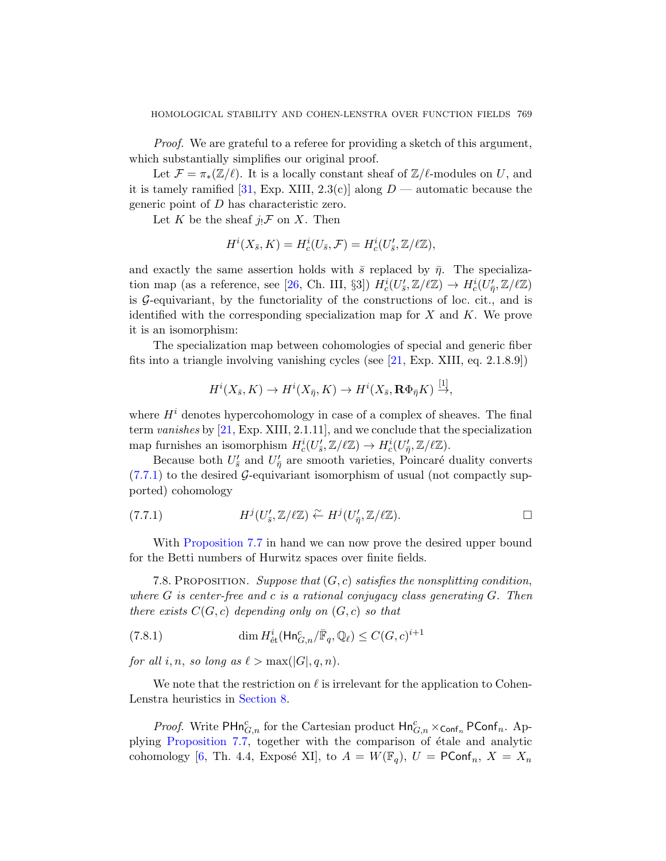Proof. We are grateful to a referee for providing a sketch of this argument, which substantially simplifies our original proof.

Let  $\mathcal{F} = \pi_*(\mathbb{Z}/\ell)$ . It is a locally constant sheaf of  $\mathbb{Z}/\ell$ -modules on U, and it is ta[mel](#page-55-6)y ramified [31, Exp. XIII, 2.3(c)] along  $D$  — automatic because the generic point of D has characteristic zero.

Let K be the sheaf  $j_!\mathcal{F}$  on X. Then

$$
H^i(X_{\bar{s}}, K) = H^i_c(U_{\bar{s}}, \mathcal{F}) = H^i_c(U'_{\bar{s}}, \mathbb{Z}/\ell\mathbb{Z}),
$$

and exactly the same asse[rtio](#page-55-7)n holds with  $\bar{s}$  replaced by  $\bar{\eta}$ . The specialization map (as a reference, see [26, Ch. III, §3])  $H_c^i(U_s', \mathbb{Z}/\ell\mathbb{Z}) \to H_c^i(U_{\bar{\eta}}', \mathbb{Z}/\ell\mathbb{Z})$ is  $\mathcal{G}$ -equivariant, by the functoriality of the constructions of loc. cit., and is identified with the corresponding specialization map for  $X$  and  $K$ . We prove it is an isomorphism:

The specialization map between cohomologies of special and generic fiber fits into a triangle involving vanishing cycles (see [21, Exp. XIII, eq. 2.1.8.9])

$$
H^{i}(X_{\bar{s}}, K) \to H^{i}(X_{\bar{\eta}}, K) \to H^{i}(X_{\bar{s}}, \mathbf{R}\Phi_{\bar{\eta}}K) \stackrel{[1]}{\to},
$$

where  $H<sup>i</sup>$  denotes hypercohomology in case of a complex of sheaves. The final term vanishes by [21, Exp. XIII, 2.1.11], and we conclude that the specialization [ma](#page-39-1)p furnishes an isomorphism  $H_c^i(U'_{\bar{s}}, \mathbb{Z}/\ell\mathbb{Z}) \to H_c^i(U'_{\bar{\eta}}, \mathbb{Z}/\ell\mathbb{Z}).$ 

Because both  $U'_{\bar{s}}$  and  $U'_{\bar{\eta}}$  are smooth varieties, Poincaré duality converts  $(7.7.1)$  to the desired G-equivariant isomorphism of usual (not compactly supported) cohomology

(7.7.1) 
$$
H^{j}(U'_{\bar{s}}, \mathbb{Z}/\ell\mathbb{Z}) \stackrel{\sim}{\leftarrow} H^{j}(U'_{\bar{\eta}}, \mathbb{Z}/\ell\mathbb{Z}).
$$

<span id="page-40-0"></span>With Proposition 7.7 in hand we can now prove the desired upper bound for the Betti numbers of Hurwitz spaces over finite fields.

7.8. PROPOSITION. Suppose that  $(G, c)$  satisfies the nonsplitting condition, where  $G$  is center-free and c is a rational conjugacy class generating  $G$ . Then [there ex](#page-41-0)ists  $C(G, c)$  depending only on  $(G, c)$  so that

(7.8.1) 
$$
\dim H^i_{\text{\'et}}(\text{Hn}^c_{G,n}/\bar{\mathbb{F}}_q,\mathbb{Q}_\ell) \leq C(G,c)^{i+1}
$$

for all i, n, so long as  $\ell > \max(|G|, q, n)$ .

We note that the restriction on  $\ell$  is irrelevant for the application to Cohen-Lenstra heuristics in Section 8.

*Proof.* Write  $\textsf{PHn}^c_{G,n}$  for the Cartesian product  $\textsf{Hn}^c_{G,n} \times_{\textsf{Conf}_n} \textsf{PConf}_n$ . Applying Proposition 7.7, together with the comparison of étale and analytic cohomology [6, Th. 4.4, Exposé XI], to  $A = W(\mathbb{F}_q)$ ,  $U = \text{PConf}_n$ ,  $X = X_n$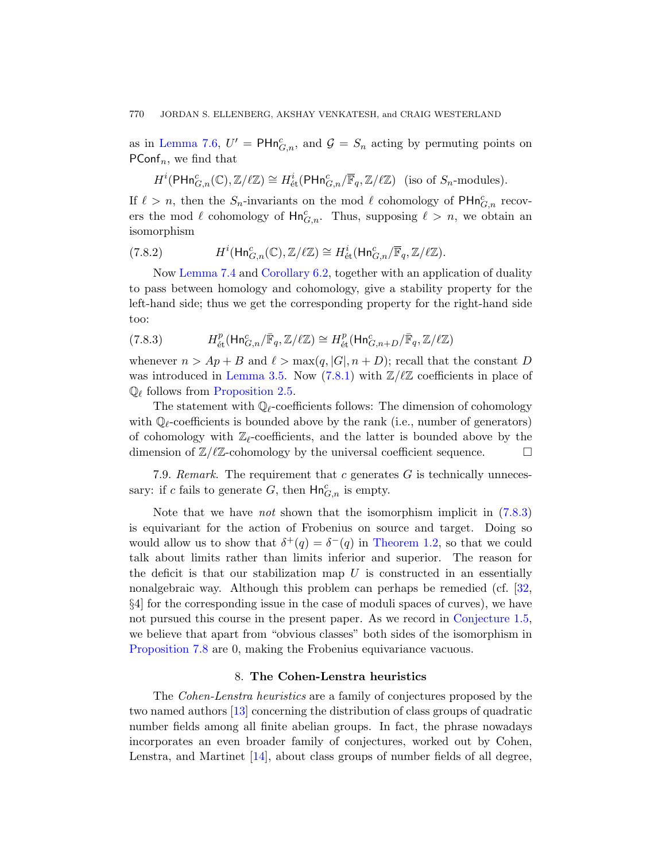#### 770 JORDAN S. ELLENBERG, AKSHAY VENKATESH, and CRAIG WESTERLAND

as in Lemma 7.6,  $U' = \text{PHn}_{G,n}^c$ , and  $\mathcal{G} = S_n$  acting by permuting points on PConf<sub>n</sub>, we find that

$$
H^i(\mathsf{PHn}^c_{G,n}(\mathbb{C}), \mathbb{Z}/\ell\mathbb{Z}) \cong H^i_{\text{\'et}}(\mathsf{PHn}^c_{G,n}/\overline{\mathbb{F}}_q, \mathbb{Z}/\ell\mathbb{Z}) \text{ (iso of } S_n\text{-modules)}.
$$

If  $\ell > n$ , then the  $S_n$ -invariants on the mod  $\ell$  cohomology of PHn $_{G,n}^c$  recovers the mod  $\ell$  cohomology of  $\text{Hn}^c_{G,n}$ . Thus, supposing  $\ell > n$ , we obtain an isomorphism

<span id="page-41-1"></span>(7.8.2) 
$$
H^{i}(\text{Hn}_{G,n}^{c}(\mathbb{C}), \mathbb{Z}/\ell\mathbb{Z}) \cong H^{i}_{\text{\'et}}(\text{Hn}_{G,n}^{c}/\overline{\mathbb{F}}_{q}, \mathbb{Z}/\ell\mathbb{Z}).
$$

Now Lemma 7.4 and Corollary 6.2, together with an application of duality [to pass](#page-16-0) betwe[en hom](#page-40-0)ology and cohomology, give a stability property for the [left-hand](#page-13-2) side; thus we get the corresponding property for the right-hand side too:

(7.8.3) 
$$
H_{\text{\'et}}^p(\text{Hn}_{G,n}^c/\bar{\mathbb{F}}_q,\mathbb{Z}/\ell\mathbb{Z})\cong H_{\text{\'et}}^p(\text{Hn}_{G,n+D}^c/\bar{\mathbb{F}}_q,\mathbb{Z}/\ell\mathbb{Z})
$$

whenever  $n > Ap + B$  and  $\ell > \max(q, |G|, n + D)$ ; recall that the constant D was introduced in Lemma 3.5. Now (7.8.1) with  $\mathbb{Z}/\mathbb{Z}$  coefficients in place of  $\mathbb{Q}_\ell$  follows from Proposition 2.5.

The statement with  $\mathbb{Q}_\ell$ -coefficients follows: The dimension of cohomology with  $\mathbb{Q}_{\ell}$ -coefficients is bounded above by the ran[k \(i.e.](#page-41-1), number of generators) of cohomology with  $\mathbb{Z}_\ell$ -coefficients, and the latter is bounded above by the dimension of  $\mathbb{Z}/\ell\mathbb{Z}$ -coh[omology by th](#page-1-1)e universal coefficient sequence.

7.9. Remark. The requirement that c generates  $G$  is technically unnecessary: if c fails to generate G, then  $\mathsf{Hn}^c_{G,n}$  is empty.

<span id="page-41-0"></span>Note that we have *not* shown that the isomorphism implicit in  $(7.8.3)$ is equivariant for the action of Frobe[nius on source](#page-4-1) and target. Doing so would allow us to show that  $\delta^+(q) = \delta^-(q)$  in Theorem 1.2, so that we could talk about limits rather than limits inferior and superior. The reason for the deficit is that our stabilization map  $U$  is constructed in an essentially nonalgebraic way. Although this problem can perhaps be remedied (cf. [32, §4] for the corresponding issue in the case of moduli spaces of curves), we have not pursued this course in the present paper. As we record in Conjecture 1.5, we believe that apart from "obvious classes" both sides of the isomorphism in Proposition 7.8 are 0, making the Frobenius equivariance vacuous.

## 8. The Cohen-Lenstra heuristics

The Cohen-Lenstra heuristics are a family of conjectures proposed by the two named authors [13] concerning the distribution of class groups of quadratic number fields among all finite abelian groups. In fact, the phrase nowadays incorporates an even broader family of conjectures, worked out by Cohen, Lenstra, and Martinet [14], about class groups of number fields of all degree,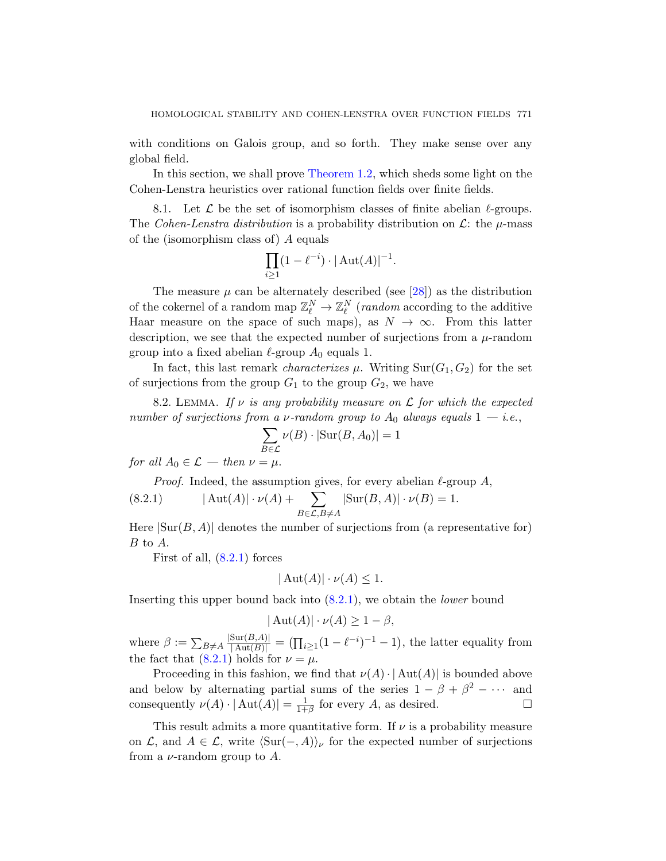with conditions on Galois group, and so forth. They make sense over any global field.

In this section, we shall prove Theorem 1.2, which sheds some light on the Cohen-Lenstra heuristics over [rati](#page-55-8)onal function fields over finite fields.

8.1. Let  $\mathcal L$  be the set of isomorphism classes of finite abelian  $\ell$ -groups. The Cohen-Lenstra distribution is a probability distribution on  $\mathcal{L}$ : the  $\mu$ -mass of the (isomorphism class of) A equals

$$
\prod_{i\geq 1} (1 - \ell^{-i}) \cdot |\operatorname{Aut}(A)|^{-1}.
$$

<span id="page-42-1"></span>The measure  $\mu$  can be alternately described (see [28]) as the distribution of the cokernel of a random map  $\mathbb{Z}_{\ell}^N \to \mathbb{Z}_{\ell}^N$  (*random* according to the additive Haar measure on the space of such maps), as  $N \to \infty$ . From this latter description, we see that the expected number of surjections from a  $\mu$ -random group into a fixed abelian  $\ell$ -group  $A_0$  equals 1.

In fact, this last remark *characterizes*  $\mu$ . Writing Sur( $G_1, G_2$ ) for the set of surjections from the group  $G_1$  to the group  $G_2$ , we have

<span id="page-42-0"></span>8.2. LEMMA. If v is any probability measure on  $\mathcal L$  for which the expected number of surjections from a  $\nu$ -random group to  $A_0$  always equals  $1 - i.e.,$ 

$$
\sum_{B \in \mathcal{L}} \nu(B) \cdot |\text{Sur}(B, A_0)| = 1
$$

for all  $A_0 \in \mathcal{L}$  — then  $\nu = \mu$ .

*Proof.* Indeed, the assumption gives, for every abelian  $\ell$ -group A,

(8.2.1) 
$$
|\operatorname{Aut}(A)| \cdot \nu(A) + \sum_{B \in \mathcal{L}, B \neq A} |\operatorname{Sur}(B, A)| \cdot \nu(B) = 1.
$$

Here  $|\text{Sur}(B, A)|$  denotes the number of surjections from (a representative for) B to A.

First of all,  $(8.2.1)$  forces

$$
|\operatorname{Aut}(A)| \cdot \nu(A) \le 1.
$$

Inserting this upper bound back into  $(8.2.1)$ , we obtain the *lower* bound

$$
|\operatorname{Aut}(A)| \cdot \nu(A) \ge 1 - \beta,
$$

where  $\beta := \sum_{B \neq A} \frac{|\text{Sur}(B,A)|}{|\text{Aut}(B)|} = (\prod_{i \geq 1} (1 - \ell^{-i})^{-1} - 1)$ , the latter equality from the fact that  $(8.2.1)$  holds for  $\nu = \mu$ .

Proceeding in this fashion, we find that  $\nu(A) \cdot |\text{Aut}(A)|$  is bounded above and below by alternating partial sums of the series  $1 - \beta + \beta^2 - \cdots$  and consequently  $\nu(A) \cdot |\operatorname{Aut}(A)| = \frac{1}{1+1}$  $\frac{1}{1+\beta}$  for every A, as desired.  $\square$ 

This result admits a more quantitative form. If  $\nu$  is a probability measure on  $\mathcal{L}$ , and  $A \in \mathcal{L}$ , write  $\langle \text{Sur}(-, A) \rangle_{\nu}$  for the expected number of surjections from a  $\nu$ -random group to A.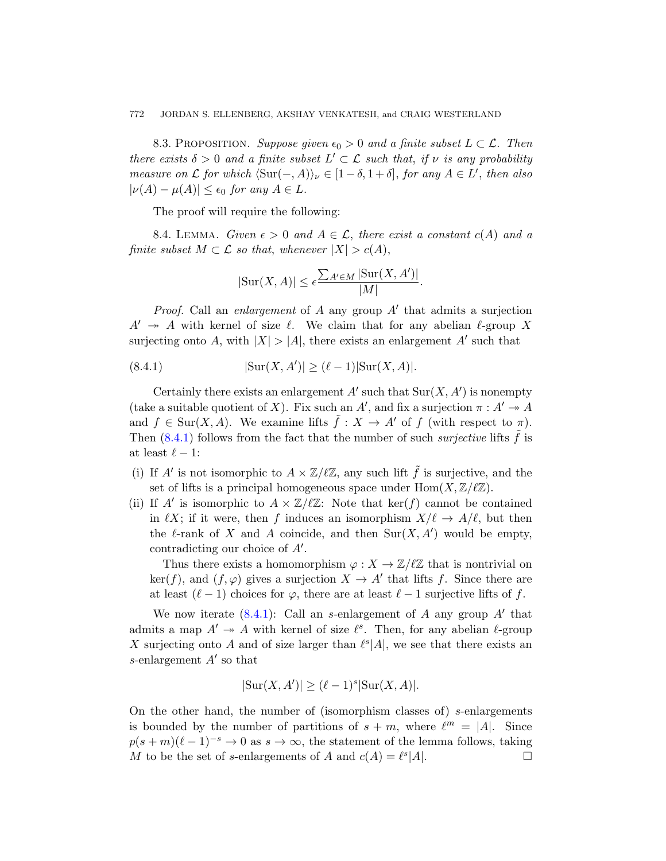<span id="page-43-2"></span><span id="page-43-0"></span>8.3. PROPOSITION. Suppose given  $\epsilon_0 > 0$  and a finite subset  $L \subset \mathcal{L}$ . Then there exists  $\delta > 0$  and a finite subset  $L' \subset \mathcal{L}$  such that, if  $\nu$  is any probability measure on  $\mathcal L$  for which  $\langle \text{Sur}(-, A) \rangle_{\nu} \in [1 - \delta, 1 + \delta],$  for any  $A \in L'$ , then also  $|\nu(A) - \mu(A)| \leq \epsilon_0$  for any  $A \in L$ .

The proof will require the following:

<span id="page-43-1"></span>8.4. LEMMA. Given  $\epsilon > 0$  and  $A \in \mathcal{L}$ , there exist a constant  $c(A)$  and a finite subset  $M \subset \mathcal{L}$  so that, whenever  $|X| > c(A)$ ,

$$
|\text{Sur}(X, A)| \le \epsilon \frac{\sum_{A' \in M} |\text{Sur}(X, A')|}{|M|}.
$$

*Proof.* Call an *enlargement* of  $A$  any group  $A'$  that admits a surjection  $A' \rightarrow A$  with kernel of size  $\ell$ . We claim that for any abelian  $\ell$ -group X surjecting onto A, with  $|X| > |A|$ , there exists an enlargement A' such that

$$
(8.4.1) \t|Sur(X, A')| \ge (\ell - 1)|Sur(X, A)|.
$$

Certainly there exists an enlargement  $A'$  such that  $\text{Sur}(X, A')$  is nonempty (take a suitable quotient of X). Fix such an A', and fix a surjection  $\pi : A' \rightarrow A$ and  $f \in Sur(X, A)$ . We examine lifts  $\tilde{f}: X \to A'$  of f (with respect to  $\pi$ ). Then  $(8.4.1)$  follows from the fact that the number of such *surjective* lifts  $\hat{f}$  is at least  $\ell - 1$ :

- (i) If A' is not isomorphic to  $A \times \mathbb{Z}/\ell \mathbb{Z}$ , any such lift  $\tilde{f}$  is surjective, and the set of lifts is a principal homogeneous space under  $\text{Hom}(X, \mathbb{Z}/\ell\mathbb{Z})$ .
- (ii) If A' is isomorphic to  $A \times \mathbb{Z}/\ell\mathbb{Z}$ : Note that ker(f) cannot be contained [i](#page-43-1)n  $\ell X$ ; if it were, then f induces an isomorphism  $X/\ell \to A/\ell$ , but then the  $\ell$ -rank of X and A coincide, and then  $\text{Sur}(X, A')$  would be empty, contradicting our choice of  $A'$ .

Thus there exists a homomorphism  $\varphi: X \to \mathbb{Z}/\ell\mathbb{Z}$  that is nontrivial on  $\ker(f)$ , and  $(f, \varphi)$  gives a surjection  $X \to A'$  that lifts f. Since there are at least  $(\ell - 1)$  choices for  $\varphi$ , there are at least  $\ell - 1$  surjective lifts of f.

We now iterate  $(8.4.1)$ : Call an s-enlargement of A any group  $A'$  that admits a map  $A' \rightarrow A$  with kernel of size  $\ell^s$ . Then, for any abelian  $\ell$ -group X surjecting onto A and of size larger than  $\ell^{s} |A|$ , we see that there exists an s-enlargement  $A'$  so that

$$
|\text{Sur}(X, A')| \ge (\ell - 1)^s |\text{Sur}(X, A)|.
$$

On the other hand, the number of (isomorphism classes of)  $s$ -enlargements is bounded by the number of partitions of  $s + m$ , where  $\ell^m = |A|$ . Since  $p(s + m)(\ell - 1)^{-s} \to 0$  as  $s \to \infty$ , the statement of the lemma follows, taking M to be the set of s-enlargements of A and  $c(A) = \ell^{s} |A|$ .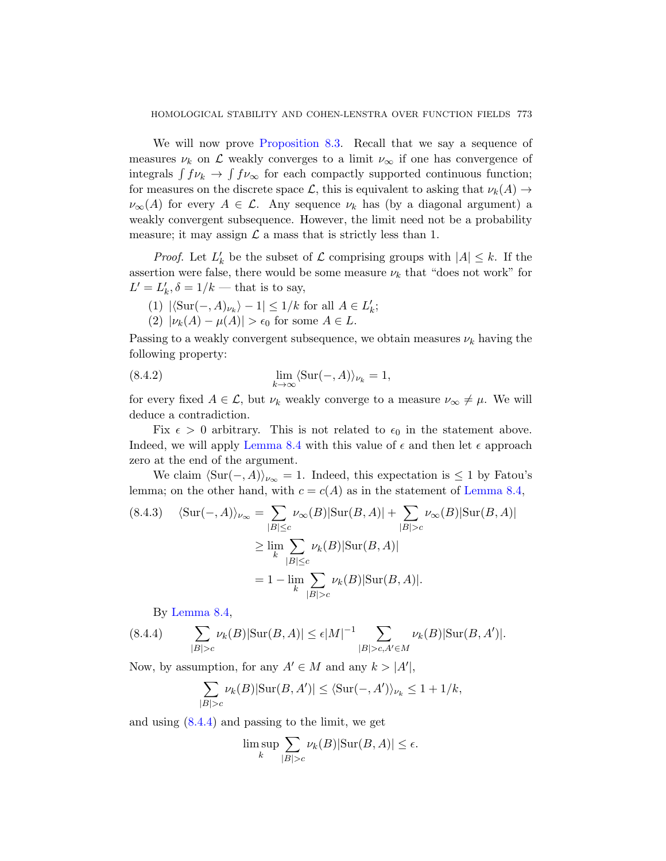We will now prove Proposition 8.3. Recall that we say a sequence of measures  $\nu_k$  on  $\mathcal L$  weakly converges to a limit  $\nu_\infty$  if one has convergence of integrals  $\int f \nu_k \to \int f \nu_\infty$  for each compactly supported continuous function; for measures on the discrete space L, this is equivalent to asking that  $\nu_k(A) \rightarrow$  $\nu_{\infty}(A)$  for every  $A \in \mathcal{L}$ . Any sequence  $\nu_k$  has (by a diagonal argument) a weakly convergent subsequence. However, the limit need not be a probability measure; it may assign  $\mathcal L$  a mass that is strictly less than 1.

*Proof.* Let  $L'_k$  be the subset of  $\mathcal L$  comprising groups with  $|A| \leq k$ . If the assertion were false, there would be some measure  $\nu_k$  that "does not work" for  $L' = L'_k, \delta = 1/k$  — that is to say,

(1)  $|\langle \operatorname{Sur}(-, A)_{\nu_k} \rangle - 1| \leq 1/k$  for all  $A \in L'_k$ ; (2)  $|\nu_k(A) - \mu(A)| > \epsilon_0$  for some  $A \in L$ .

Passing to a weakly convergent subsequence, we obtain measures  $\nu_k$  having the [following p](#page-43-2)roperty:

(8.4.2) 
$$
\lim_{k \to \infty} \langle \text{Sur}(-, A) \rangle_{\nu_k} = 1,
$$

for every fixed  $A \in \mathcal{L}$ , but  $\nu_k$  weakly con[verge to a m](#page-43-2)easure  $\nu_\infty \neq \mu$ . We will deduce a contradiction.

Fix  $\epsilon > 0$  arbitrary. This is not related to  $\epsilon_0$  in the statement above. Indeed, we will apply Lemma 8.4 with this value of  $\epsilon$  and then let  $\epsilon$  approach zero at the end of the argument.

We claim  $\langle \text{Sur}(-, A) \rangle_{\nu_{\infty}} = 1$ . Indeed, this expectation is  $\leq 1$  by Fatou's lemma; on the other hand, with  $c = c(A)$  as in the statement of Lemma 8.4,

$$
(8.4.3) \quad \langle \text{Sur}(-, A) \rangle_{\nu_{\infty}} = \sum_{|B| \le c} \nu_{\infty}(B) |\text{Sur}(B, A)| + \sum_{|B| > c} \nu_{\infty}(B) |\text{Sur}(B, A)|
$$

$$
\ge \lim_{k} \sum_{|B| \le c} \nu_k(B) |\text{Sur}(B, A)|
$$

$$
= 1 - \lim_{k} \sum_{|B| > c} \nu_k(B) |\text{Sur}(B, A)|.
$$

By Lemma 8.4,

(8.4.4) 
$$
\sum_{|B|>c} \nu_k(B)|\text{Sur}(B,A)| \le \epsilon |M|^{-1} \sum_{|B|>c, A'\in M} \nu_k(B)|\text{Sur}(B,A')|.
$$

Now, by assumption, for any  $A' \in M$  and any  $k > |A'|$ ,

$$
\sum_{|B|>c} \nu_k(B)|\text{Sur}(B,A')| \le \langle \text{Sur}(-,A') \rangle_{\nu_k} \le 1 + 1/k,
$$

and using  $(8.4.4)$  and passing to the limit, we get

$$
\limsup_{k} \sum_{|B|>c} \nu_k(B)|\text{Sur}(B,A)| \le \epsilon.
$$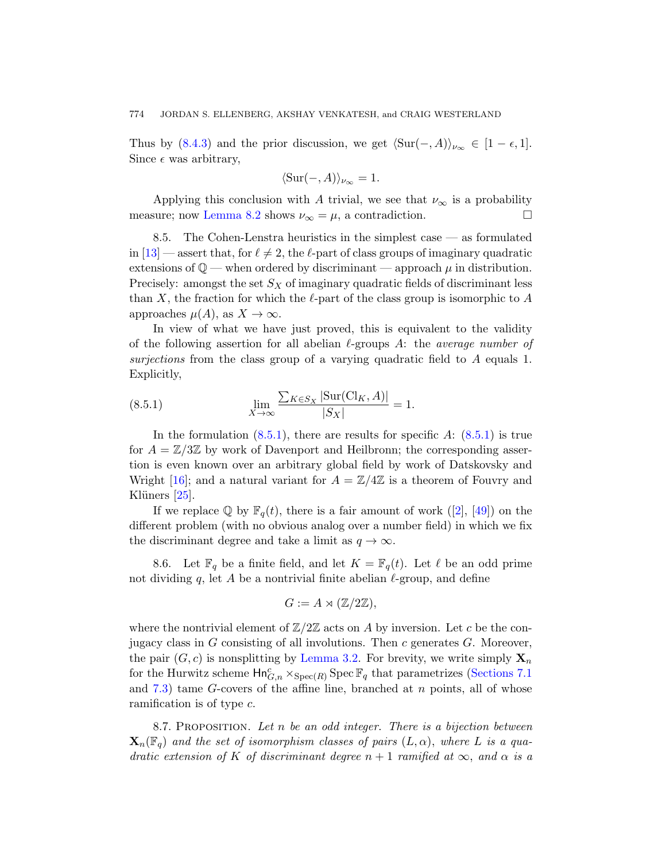Thus by (8.4.3) and the prior discussion, we get  $\langle \text{Sur}(-, A) \rangle_{\nu_{\infty}} \in [1 - \epsilon, 1].$ Since  $\epsilon$  was arbitrary,

$$
\langle \text{Sur}(-, A) \rangle_{\nu_{\infty}} = 1.
$$

Applying this conclusion with A trivial, we see that  $\nu_{\infty}$  is a probability measure; now Lemma 8.2 shows  $\nu_{\infty} = \mu$ , a contradiction.

8.5. The Cohen-Lenstra heuristics in the simplest case — as formulated in  $[13]$  — assert that, for  $\ell \neq 2$ , the  $\ell$ -part of class groups of imaginary quadratic extensions of  $\mathbb{Q}$  — when ordered by discriminant — approach  $\mu$  in distribution. Precisely: amongst the set  $S_X$  of imaginary quadratic fields of discriminant less than X, the fraction for which the  $\ell$ -part of the class group is isomorphic to A approaches  $\mu(A)$ , as  $X \to \infty$ .

<span id="page-45-0"></span>In view of what we have just proved, this is equivalent to the validity o[f the](#page-45-0) following assertion for all abelian  $\ell$ [-grou](#page-45-0)ps A: the *average number of* surjections from the class group of a varying quadratic field to A equals 1. Explicitly,

(8.5.1) 
$$
\lim_{X \to \infty} \frac{\sum_{K \in S_X} |\text{Sur}(\text{Cl}_K, A)|}{|S_X|} = 1.
$$

In the formulation  $(8.5.1)$ , there are results for specific A:  $(8.5.1)$  is true for  $A = \mathbb{Z}/3\mathbb{Z}$  by work of Davenport and Heilbronn; the corresponding assertion is even known over an arbitrary global field by work of Datskovsky and Wright [16]; and a natural variant for  $A = \mathbb{Z}/4\mathbb{Z}$  is a theorem of Fouvry and Klüners  $[25]$ .

If we replace  $\mathbb{Q}$  by  $\mathbb{F}_q(t)$ , there is a fair amount of work ([2], [49]) on the different problem (with no obvious analog over a number field) in which we fix the discriminant degree and take a limit as  $q \to \infty$ .

8.6. [Let](#page-14-1)  $\mathbb{F}_q$  be a finite field, and let  $K = \mathbb{F}_q(t)$ . Let  $\ell$  be an odd prime not dividing q, let A be a nontrivial finite [abelian](#page-36-0)  $\ell$ -group, and define

$$
G := A \rtimes (\mathbb{Z}/2\mathbb{Z}),
$$

<span id="page-45-1"></span>where the nontrivial element of  $\mathbb{Z}/2\mathbb{Z}$  acts on A by inversion. Let c be the conjugacy class in  $G$  consisting of all involutions. Then  $c$  generates  $G$ . Moreover, the pair  $(G, c)$  is nonsplitting by Lemma 3.2. For brevity, we write simply  $\mathbf{X}_n$ for the Hurwitz scheme  $\mathsf{Hn}^c_{G,n} \times_{\text{Spec}(R)} \text{Spec } \mathbb{F}_q$  that parametrizes (Sections 7.1) and  $7.3$ ) tame G-covers of the affine line, branched at n points, all of whose ramification is of type  $c$ .

8.7. PROPOSITION. Let n be an odd integer. There is a bijection between  $\mathbf{X}_n(\mathbb{F}_q)$  and the set of isomorphism classes of pairs  $(L, \alpha)$ , where L is a quadratic extension of K of discriminant degree  $n + 1$  ramified at  $\infty$ , and  $\alpha$  is a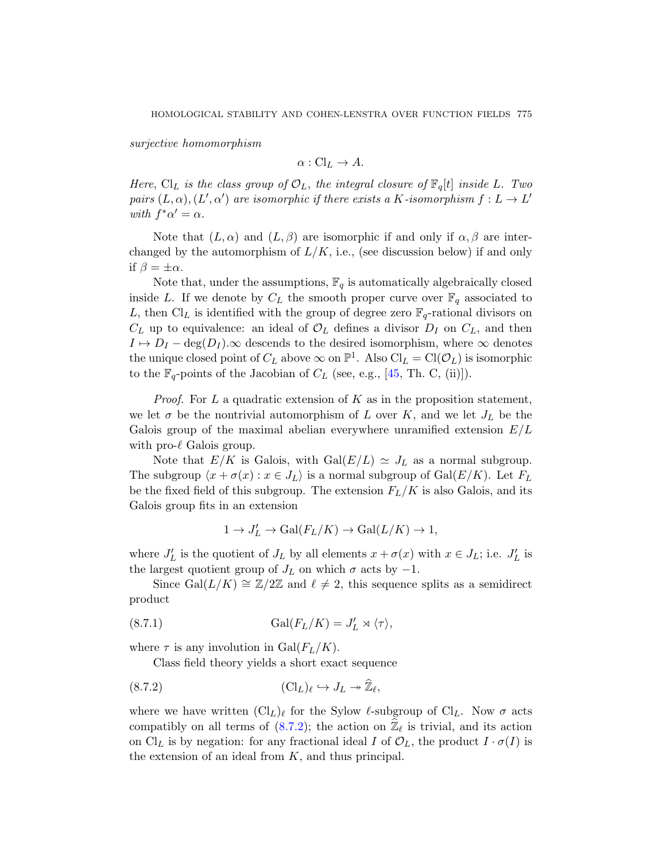surjective homomorphism

$$
\alpha: Cl_L \to A.
$$

Here, Cl<sub>L</sub> is the class group of  $\mathcal{O}_L$ , the integral closure of  $\mathbb{F}_q[t]$  inside L. Two pairs  $(L, \alpha), (L', \alpha')$  are isomorphic if there exists a K-isomorphism  $f: L \to L'$ with  $f^*\alpha' = \alpha$ .

Note that  $(L, \alpha)$  and  $(L, \beta)$  are isomorphic if and only if  $\alpha, \beta$  are interchanged by the automorphism of  $L/K$ , i.e., (see discussion below) if and only if  $\beta = \pm \alpha$ .

Note that, under the [assu](#page-57-6)mptions,  $\mathbb{F}_q$  is automatically algebraically closed inside L. If we denote by  $C_L$  the smooth proper curve over  $\mathbb{F}_q$  associated to L, then Cl<sub>L</sub> is identified with the group of degree zero  $\mathbb{F}_q$ -rational divisors on  $C_L$  up to equivalence: an ideal of  $\mathcal{O}_L$  defines a divisor  $D_I$  on  $C_L$ , and then  $I \mapsto D_I - \deg(D_I)$ . $\infty$  descends to the desired isomorphism, where  $\infty$  denotes the unique closed point of  $C_L$  above  $\infty$  on  $\mathbb{P}^1$ . Also  $\mathrm{Cl}_L = \mathrm{Cl}(\mathcal{O}_L)$  is isomorphic to the  $\mathbb{F}_q$ -points of the Jacobian of  $C_L$  (see, e.g., [45, Th. C, (ii)]).

*Proof.* For  $L$  a quadratic extension of  $K$  as in the proposition statement, we let  $\sigma$  be the nontrivial automorphism of L over K, and we let  $J_L$  be the Galois group of the maximal abelian everywhere unramified extension  $E/L$ with pro- $\ell$  Galois group.

Note that  $E/K$  is Galois, with  $Gal(E/L) \simeq J_L$  as a normal subgroup. The subgroup  $\langle x + \sigma(x) : x \in J_L \rangle$  is a normal subgroup of  $Gal(E/K)$ . Let  $F_L$ be the fixed field of this subgroup. The extension  $F_L/K$  is also Galois, and its Galois group fits in an extension

$$
1 \to J'_L \to \mathrm{Gal}(F_L/K) \to \mathrm{Gal}(L/K) \to 1,
$$

<span id="page-46-1"></span>where  $J'_{L}$  is the quotient of  $J_{L}$  by all elements  $x + \sigma(x)$  with  $x \in J_{L}$ ; i.e.  $J'_{L}$  is the largest quotient group of  $J_L$  on which  $\sigma$  acts by  $-1$ .

<span id="page-46-0"></span>Since Gal $(L/K) \cong \mathbb{Z}/2\mathbb{Z}$  and  $\ell \neq 2$ , this sequence splits as a semidirect product

(8.7.1) 
$$
\operatorname{Gal}(F_L/K) = J'_L \rtimes \langle \tau \rangle,
$$

where  $\tau$  is any involution in Gal $(F_L/K)$ .

Class field theory yields a short exact sequence

(8.7.2) 
$$
(\mathrm{Cl}_L)_{\ell} \hookrightarrow J_L \twoheadrightarrow \widehat{\mathbb{Z}}_{\ell},
$$

where we have written  $(Cl_L)_\ell$  for the Sylow  $\ell$ -subgroup of  $Cl_L$ . Now  $\sigma$  acts compatibly on all terms of (8.7.2); the action on  $\hat{\mathbb{Z}}_{\ell}$  is trivial, and its action on Cl<sub>L</sub> is by negation: for any fractional ideal I of  $\mathcal{O}_L$ , the product  $I \cdot \sigma(I)$  is the extension of an ideal from  $K$ , and thus principal.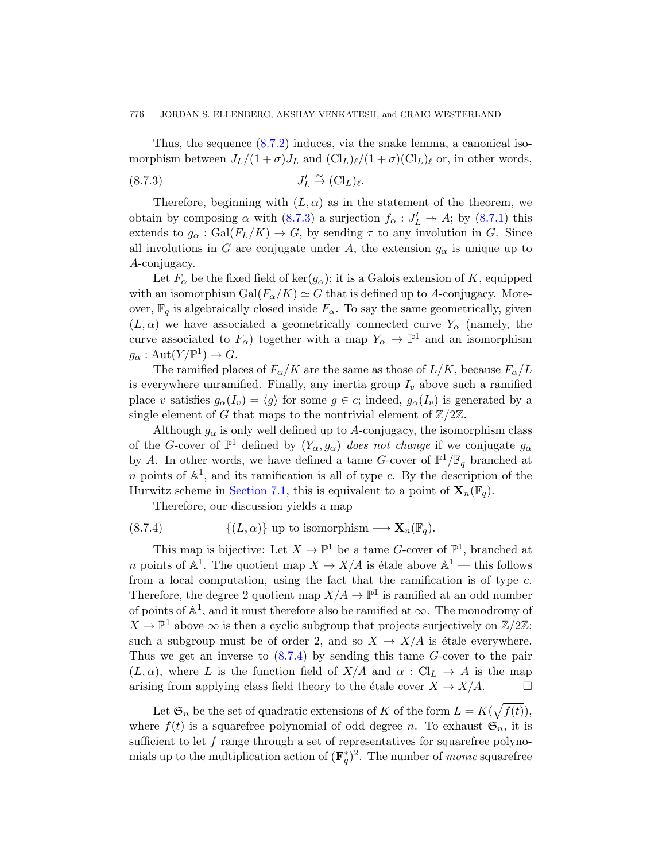#### <span id="page-47-0"></span>776 J[ORDAN](#page-47-0) S. ELLENBERG, AKSHAY VENKAT[ESH, a](#page-46-1)nd CRAIG WESTERLAND

Thus, the sequence (8.7.2) induces, via the snake lemma, a canonical isomorphism between  $J_L/(1 + \sigma)J_L$  and  $(\mathrm{Cl}_L)_\ell/(1 + \sigma)(\mathrm{Cl}_L)_\ell$  or, in other words,

$$
(8.7.3) \t\t J'_L \stackrel{\sim}{\to} (\mathrm{Cl}_L)_{\ell}.
$$

Therefore, beginning with  $(L, \alpha)$  as in the statement of the theorem, we obtain by composing  $\alpha$  with (8.7.3) a surjection  $f_{\alpha}: J'_{L} \rightarrow A$ ; by (8.7.1) this extends to  $g_{\alpha}$ : Gal $(F_L/K) \to G$ , by sending  $\tau$  to any involution in G. Since all involutions in G are conjugate under A, the extension  $g_{\alpha}$  is unique up to A-conjugacy.

Let  $F_{\alpha}$  be the fixed field of ker $(g_{\alpha})$ ; it is a Galois extension of K, equipped with an isomorphism  $Gal(F_{\alpha}/K) \simeq G$  that is defined up to A-conjugacy. Moreover,  $\mathbb{F}_q$  is algebraically closed inside  $F_\alpha$ . To say the same geometrically, given  $(L, \alpha)$  we have associated a geometrically connected curve  $Y_{\alpha}$  (namely, the curve associated to  $F_{\alpha}$ ) together with a map  $Y_{\alpha} \to \mathbb{P}^{1}$  and an isomorphism  $g_{\alpha} : \text{Aut}(Y/\mathbb{P}^{1}) \to G.$ 

The ramified places of  $F_{\alpha}/K$  are the same as those of  $L/K$ , because  $F_{\alpha}/L$ is everywhere unramified. Finally, any inertia group  $I_v$  above such a ramified [place](#page-36-0) v satisfies  $g_{\alpha}(I_v) = \langle g \rangle$  for some  $g \in c$ ; indeed,  $g_{\alpha}(I_v)$  is generated by a single element of G that maps to the nontrivial element of  $\mathbb{Z}/2\mathbb{Z}$ .

<span id="page-47-1"></span>Although  $g_{\alpha}$  is only well defined up to A-conjugacy, the isomorphism class of the G-cover of  $\mathbb{P}^1$  defined by  $(Y_\alpha, g_\alpha)$  does not change if we conjugate  $g_\alpha$ by A. In other words, we have defined a tame G-cover of  $\mathbb{P}^1/\mathbb{F}_q$  branched at n points of  $\mathbb{A}^1$ , and its ramification is all of type c. By the description of the Hurwitz scheme in Section 7.1, this is equivalent to a point of  $\mathbf{X}_n(\mathbb{F}_q)$ .

Therefore, our discussion yields a map

(8.7.4) 
$$
\{(L, \alpha)\}\text{ up to isomorphism } \longrightarrow \mathbf{X}_n(\mathbb{F}_q).
$$

This map is bijective: Let  $X \to \mathbb{P}^1$  be a tame G-cover of  $\mathbb{P}^1$ , branched at *n* poi[nts of](#page-47-1)  $\mathbb{A}^1$ . The quotient map  $X \to X/A$  is étale above  $\mathbb{A}^1$  — this follows from a local computation, using the fact that the ramification is of type c. Therefore, the degree 2 quotient map  $X/A \to \mathbb{P}^1$  is ramified at an odd number of points of  $\mathbb{A}^1$ , and it must therefore also be ramified at  $\infty$ . The monodromy of  $X \to \mathbb{P}^1$  above  $\infty$  is then a cyclic subgroup that projects surjectively on  $\mathbb{Z}/2\mathbb{Z}$ ; such a subgroup must be of order 2, and so  $X \to X/A$  is étale everywhere. Thus we get an inverse to  $(8.7.4)$  by sending this tame G-cover to the pair  $(L, \alpha)$ , where L is the function field of  $X/A$  and  $\alpha : Cl_L \to A$  is the map arising from applying class field theory to the étale cover  $X \to X/A$ .

Let  $\mathfrak{S}_n$  be the set of quadratic extensions of K of the form  $L = K(\sqrt{f(t)})$ , where  $f(t)$  is a squarefree polynomial of odd degree n. To exhaust  $\mathfrak{S}_n$ , it is sufficient to let  $f$  range through a set of representatives for squarefree polynomials up to the multiplication action of  $(\mathbf{F}_q^*)^2$ . The number of *monic* squarefree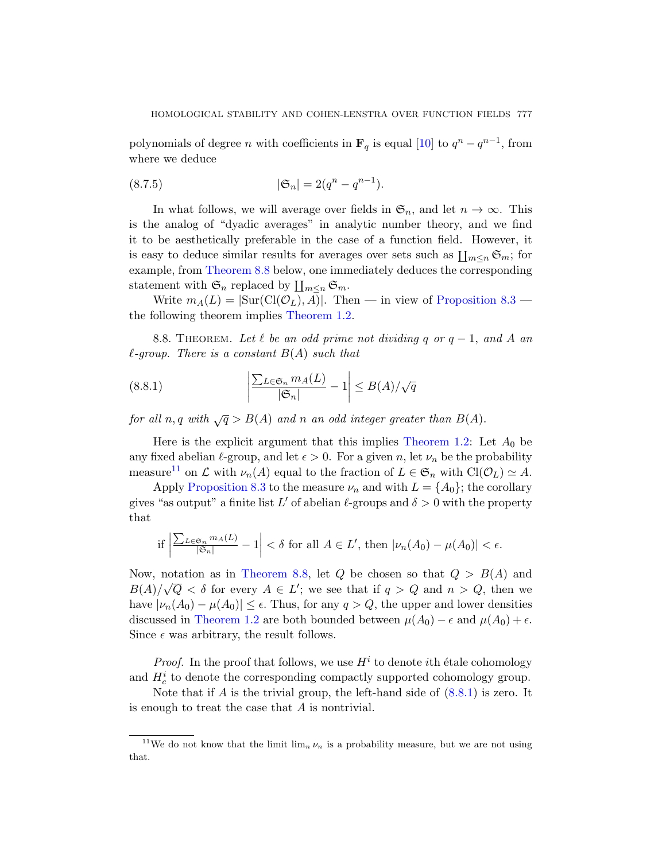polynomials of degree *n* with coefficients in  $\mathbf{F}_q$  is equal [10] to  $q^n - q^{n-1}$ , from where we deduce

(8.7.5) 
$$
|\mathfrak{S}_n| = 2(q^n - q^{n-1}).
$$

<span id="page-48-0"></span>In what follows, we will averag[e over fields in](#page-43-0)  $\mathfrak{S}_n$ , and let  $n \to \infty$ . This is the [analog of "dy](#page-1-1)adic averages" in analytic number theory, and we find it to be aesthetically preferable in the case of a function field. However, it is easy to deduce similar results for averages over sets such as  $\prod_{m\leq n} \mathfrak{S}_m$ ; for example, from Theorem 8.8 below, one immediately deduces the corresponding statement with  $\mathfrak{S}_n$  replaced by  $\prod_{m\leq n} \mathfrak{S}_m$ .

<span id="page-48-1"></span>Write  $m_A(L) = |\text{Sur}(Cl(\mathcal{O}_L), A)|$ . Then — in view of Proposition 8.3 the following theorem implies Theorem 1.2.

8.8. THEOREM. Let  $\ell$  be an odd prime not dividing q or  $q - 1$ , and A an  $\ell$ -group. There is a constant  $B(A)$  [such tha](#page-1-1)t

(8.8.1) 
$$
\left| \frac{\sum_{L \in \mathfrak{S}_n} m_A(L)}{|\mathfrak{S}_n|} - 1 \right| \leq B(A) / \sqrt{q}
$$

for all n, q with  $\sqrt{q} > B(A)$  and n an odd integer greater than  $B(A)$ .

Here is the explicit argument that this implies Theorem 1.2: Let  $A_0$  be any fixed abelian  $\ell$ -group, and let  $\epsilon > 0$ . For a given n, let  $\nu_n$  be the probability [measure](#page-48-0)<sup>11</sup> on  $\mathcal L$  with  $\nu_n(A)$  equal to the fraction of  $L \in \mathfrak{S}_n$  with  $\text{Cl}(\mathcal{O}_L) \simeq A$ .

Apply Proposition 8.3 to the measure  $\nu_n$  and with  $L = \{A_0\}$ ; the corollary gives "as output" a finite list L' of abelian  $\ell$ -groups and  $\delta > 0$  with the property [th](#page-1-1)at

if 
$$
\left| \frac{\sum_{L \in \mathfrak{S}_n} m_A(L)}{|\mathfrak{S}_n|} - 1 \right| < \delta
$$
 for all  $A \in L'$ , then  $|\nu_n(A_0) - \mu(A_0)| < \epsilon$ .

Now, notation as in Theorem 8.8, let Q be chosen so that  $Q > B(A)$  and  $B(A)/\sqrt{Q} < \delta$  for every  $A \in L'$ ; we [see th](#page-48-1)at if  $q > Q$  and  $n > Q$ , then we have  $|\nu_n(A_0) - \mu(A_0)| \leq \epsilon$ . Thus, for any  $q > Q$ , the upper and lower densities discussed in Theorem 1.2 are both bounded between  $\mu(A_0) - \epsilon$  and  $\mu(A_0) + \epsilon$ . Since  $\epsilon$  was arbitrary, the result follows.

*Proof.* In the proof that follows, we use  $H^i$  to denote *i*th étale cohomology and  $H_c^i$  to denote the corresponding compactly supported cohomology group.

Note that if A is the trivial group, the left-hand side of  $(8.8.1)$  is zero. It is enough to treat the case that A is nontrivial.

<sup>&</sup>lt;sup>11</sup>We do not know that the limit  $\lim_{n} \nu_n$  is a probability measure, but we are not using that.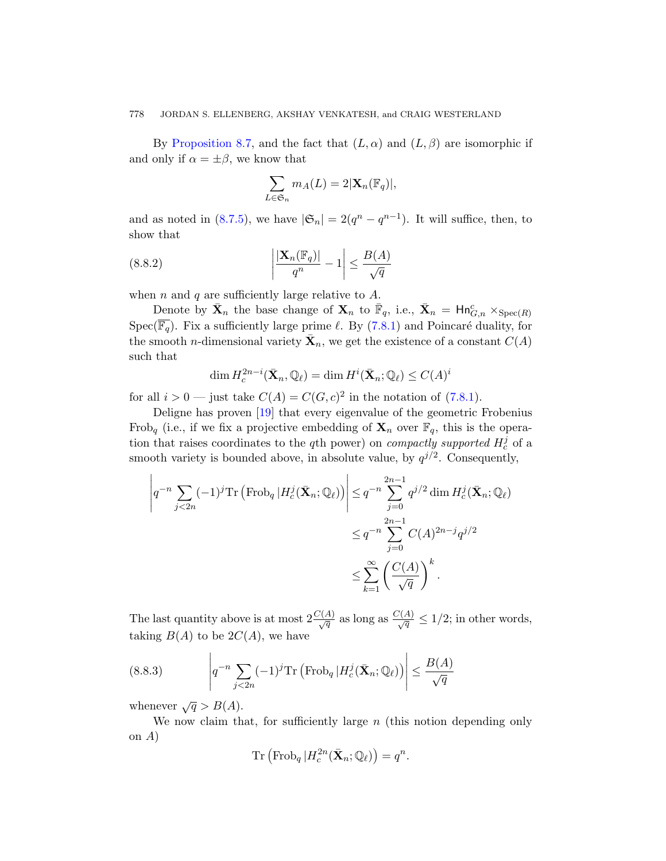#### 778 JORDAN S. ELLENBERG, AKSHAY VENKATESH, and CRAIG WESTERLAND

By Proposition 8.7, and the fact that  $(L, \alpha)$  and  $(L, \beta)$  are isomorphic if and only if  $\alpha = \pm \beta$ , we know that

$$
\sum_{L \in \mathfrak{S}_n} m_A(L) = 2|\mathbf{X}_n(\mathbb{F}_q)|,
$$

and as noted in (8.7.5)[, we h](#page-40-0)ave  $|\mathfrak{S}_n| = 2(q^n - q^{n-1})$ . It will suffice, then, to show that

(8.8.2) 
$$
\left| \frac{|\mathbf{X}_n(\mathbb{F}_q)|}{q^n} - 1 \right| \leq \frac{B(A)}{\sqrt{q}}
$$

when n and q are sufficiently large rel[ative t](#page-40-0)o  $A$ .

Denote by  $\bar{\mathbf{X}}_n$  the base change of  $\mathbf{X}_n$  to  $\bar{\mathbb{F}}_q$ , i.e.,  $\bar{\mathbf{X}}_n = \mathsf{Hn}_{G,n}^c \times_{\mathrm{Spec}(R)}$  $Spec(\overline{\mathbb{F}_q})$  $Spec(\overline{\mathbb{F}_q})$  $Spec(\overline{\mathbb{F}_q})$ . Fix a sufficiently large prime  $\ell$ . By (7.8.1) and Poincaré duality, for the smooth *n*-dimensional variety  $\bar{\mathbf{X}}_n$ , we get the existence of a constant  $C(A)$ such that

$$
\dim H_c^{2n-i}(\bar{\mathbf{X}}_n, \mathbb{Q}_\ell) = \dim H^i(\bar{\mathbf{X}}_n; \mathbb{Q}_\ell) \le C(A)^i
$$

for all  $i > 0$  — just take  $C(A) = C(G, c)^2$  in the notation of (7.8.1).

Deligne has proven [19] that every eigenvalue of the geometric Frobenius Frob<sub>a</sub> (i.e., if we fix a projective embedding of  $X_n$  over  $\mathbb{F}_q$ , this is the operation that raises coordinates to the q<sup>th</sup> power) on *compactly supported*  $H_c^j$  of a smooth variety is bounded above, in absolute value, by  $q^{j/2}$ . Consequently,

$$
\left| q^{-n} \sum_{j < 2n} (-1)^j \operatorname{Tr} \left( \operatorname{Frob}_q | H_c^j(\bar{\mathbf{X}}_n; \mathbb{Q}_\ell) \right) \right| \leq q^{-n} \sum_{j=0}^{2n-1} q^{j/2} \dim H_c^j(\bar{\mathbf{X}}_n; \mathbb{Q}_\ell)
$$
\n
$$
\leq q^{-n} \sum_{j=0}^{2n-1} C(A)^{2n-j} q^{j/2}
$$
\n
$$
\leq \sum_{k=1}^\infty \left( \frac{C(A)}{\sqrt{q}} \right)^k.
$$

The last quantity above is at most  $2\frac{C(A)}{\sqrt{q}}$  as long as  $\frac{C(A)}{\sqrt{q}} \leq 1/2$ ; in other words, taking  $B(A)$  to be  $2C(A)$ , we have

(8.8.3) 
$$
\left| q^{-n} \sum_{j < 2n} (-1)^j \mathrm{Tr} \left( \mathrm{Frob}_q \left| H_c^j(\bar{\mathbf{X}}_n; \mathbb{Q}_\ell) \right) \right| \leq \frac{B(A)}{\sqrt{q}}
$$

whenever  $\sqrt{q} > B(A)$ .

We now claim that, for sufficiently large  $n$  (this notion depending only on A)

$$
\mathrm{Tr}\left(\mathrm{Frob}_{q} | H_c^{2n}(\bar{\mathbf{X}}_n; \mathbb{Q}_\ell)\right) = q^n.
$$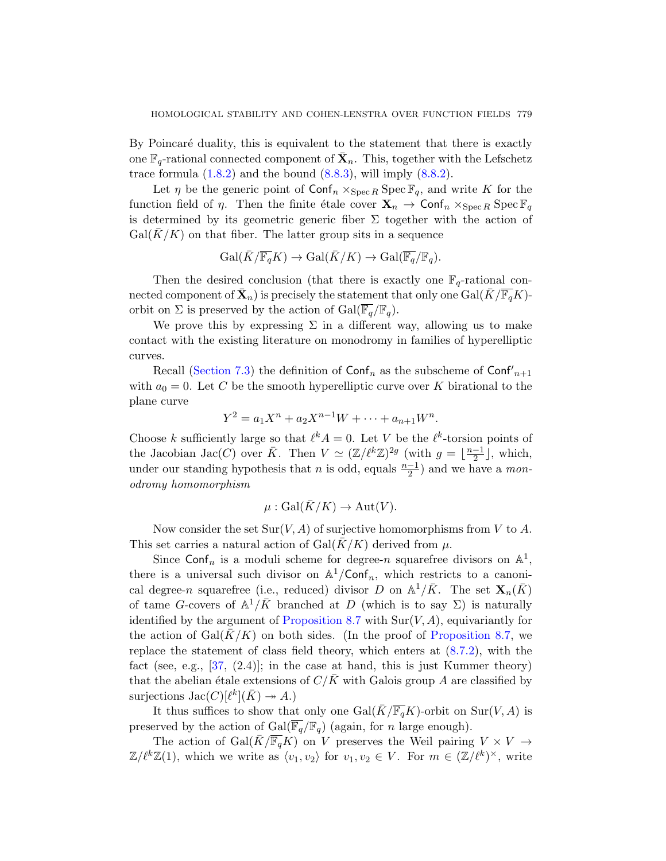By Poincaré duality, this is equivalent to the statement that there is exactly one  $\mathbb{F}_q$ -rational connected component of  $\bar{\mathbf{X}}_n$ . This, together with the Lefschetz trace formula  $(1.8.2)$  and the bound  $(8.8.3)$ , will imply  $(8.8.2)$ .

Let  $\eta$  be the generic point of  $\text{Conf}_n \times_{\text{Spec } R} \text{Spec } \mathbb{F}_q$ , and write K for the function field of  $\eta$ . Then the finite étale cover  $\mathbf{X}_n \to \text{Conf}_n \times_{\text{Spec } R} \text{Spec } \mathbb{F}_q$ is determined by its geometric generic fiber  $\Sigma$  together with the action of  $Gal(K/K)$  on that fiber. The latter group sits in a sequence

$$
\operatorname{Gal}(\overline{K}/\overline{\mathbb{F}_q}K) \to \operatorname{Gal}(\overline{K}/K) \to \operatorname{Gal}(\overline{\mathbb{F}_q}/\mathbb{F}_q).
$$

Then the desired conclusion (that there is exactly one  $\mathbb{F}_q$ -rational connected component of  $\bar{\mathbf{X}}_n$ ) is precisely the statement that only one  $\text{Gal}(\bar{K}/\overline{\mathbb{F}_q}K)$ orbit on  $\Sigma$  is preserved by the action of  $Gal(\overline{\mathbb{F}_q}/\mathbb{F}_q)$ .

We prove this by expressing  $\Sigma$  in a different way, allowing us to make contact with the existing literature on monodromy in families of hyperelliptic curves.

Recall (Section 7.3) the definition of  $\text{Conf}_n$  as the subscheme of  $\text{Conf}'_{n+1}$ with  $a_0 = 0$ . Let C be the smooth hyperelliptic curve over K birational to the plane curve

$$
Y^2 = a_1 X^n + a_2 X^{n-1} W + \dots + a_{n+1} W^n.
$$

Choose k sufficiently large so that  $\ell^k A = 0$ . Let V be the  $\ell^k$ -torsion points of the Jacobian Jac(C) over  $\bar{K}$ . Then  $V \simeq (\mathbb{Z}/\ell^k \mathbb{Z})^{2g}$  (with  $g = \lfloor \frac{n-1}{2} \rfloor$  $\frac{-1}{2}$ , which, under our standing hypothesis that n is odd, equals  $\frac{n-1}{2}$  and we have a monodromy homomorphism

$$
\mu: \operatorname{Gal}(\bar{K}/K) \to \operatorname{Aut}(V).
$$

N[ow consider the](#page-45-1) set  $\text{Sur}(V, A)$  of surjective homomorphisms from V to A. This set carries a natural action of  $Gal(K/K)$  derived from  $\mu$ .

Since Conf<sub>n</sub> is a moduli scheme [for de](#page-46-0)gree-n squarefree divisors on  $\mathbb{A}^1$ , there is a universal such divisor on  $\mathbb{A}^1/\text{Conf}_n$ , which restricts to a canonical degree-n squarefree (i.e., reduced) divisor D on  $\mathbb{A}^1/\bar{K}$ . The set  $\mathbf{X}_n(\bar{K})$ of tame G-covers of  $\mathbb{A}^1/\bar{K}$  branched at D (which is to say  $\Sigma$ ) is naturally identified by the argument of Proposition 8.7 with  $\text{Sur}(V, A)$ , equivariantly for the action of  $Gal(K/K)$  on both sides. (In the proof of Proposition 8.7, we replace the statement of class field theory, which enters at (8.7.2), with the fact (see, e.g.,  $[37, (2.4)]$ ; in the case at hand, this is just Kummer theory) that the abelian étale extensions of  $C/K$  with Galois group A are classified by surjections  $\text{Jac}(C)[\ell^k](\bar{K}) \to A.$ )

It thus suffices to show that only one Gal( $\overline{K}/\overline{\mathbb{F}_q}K$ )-orbit on Sur(V, A) is preserved by the action of Gal( $\overline{\mathbb{F}_q}/\mathbb{F}_q$ ) (again, for *n* large enough).

The action of Gal( $\bar{K}/\overline{\mathbb{F}_{q}}K$ ) on V preserves the Weil pairing  $V \times V \rightarrow$  $\mathbb{Z}/\ell^k \mathbb{Z}(1)$ , which we write as  $\langle v_1, v_2 \rangle$  for  $v_1, v_2 \in V$ . For  $m \in (\mathbb{Z}/\ell^k)^{\times}$ , write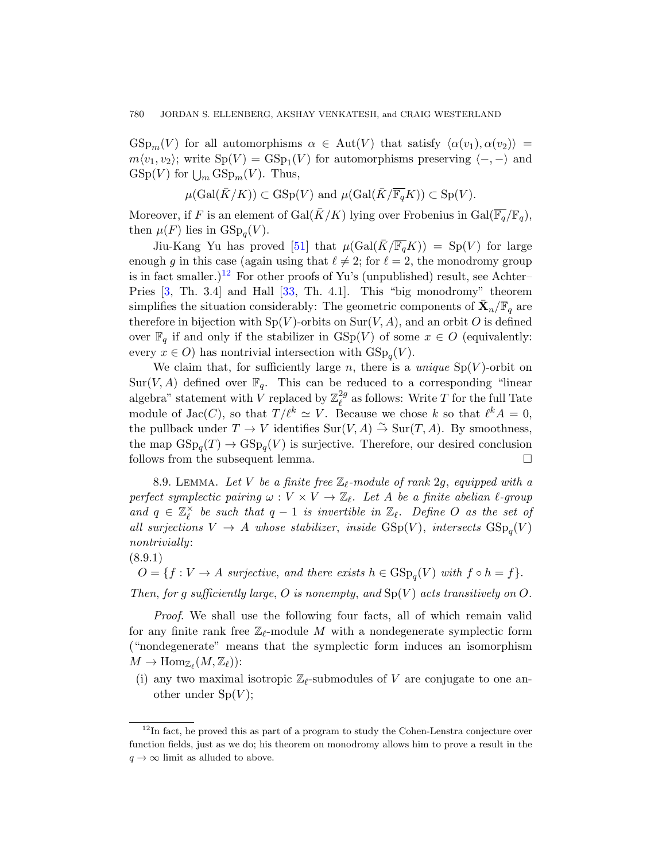$GSp_m(V)$  for all automorphisms  $\alpha \in Aut(V)$  that satisfy  $\langle \alpha(v_1), \alpha(v_2) \rangle =$  $m \langle v_1, v_2 \rangle$ ; write  $Sp(V) = GSp<sub>1</sub>(V)$  for automorphisms preserving  $\langle -, - \rangle$  and  $GSp(V)$  for  $\bigcup_m GSp_m(V)$ . Thus,

$$
\mu(\text{Gal}(\overline{K}/K)) \subset \text{GSp}(V)
$$
 and  $\mu(\text{Gal}(\overline{K}/\overline{\mathbb{F}_q}K)) \subset \text{Sp}(V)$ .

Moreover, if F is an element of Gal( $\bar{K}/K$ ) lying over Frobenius in Gal( $\overline{\mathbb{F}_q}/\mathbb{F}_q$ ), then  $\mu(F)$  lies in  $GSp_q(V)$ .

Jiu-Kang Yu has proved [51] that  $\mu(\text{Gal}(\bar{K}/\overline{\mathbb{F}_{q}}K)) = \text{Sp}(V)$  for large enough g in this case (again using that  $\ell \neq 2$ ; for  $\ell = 2$ , the monodromy group is in fact smaller.)<sup>12</sup> For other proofs of Yu's (unpublished) result, see Achter– Pries [3, Th. 3.4] and Hall [33, Th. 4.1]. This "big monodromy" theorem simplifies the situation considerably: The geometric components of  $\bar{\mathbf{X}}_n/\overline{\mathbb{F}}_q$  are therefore in bijection with  $Sp(V)$ -orbits on  $Sur(V, A)$ , and an orbit O is defined over  $\mathbb{F}_q$  if and only if the stabilizer in  $\operatorname{GSp}(V)$  of some  $x \in O$  (equivalently: every  $x \in O$ ) has nontrivial intersection with  $GSp_q(V)$ .

We claim that, for sufficiently large n, there is a *unique*  $Sp(V)$ -orbit on  $Sur(V, A)$  defined over  $\mathbb{F}_q$ . This can be reduced to a corresponding "linear algebra" statement with V replaced by  $\mathbb{Z}_{\ell}^{2g}$  $\ell^2$ <sup>*a*</sup> as follows: Write *T* for the full Tate module of Jac(C), so that  $T/\ell^k \simeq V$ . Because we chose k so that  $\ell^k A = 0$ , the pullback under  $T \to V$  identifies  $\text{Sur}(V, A) \to \text{Sur}(T, A)$ . By smoothness, the map  $GSp_q(T) \to GSp_q(V)$  is surjective. Therefore, our desired conclusion follows from the subsequent lemma.  $\Box$ 

8.9. LEMMA. Let V be a finite free  $\mathbb{Z}_{\ell}$ -module of rank 2g, equipped with a perfect symplectic pairing  $\omega : V \times V \to \mathbb{Z}_{\ell}$ . Let A be a finite abelian  $\ell$ -group and  $q \in \mathbb{Z}_{\ell}^{\times}$  $\chi^{\times}_{\ell}$  be such that  $q - 1$  is invertible in  $\mathbb{Z}_{\ell}$ . Define O as the set of all surjections  $V \to A$  whose stabilizer, inside  $GSp(V)$ , intersects  $GSp_q(V)$ nontrivially:

 $O = \{f : V \to A \text{ surjective}, \text{ and there exists } h \in \text{GSp}_q(V) \text{ with } f \circ h = f\}.$ 

Then, for a sufficiently large, O is nonempty, and  $\text{Sp}(V)$  acts transitively on O.

Proof. We shall use the following four facts, all of which remain valid for any finite rank free  $\mathbb{Z}_{\ell}$ -module M with a nondegenerate symplectic form ("nondegenerate" means that the symplectic form induces an isomorphism  $M \to \text{Hom}_{\mathbb{Z}_{\ell}}(M, \mathbb{Z}_{\ell})$ :

(i) any two maximal isotropic  $\mathbb{Z}_{\ell}$ -submodules of V are conjugate to one another under  $Sp(V);$ 

<sup>(8.9.1)</sup>

 $12$ In fact, he proved this as part of a program to study the Cohen-Lenstra conjecture over function fields, just as we do; his theorem on monodromy allows him to prove a result in the  $q \to \infty$  limit as alluded to above.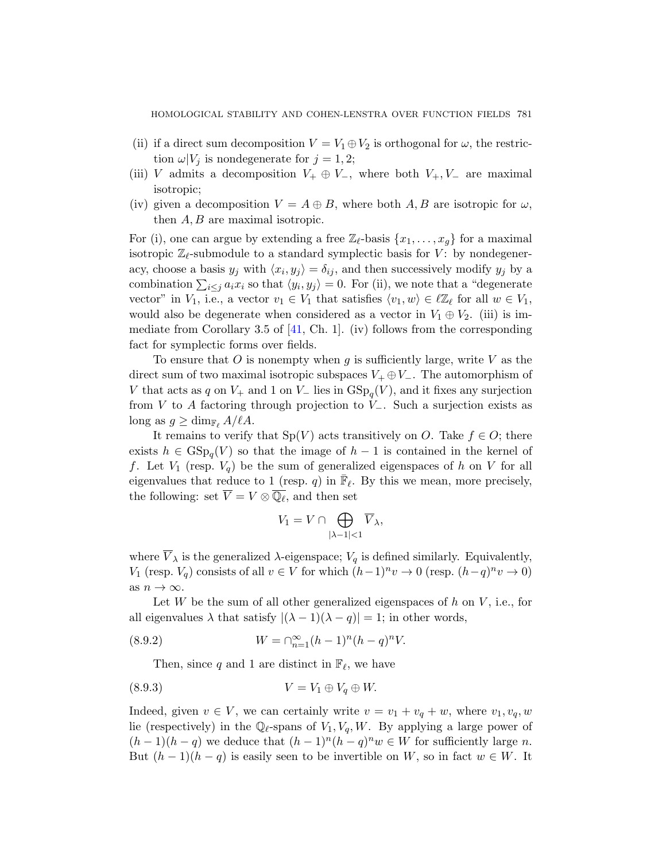- (ii) if a direct sum decomposition  $V = V_1 \oplus V_2$  is orthogonal for  $\omega$ , the restriction  $\omega|V_j$  is nondegenerate for  $j = 1, 2;$
- (iii) V admits a decomposition  $V_+ \oplus V_-,$  where both  $V_+, V_-$  are maximal isotropic;
- (iv) given a decomposition  $V = A \oplus B$ , where both A, B are isotropic for  $\omega$ , then  $A, B$  are maximal isotropic.

For (i), [one](#page-56-8) can argue by extending a free  $\mathbb{Z}_{\ell}$ -basis  $\{x_1, \ldots, x_q\}$  for a maximal isotropic  $\mathbb{Z}_{\ell}$ -submodule to a standard symplectic basis for V: by nondegeneracy, choose a basis  $y_j$  with  $\langle x_i, y_j \rangle = \delta_{ij}$ , and then successively modify  $y_j$  by a combination  $\sum_{i\leq j} a_i x_i$  so that  $\langle y_i, y_j \rangle = 0$ . For (ii), we note that a "degenerate vector" in  $V_1$ , i.e., a vector  $v_1 \in V_1$  that satisfies  $\langle v_1, w \rangle \in \ell \mathbb{Z}_{\ell}$  for all  $w \in V_1$ , would also be degenerate when considered as a vector in  $V_1 \oplus V_2$ . (iii) is immediate from Corollary 3.5 of  $[41, Ch. 1]$ . (iv) follows from the corresponding fact for symplectic forms over fields.

To ensure that O is nonempty when g is sufficiently large, write V as the direct sum of two maximal isotropic subspaces  $V_+ \oplus V_-\$ . The automorphism of V that acts as q on  $V_+$  and 1 on  $V_-$  lies in  $GSp_q(V)$ , and it fixes any surjection from V to A factoring through projection to  $V_-\$ . Such a surjection exists as  $\log$  as  $g \geq \dim_{\mathbb{F}_\ell} A/\ell A$ .

It remains to verify that  $Sp(V)$  acts transitively on O. Take  $f \in O$ ; there exists  $h \in \text{GSp}_q(V)$  so that the image of  $h-1$  is contained in the kernel of f. Let  $V_1$  (resp.  $V_q$ ) be the sum of generalized eigenspaces of h on V for all eigenvalues that reduce to 1 (resp. q) in  $\overline{\mathbb{F}}_{\ell}$ . By this we mean, more precisely, the following: set  $\overline{V} = V \otimes \overline{\mathbb{Q}_\ell}$ , and then set

$$
V_1 = V \cap \bigoplus_{|\lambda - 1| < 1} \overline{V}_{\lambda},
$$

where  $V_{\lambda}$  is the generalized  $\lambda$ -eigenspace;  $V_q$  is defined similarly. Equivalently, V<sub>1</sub> (resp.  $V_q$ ) consists of all  $v \in V$  for which  $(h-1)^n v \to 0$  (resp.  $(h-q)^n v \to 0$ ) as  $n \to \infty$ .

Let  $W$  be the sum of all other generalized eigenspaces of  $h$  on  $V$ , i.e., for all eigenvalues  $\lambda$  that satisfy  $|(\lambda - 1)(\lambda - q)| = 1$ ; in other words,

(8.9.2) 
$$
W = \bigcap_{n=1}^{\infty} (h-1)^n (h-q)^n V.
$$

Then, since q and 1 are distinct in  $\mathbb{F}_{\ell}$ , we have

$$
(8.9.3) \t\t V = V_1 \oplus V_q \oplus W.
$$

Indeed, given  $v \in V$ , we can certainly write  $v = v_1 + v_q + w$ , where  $v_1, v_q, w$ lie (respectively) in the  $\mathbb{Q}_{\ell}$ -spans of  $V_1, V_q, W$ . By applying a large power of  $(h-1)(h-q)$  we deduce that  $(h-1)^n(h-q)^n w \in W$  for sufficiently large n. But  $(h-1)(h-q)$  is easily seen to be invertible on W, so in fact  $w \in W$ . It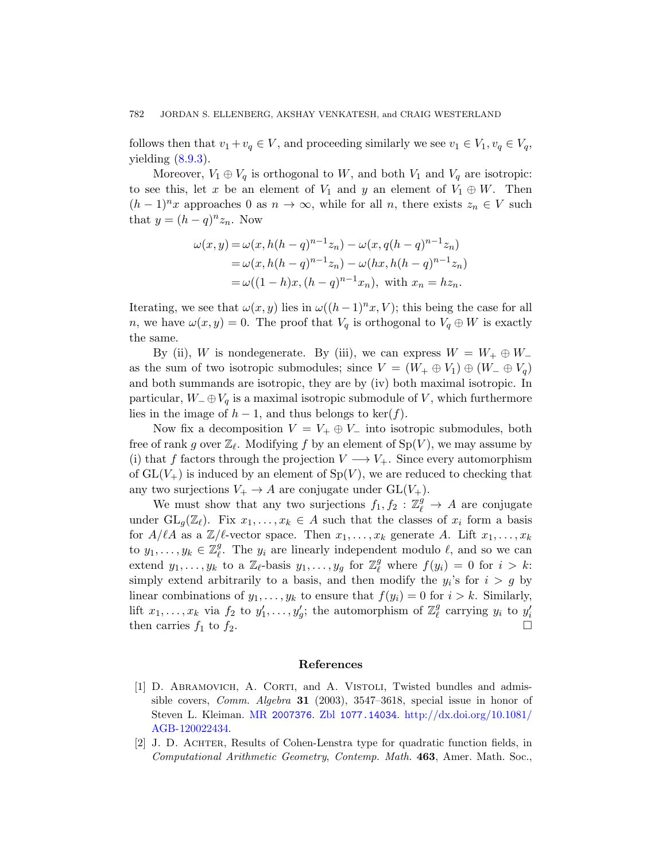follows then that  $v_1 + v_q \in V$ , and proceeding similarly we see  $v_1 \in V_1$ ,  $v_q \in V_q$ , yielding  $(8.9.3)$ .

Moreover,  $V_1 \oplus V_q$  is orthogonal to W, and both  $V_1$  and  $V_q$  are isotropic: to see this, let x be an element of  $V_1$  and y an element of  $V_1 \oplus W$ . Then  $(h-1)^n x$  approaches 0 as  $n \to \infty$ , while for all n, there exists  $z_n \in V$  such that  $y = (h - q)^n z_n$ . Now

$$
\omega(x, y) = \omega(x, h(h - q)^{n-1}z_n) - \omega(x, q(h - q)^{n-1}z_n)
$$
  
=  $\omega(x, h(h - q)^{n-1}z_n) - \omega(hx, h(h - q)^{n-1}z_n)$   
=  $\omega((1 - h)x, (h - q)^{n-1}x_n)$ , with  $x_n = hz_n$ .

Iterating, we see that  $\omega(x, y)$  lies in  $\omega((h-1)^n x, V)$ ; this being the case for all n, we have  $\omega(x, y) = 0$ . The proof that  $V_q$  is orthogonal to  $V_q \oplus W$  is exactly the same.

By (ii), W is nondegenerate. By (iii), we can express  $W = W_+ \oplus W_$ as the sum of two isotropic submodules; since  $V = (W_+ \oplus V_1) \oplus (W_- \oplus V_q)$ and both summands are isotropic, they are by (iv) both maximal isotropic. In particular,  $W_-\oplus V_q$  is a maximal isotropic submodule of V, which furthermore lies in the image of  $h-1$ , and thus belongs to ker(f).

Now fix a decomposition  $V = V_+ \oplus V_-$  into isotropic submodules, both free of rank g over  $\mathbb{Z}_{\ell}$ . Modifying f by an element of  $\text{Sp}(V)$ , we may assume by (i) that f factors through the projection  $V \longrightarrow V_+$ . Since every automorphism of  $GL(V<sub>+</sub>)$  is induced by an element of  $Sp(V)$ , we are reduced to checking that any two surjections  $V_+ \to A$  are conjugate under  $GL(V_+)$ .

We must show that any two surjections  $f_1, f_2 : \mathbb{Z}_{\ell}^g \to A$  are conjugate under  $GL_q(\mathbb{Z}_\ell)$ . Fix  $x_1, \ldots, x_k \in A$  such that the classes of  $x_i$  form a basis for  $A/\ell A$  as a  $\mathbb{Z}/\ell$ -vector space. Then  $x_1, \ldots, x_k$  generate A. Lift  $x_1, \ldots, x_k$ to  $y_1, \ldots, y_k \in \mathbb{Z}_{\ell}^g$  $\ell$ . The  $y_i$  are linearly independent modulo  $\ell$ , and so we can extend  $y_1, \ldots, y_k$  to a  $\mathbb{Z}_{\ell}$ -basis  $y_1, \ldots, y_g$  for  $\mathbb{Z}_{\ell}^g$  where  $f(y_i) = 0$  for  $i > k$ : simply extend arbitrarily to a basis, and then modify the  $y_i$ 's for  $i > g$  by linear combinations of  $y_1, \ldots, y_k$  to ensure that  $f(y_i) = 0$  for  $i > k$ . Similarly, lift  $x_1, \ldots, x_k$  via  $f_2$  to  $y'_1, \ldots, y'_g$ [; the automorphism o](http://dx.doi.org/10.1081/AGB-120022434)f  $\mathbb{Z}_{\ell}^g$  $_g^g$  carrying  $y_i$  to  $y_i'$ [then carries](http://www.ams.org/mathscinet-getitem?mr=2007376)  $f_1$  [to](http://www.zentralblatt-math.org/zmath/en/search/?q=an:1077.14034)  $f_2$ .

#### References

- <span id="page-53-0"></span>[1] D. ABRAMOVICH, A. CORTI, and A. VISTOLI, Twisted bundles and admissible covers, Comm. Algebra 31 (2003), 3547–3618, special issue in honor of Steven L. Kleiman. MR 2007376. Zbl 1077.14034. http://dx.doi.org/10.1081/ AGB-120022434.
- [2] J. D. Achter, Results of Cohen-Lenstra type for quadratic function fields, in Computational Arithmetic Geometry, Contemp. Math. 463, Amer. Math. Soc.,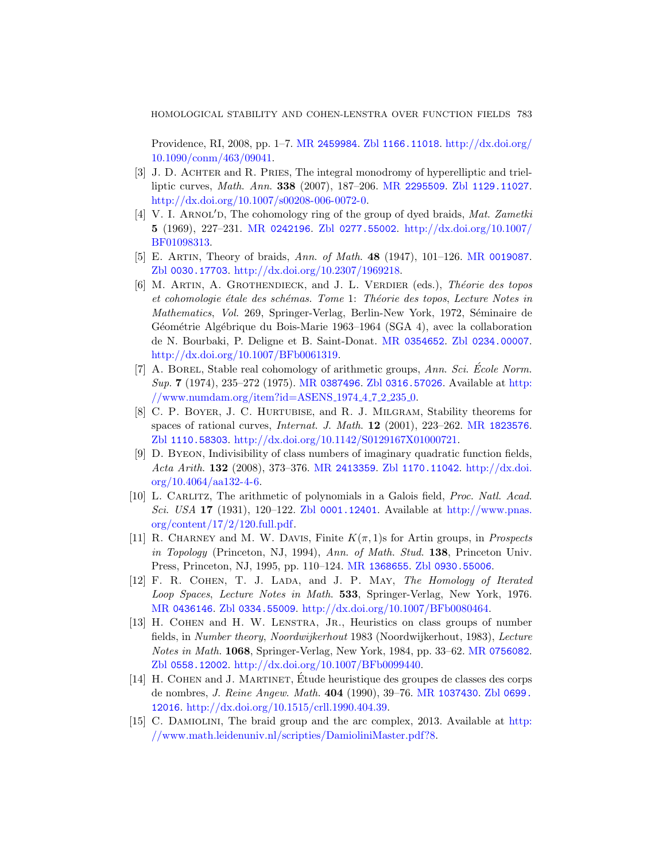[HOMOLOGICAL STAB](http://dx.doi.org/10.1007/s00208-006-0072-0)ILITY AND COHEN-LENSTRA OVER FUNCTION FIELDS 783

[Providen](http://www.ams.org/mathscinet-getitem?mr=0242196)[ce, RI, 2008, pp. 1](http://www.zentralblatt-math.org/zmath/en/search/?q=an:0277.55002)–7. MR [2459984](http://dx.doi.org/10.1007/BF01098313). Zbl 1166.11018. http://dx.doi.org/ 10.1090/conm/463/09041.

- <span id="page-54-2"></span>[3] J. D. ACHTER and R. PRIES, The integr[al monodromy](http://www.ams.org/mathscinet-getitem?mr=0019087) of hyperelliptic and trielliptic curves, Math. Ann. 338 (2007), 187–206. MR 2295509. Zbl 1129.11027. http://dx.doi.org/10.1007/s00208-006-0072-0.
- [4] V. I. ARNOL'D, The cohomology ring of the group of dyed braids, Mat. Zametki 5 (1969), 227–231. MR 0242196. Zbl 0277.55002. http://dx.doi.org/10.1007/ BF01098313.
- <span id="page-54-3"></span>[5] E. ARTIN, Theory of [braids,](http://www.ams.org/mathscinet-getitem?mr=0354652) Ann. of [Math](http://www.zentralblatt-math.org/zmath/en/search/?q=an:0234.00007). **48** (1947), 101–126. MR 0019087. Zbl 0030.17703. http://dx.doi.org/10.2307/1969218.
- <span id="page-54-4"></span>[6] M. ARTIN, A. GROTHENDIECK, and J. L. VERDIER (eds.), *Théorie des topos* et cohomologie étale des schémas. Tome 1: Théorie des topos, Lecture Notes in Mathematics, Vol. 269, Springer-Verlag, Berlin-New York, 1972, Séminaire de Géométrie Algébrique du Bois-Marie 19[63–1964 \(SGA](http://www.ams.org/mathscinet-getitem?mr=1823576) 4), avec la collaboration [de N. Bourbaki, P. Deligne et B. Saint](http://dx.doi.org/10.1142/S0129167X01000721)-Donat. MR 0354652. Zbl 0234.00007. http://dx.doi.org/10.1007/BFb0061319.
- <span id="page-54-0"></span>[7] A. BOREL[, Stable real](http://www.ams.org/mathscinet-getitem?mr=2413359) [cohomology of ar](http://www.zentralblatt-math.org/zmath/en/search/?q=an:1170.11042)[ithmetic groups](http://dx.doi.org/10.4064/aa132-4-6),  $Ann. Sci. École Norm.$ Sup. 7 (1974), 235–272 (1975). MR 0387496. Zbl 0316.57026. Available at http: //www.numdam.org/item?id=ASENS 1974 4 7 2 235 0.
- [8] C. P[. Boyer](http://www.zentralblatt-math.org/zmath/en/search/?q=an:0001.12401), J. C. Hurtubise, and [R. J. Milgram](http://www.pnas.org/content/17/2/120.full.pdf), Stability theorems for [space](http://www.pnas.org/content/17/2/120.full.pdf)s of rational curves, Internat. J. Math. 12 (2001), 223–262. MR 1823576. Zbl 1110.58303. http://dx.doi.org/10.1142/S0129167X01000721.
- <span id="page-54-5"></span>[9] D. Byeon, Indivisibility of class numbers of imaginary quadratic function fields, Acta Arith. 132 [\(2008\), 373–](http://www.ams.org/mathscinet-getitem?mr=1368655)376. MR [2413359](http://www.zentralblatt-math.org/zmath/en/search/?q=an:0930.55006). Zbl 1170.11042. http://dx.doi.  $\text{org}/10.4064/\text{aa}132-4-6.$
- <span id="page-54-1"></span>[10] L. CARLITZ, The arithmetic of polynomials in a Galois field, *Proc. Natl. Acad.* [Sci](http://www.zentralblatt-math.org/zmath/en/search/?q=an:0334.55009). USA 17 [\(1931\), 120–122.](http://dx.doi.org/10.1007/BFb0080464) Zbl 0001.12401. Available at http://www.pnas. org/content/17/2/120.full.pdf.
- [11] R. CHARNEY and M. W. DAVIS, Finite  $K(\pi, 1)$ s for Artin groups, in *Prospects* in Topology (Princeton, NJ, 1994), Ann. [of Math](http://www.ams.org/mathscinet-getitem?mr=0756082). Stud. 138, Princeton Univ. [Press, Princeton, NJ, 1995, pp.](http://dx.doi.org/10.1007/BFb0099440) 110–124. MR 1368655. Zbl 0930.55006.
- [12] F. R. COHEN, T. J. LADA, and J. P. MAY, The Homology of Iterated Loop Spaces, Lecture Notes i[n Math](http://www.ams.org/mathscinet-getitem?mr=1037430). 533, [Springer-V](http://www.zentralblatt-math.org/zmath/en/search/?q=an:0699.12016)erlag, New York, 1976. MR [0436146](http://dx.doi.org/10.1515/crll.1990.404.39). Zbl 0334.55009. http://dx.doi.org/10.1007/BFb0080464.
- [13] H. COHEN and H. W. LENSTRA, JR., Heuristi[cs on](http://www.math.leidenuniv.nl/scripties/DamioliniMaster.pdf?8) class groups of number fields, in [Number theory](http://www.math.leidenuniv.nl/scripties/DamioliniMaster.pdf?8), Noordwijkerhout 1983 (Noordwijkerhout, 1983), Lecture Notes in Math. 1068, Springer-Verlag, New York, 1984, pp. 33–62. MR 0756082. Zbl 0558.12002. http://dx.doi.org/10.1007/BFb0099440.
- [14] H. COHEN and J. MARTINET, Etude heuristique des groupes de classes des corps de nombres, J. Reine Angew. Math. 404 (1990), 39–76. MR 1037430. Zbl 0699. 12016. http://dx.doi.org/10.1515/crll.1990.404.39.
- [15] C. Damiolini, The braid group and the arc complex, 2013. Available at http: //www.math.leidenuniv.nl/scripties/DamioliniMaster.pdf?8.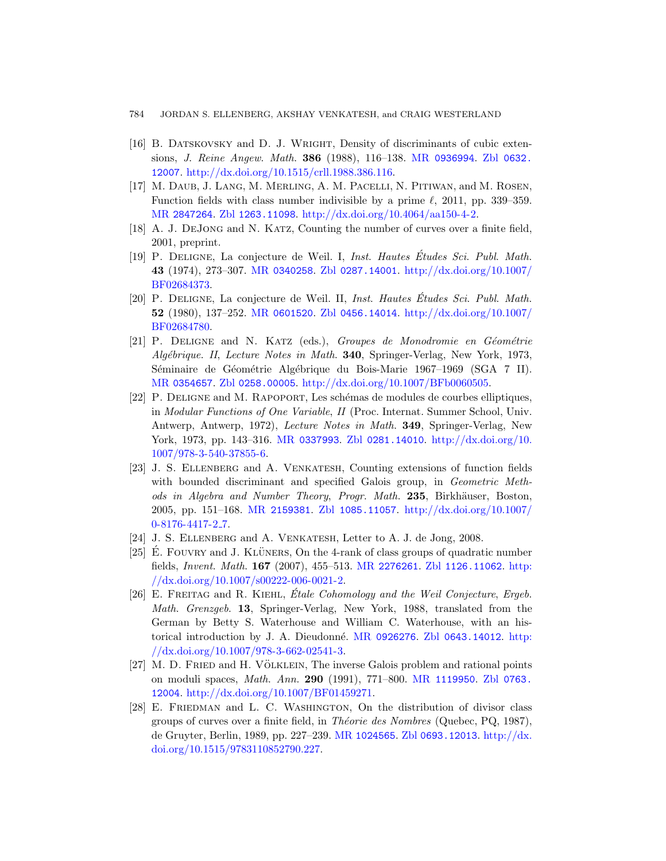- <span id="page-55-0"></span>784 [JOR](http://www.zentralblatt-math.org/zmath/en/search/?q=an:1263.11098)[DAN S. ELLENBERG, AKSHAY VENKAT](http://dx.doi.org/10.4064/aa150-4-2)ESH, and CRAIG WESTERLAND
- <span id="page-55-9"></span>[16] B. Datskovsky and D. J. Wright, Density of discriminants of cubic extensions, J. Reine Angew. Math. 386 (1988), 116–138. MR 0936994. Zbl 0632. [12007](http://www.ams.org/mathscinet-getitem?mr=0340258). ht[tp://dx.doi.org/1](http://www.zentralblatt-math.org/zmath/en/search/?q=an:0287.14001)[0.1515/crll.1988.386.116.](http://dx.doi.org/10.1007/BF02684373)
- <span id="page-55-1"></span>[17] M. Daub, J. Lang, M. Merling, A. M. Pacelli, N. Pitiwan, and M. Rosen, Function fields with class number indivisible by a prime  $\ell$ , 2011, pp. 339–359. MR 2847264. Zbl [1263.11](http://www.zentralblatt-math.org/zmath/en/search/?q=an:0456.14014)098. [http://dx.doi.org/10.40](http://dx.doi.org/10.1007/BF02684780)64/aa150-4-2.
- <span id="page-55-7"></span>[18] [A. J. De](http://www.ams.org/mathscinet-getitem?mr=0601520)Jong and N. Katz, Counting the number of curves over a finite field, 2001, preprint.
- [19] P. DELIGNE, La conjecture de Weil. I, Inst. Hautes Études Sci. Publ. Math. 43 (1974), 273–307. MR 0340258. Zbl 0287.14001. http://dx.doi.org/10.1007/ [BF02](http://www.zentralblatt-math.org/zmath/en/search/?q=an:0258.00005)[684373.](http://dx.doi.org/10.1007/BFb0060505)
- <span id="page-55-5"></span>[20] P. DELIGNE, La conjecture de Weil. II, *Inst. Hautes Études Sci. Publ. Math.* 52 (1980), 137–252. MR 0601520. Zbl 0456.14014. http://dx.doi.org/10.1007/ BF02684780.
- [21] P. DELIGNE and N. KATZ (eds.), [Groupes de Mo](http://dx.doi.org/10.1007/978-3-540-37855-6)nodromie en Géométrie Algébrique. II, Lecture Notes in Math. **340**, Springer-Verlag, New York, 1973, Séminaire de Géométrie Algébrique du Bois-Marie 1967–1969 (SGA 7 II). MR 0354657. Zbl 0258.00005. http://dx.doi.org/10.1007/BFb0060505.
- <span id="page-55-2"></span>[22] P. Deligne and M. Rapoport, Les sch´emas de modules de courbes elliptiques, in [Modul](http://www.ams.org/mathscinet-getitem?mr=2159381)[ar Functions of On](http://www.zentralblatt-math.org/zmath/en/search/?q=an:1085.11057)e Variable, II [\(Proc. Interna](http://dx.doi.org/10.1007/0-8176-4417-2_7)t. Summer School, Univ. Antwerp, Antwerp, 1972), Lecture Notes in Math. 349, Springer-Verlag, New York, 1973, pp. 143–316. MR 0337993. Zbl 0281.14010. http://dx.doi.org/10. 1007/978-3-540-37855-6.
- <span id="page-55-6"></span><span id="page-55-3"></span>[23] J. S. Ellenberg and [A. Ven](http://www.ams.org/mathscinet-getitem?mr=2276261)katesh[, Countin](http://www.zentralblatt-math.org/zmath/en/search/?q=an:1126.11062)[g exte](http://dx.doi.org/10.1007/s00222-006-0021-2)nsions of function fields [with bounded](http://dx.doi.org/10.1007/s00222-006-0021-2) discriminant and specified Galois group, in *Geometric Meth*ods in Algebra and Number Theory, Progr. Math. 235, Birkhäuser, Boston, 2005, pp. 151–168. MR 2159381. Zbl 1085.11057. http://dx.doi.org/10.1007/ 0-8176-4417-2 7.
- [24] J. S. ELLENBERG and A. VENKATESH[, Letter to](http://www.zentralblatt-math.org/zmath/en/search/?q=an:0643.14012) [A. J.](http://dx.doi.org/10.1007/978-3-662-02541-3) de Jong, 2008.
- <span id="page-55-4"></span> $[25]$  E. FOUVRY and J. KLÜNERS, On the 4-rank of class groups of quadratic number fields, Invent. Math. 167 (2007), 455–513. MR 2276261. Zbl 1126.11062. http: //dx.doi.org/10.1007/s00222-[006-0021-2.](http://www.ams.org/mathscinet-getitem?mr=1119950)
- <span id="page-55-8"></span>[26] E. FREITAG and R. KIEHL,  $\acute{E}tale\, Cohomology\ and\ the\ Weil\, Conjecture,\, Ergeb.$ Math. Grenzgeb. 13, Springer-Verlag, New York, 1988, translated from the German by Betty S. Waterhouse and William C. Waterhouse, with an historical intro[duction by J.](http://www.ams.org/mathscinet-getitem?mr=1024565) A. Dieudonné. MR [0926276](http://dx.doi.org/10.1515/9783110852790.227). Zbl 0643.14012. http: [//dx.doi.or](http://dx.doi.org/10.1515/9783110852790.227)g/10.1007/978-3-662-02541-3.
- [27] M. D. FRIED and H. VÖLKLEIN, The inverse Galois problem and rational points on moduli spaces, Math. Ann. 290 (1991), 771–800. MR 1119950. Zbl 0763. 12004. http://dx.doi.org/10.1007/BF01459271.
- [28] E. FRIEDMAN and L. C. WASHINGTON, On the distribution of divisor class groups of curves over a finite field, in *Théorie des Nombres* (Quebec, PQ, 1987), de Gruyter, Berlin, 1989, pp. 227–239. MR 1024565. Zbl 0693.12013. http://dx. doi.org/10.1515/9783110852790.227.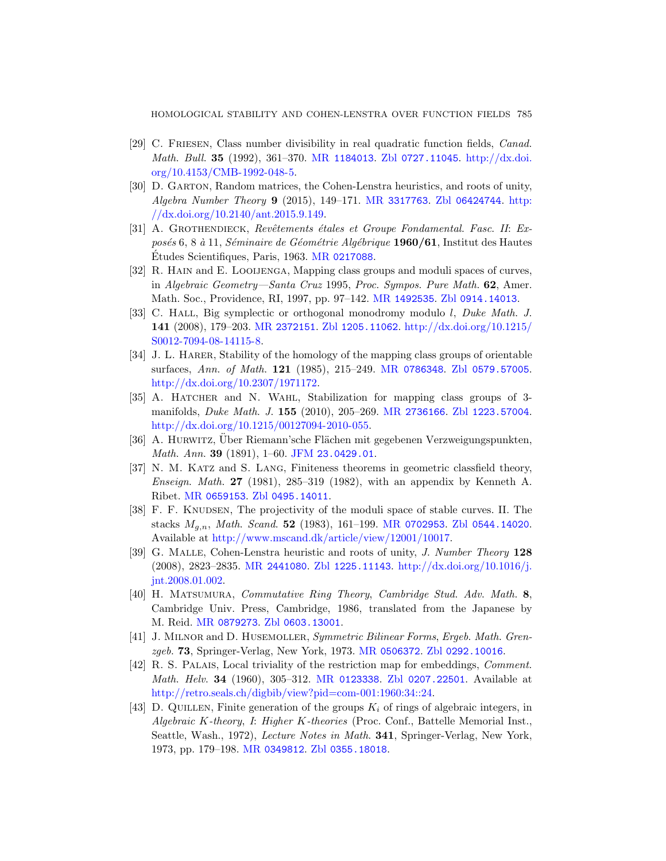- <span id="page-56-7"></span><span id="page-56-2"></span><span id="page-56-1"></span>[29] C. Friesen, Class number divisibility in real quadratic function fields, Canad. Math. Bull. 35 [\(1992\)](http://www.ams.org/mathscinet-getitem?mr=0217088), 361–370. MR 1184013. Zbl 0727.11045. http://dx.doi. org/10.4153/CMB-1992-048-5.
- [30] D. Garton, Random matrices, the Cohen-Lenstra heuristics, and roots of unity, Algebra Number Theory 9 [\(2015\),](http://www.ams.org/mathscinet-getitem?mr=1492535) [149–171.](http://www.zentralblatt-math.org/zmath/en/search/?q=an:0914.14013) MR 3317763. Zbl 06424744. http: //dx.doi.org/10.2140/ant.2015.9.149.
- [31] A. GROTHENDIECK, Revêtements étales et Groupe Fondamental. Fasc. II: Exposés 6, 8 à 11, Séminaire de Géométrie Algébrique 1960/61, Institut des Hautes Études Scientifiques, Paris, 1963. MR 0217088.
- <span id="page-56-4"></span>[32] R. HAIN and E. LOOIJENGA[, Mappin](http://www.ams.org/mathscinet-getitem?mr=0786348)[g class groups and](http://www.zentralblatt-math.org/zmath/en/search/?q=an:0579.57005) moduli spaces of curves, in [Algebra](http://dx.doi.org/10.2307/1971172)ic Geometry—Santa Cruz 1995, Proc. Sympos. Pure Math. 62, Amer. Math. Soc., Providence, RI, 1997, pp. 97–142. MR 1492535. Zbl 0914.14013.
- <span id="page-56-6"></span>[33] C. HALL, Big symplec[tic or orthogo](http://www.ams.org/mathscinet-getitem?mr=2736166)[nal monodromy m](http://www.zentralblatt-math.org/zmath/en/search/?q=an:1223.57004)odulo l, Duke Math. J. 141 [\(2008\), 179–203.](http://dx.doi.org/10.1215/00127094-2010-055) MR 2372151. Zbl 1205.11062. http://dx.doi.org/10.1215/ S0012-7094-08-14115-8.
- <span id="page-56-3"></span>[34] J. L. HARER[, Stability](http://www.emis.de/cgi-bin/JFM-item?23.0429.01) of the homology of the mapping class groups of orientable surfaces, Ann. of Math. 121 (1985), 215–249. MR 0786348. Zbl 0579.57005. http://dx.doi.org/10.2307/1971172.
- [35] [A. Hatche](http://www.zentralblatt-math.org/zmath/en/search/?q=an:0495.14011)r and N. Wahl, Stabilization for mapping class groups of 3 manifolds, Duke Math. J. 155 (2010), 205–269. MR 2736166. Zbl 1223.57004. http://dx.doi.org/10.1[215/00127094-](http://www.ams.org/mathscinet-getitem?mr=0702953)[2010-055.](http://www.zentralblatt-math.org/zmath/en/search/?q=an:0544.14020)
- [36] A. HURWITZ, Uber Riemann'sche Flächen mit gegebenen Verzweigungspunkten, Math. Ann. 39 (1891), 1–60. JFM 23.0429.01.
- <span id="page-56-0"></span>[37] [N. M. K](http://www.ams.org/mathscinet-getitem?mr=2441080)atz and [S. Lan](http://www.zentralblatt-math.org/zmath/en/search/?q=an:1225.11143)g[, Finiteness theorems in ge](http://dx.doi.org/10.1016/j.jnt.2008.01.002)ometric classfield theory, *Enseign. Math.* 27 (1981), 285–319 (1982), with an appendix by Kenneth A. Ribet. MR 0659153. Zbl 0495.14011.
- [38] F. F. Knudsen, The projectivity of the moduli space of stable curves. II. The [stacks](http://www.zentralblatt-math.org/zmath/en/search/?q=an:0603.13001)  $M_{a,n}$ , Math. Scand. 52 (1983), 161–199. MR 0702953. Zbl 0544.14020. Available at http://www.mscand.dk/article/view/12001/10017.
- <span id="page-56-8"></span>[39] G. Malle, Cohe[n-Lenstra heur](http://www.ams.org/mathscinet-getitem?mr=0506372)[istic and roots of](http://www.zentralblatt-math.org/zmath/en/search/?q=an:0292.10016) unity, J. Number Theory 128 (2008), 2823–2835. MR 2441080. Zbl 1225.11143. http://dx.doi.org/10.1016/j. jnt.2008.[01.002.](http://www.ams.org/mathscinet-getitem?mr=0123338)
- <span id="page-56-5"></span>[40] H. Matsumura, [Commutative R](http://retro.seals.ch/digbib/view?pid=com-001:1960:34::24)[ing Th](http://www.zentralblatt-math.org/zmath/en/search/?q=an:0207.22501)eory, Cambridge Stud. Adv. Math. 8, Cambridge Univ. Press, Cambridge, 1986, translated from the Japanese by M. Reid. MR 0879273. Zbl 0603.13001.
- [41] J. Milnor and D. Husemoller, Symmetric Bilinear Forms, Ergeb. Math. Grenzgeb. 73[, Springer-Verlag](http://www.zentralblatt-math.org/zmath/en/search/?q=an:0355.18018), New York, 1973. MR 0506372. Zbl 0292.10016.
- [42] [R. S. P](http://www.ams.org/mathscinet-getitem?mr=0349812)alais, Local triviality of the restriction map for embeddings, Comment. Math. Helv. 34 (1960), 305–312. MR 0123338. Zbl 0207.22501. Available at http://retro.seals.ch/digbib/view?pid=com-001:1960:34::24.
- [43] D. QUILLEN, Finite generation of the groups  $K_i$  of rings of algebraic integers, in Algebraic K-theory, I: Higher K-theories (Proc. Conf., Battelle Memorial Inst., Seattle, Wash., 1972), Lecture Notes in Math. 341, Springer-Verlag, New York, 1973, pp. 179–198. MR 0349812. Zbl 0355.18018.